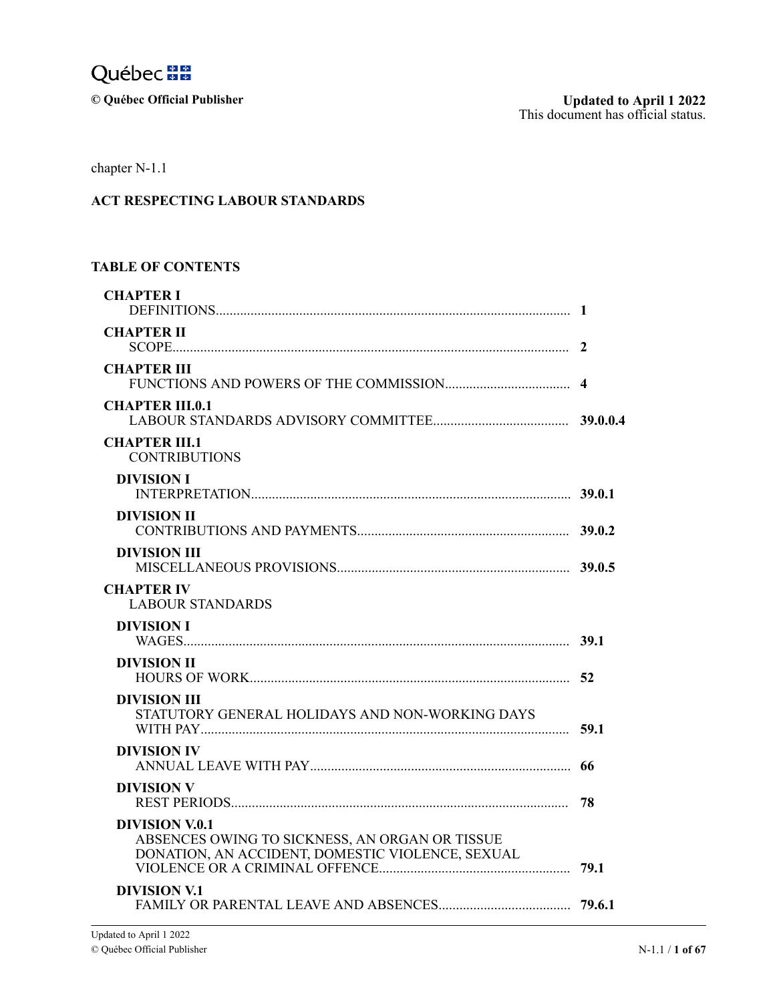

 $©$  Québec Official Publisher

chapter N-1.1

# **ACT RESPECTING LABOUR STANDARDS**

#### $\overline{ }$  $\mathbf{I}$ u n 4Apr **TABLE OF CONTENTS**

| <b>CHAPTER I</b>                                                                                                     |      |
|----------------------------------------------------------------------------------------------------------------------|------|
| <b>CHAPTER II</b>                                                                                                    |      |
| <b>CHAPTER III</b>                                                                                                   |      |
| <b>CHAPTER III.0.1</b>                                                                                               |      |
| <b>CHAPTER III.1</b><br><b>CONTRIBUTIONS</b>                                                                         |      |
| <b>DIVISION I</b>                                                                                                    |      |
| <b>DIVISION II</b>                                                                                                   |      |
| DIVISION III                                                                                                         |      |
| <b>CHAPTER IV</b><br><b>LABOUR STANDARDS</b>                                                                         |      |
| <b>DIVISION I</b>                                                                                                    |      |
| <b>DIVISION II</b>                                                                                                   |      |
| DIVISION III<br>STATUTORY GENERAL HOLIDAYS AND NON-WORKING DAYS                                                      | 59.1 |
| <b>DIVISION IV</b>                                                                                                   |      |
| <b>DIVISION V</b>                                                                                                    | 78   |
| DIVISION V.0.1<br>ABSENCES OWING TO SICKNESS, AN ORGAN OR TISSUE<br>DONATION, AN ACCIDENT, DOMESTIC VIOLENCE, SEXUAL |      |
| DIVISION V.1                                                                                                         |      |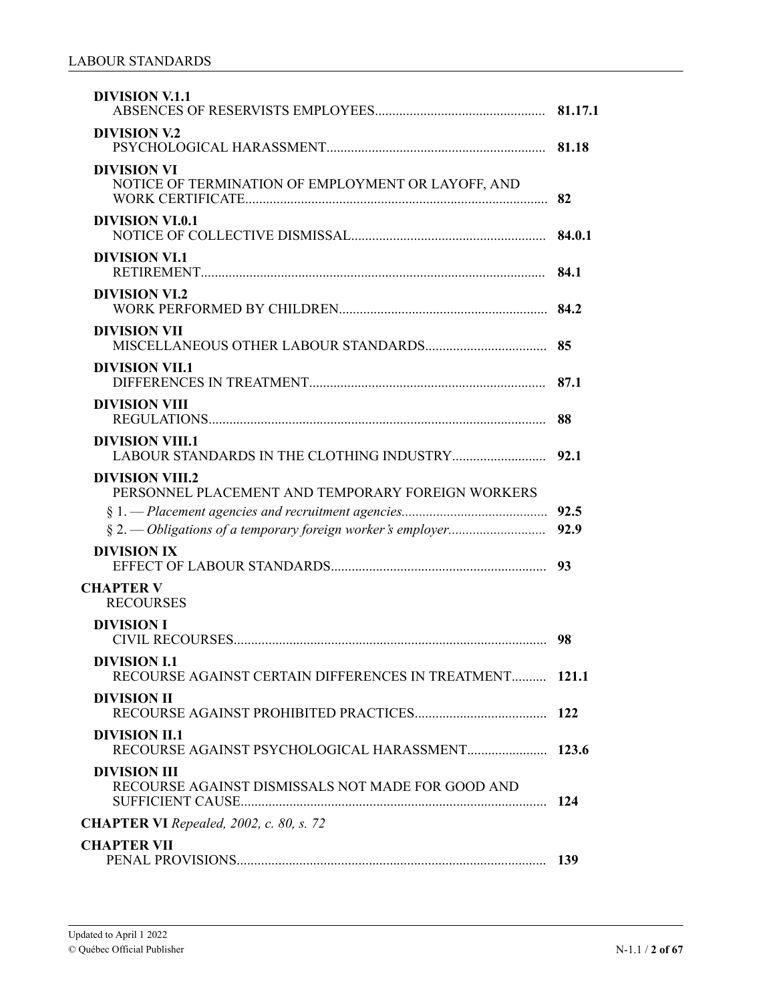| <b>DIVISION V.1.1</b>                                                          |      |
|--------------------------------------------------------------------------------|------|
| <b>DIVISION V.2</b>                                                            |      |
| <b>DIVISION VI</b><br>NOTICE OF TERMINATION OF EMPLOYMENT OR LAYOFF, AND       | 82   |
| <b>DIVISION VI.0.1</b>                                                         |      |
| <b>DIVISION VI.1</b>                                                           |      |
| <b>DIVISION VI.2</b>                                                           |      |
| <b>DIVISION VII</b>                                                            |      |
| <b>DIVISION VIL1</b>                                                           |      |
| <b>DIVISION VIII</b>                                                           |      |
| <b>DIVISION VIII.1</b>                                                         |      |
| <b>DIVISION VIII.2</b><br>PERSONNEL PLACEMENT AND TEMPORARY FOREIGN WORKERS    |      |
|                                                                                | 92.5 |
|                                                                                | 92.9 |
| <b>DIVISION IX</b>                                                             |      |
| <b>CHAPTER V</b><br><b>RECOURSES</b>                                           |      |
| <b>DIVISION I</b>                                                              |      |
| <b>DIVISION I.1</b><br>RECOURSE AGAINST CERTAIN DIFFERENCES IN TREATMENT 121.1 |      |
| <b>DIVISION II</b>                                                             |      |
| <b>DIVISION II.1</b>                                                           |      |
| <b>DIVISION III</b><br>RECOURSE AGAINST DISMISSALS NOT MADE FOR GOOD AND       |      |
| <b>CHAPTER VI</b> Repealed, 2002, c. 80, s. 72                                 |      |
| <b>CHAPTER VII</b>                                                             |      |
|                                                                                | 139  |
|                                                                                |      |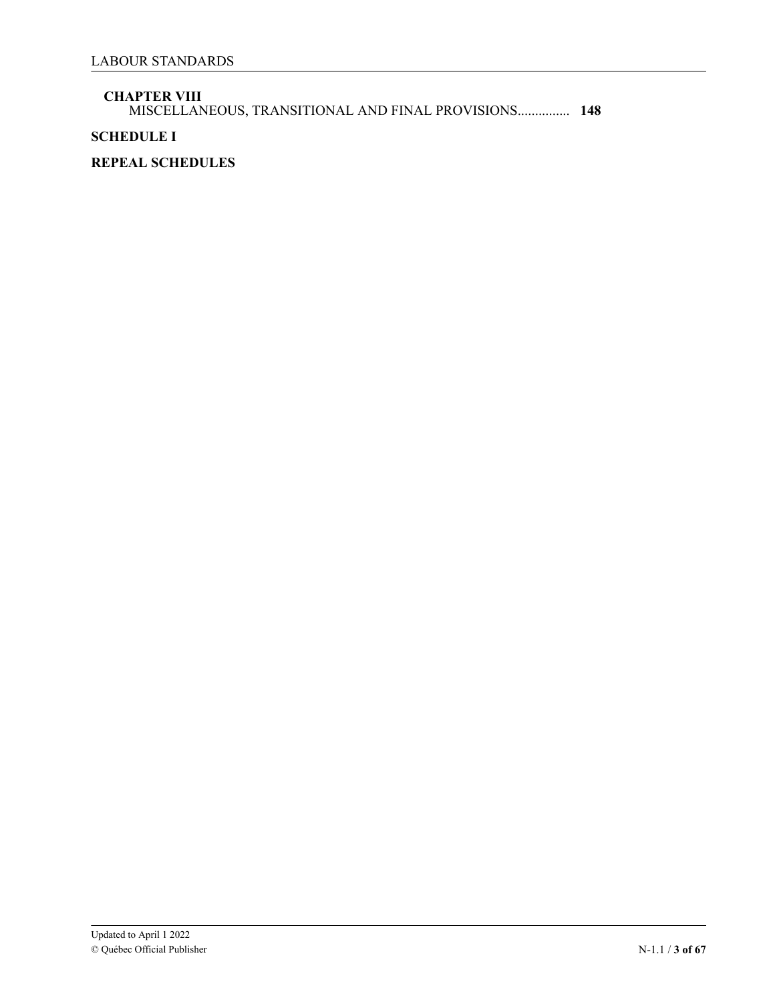### **CHAPTER VIII**

[MISCELLANEOUS, TRANSITIONAL AND FINAL PROVISIONS...............](#page-61-0) **148**

# **SCHEDULE I**

# **REPEAL SCHEDULES**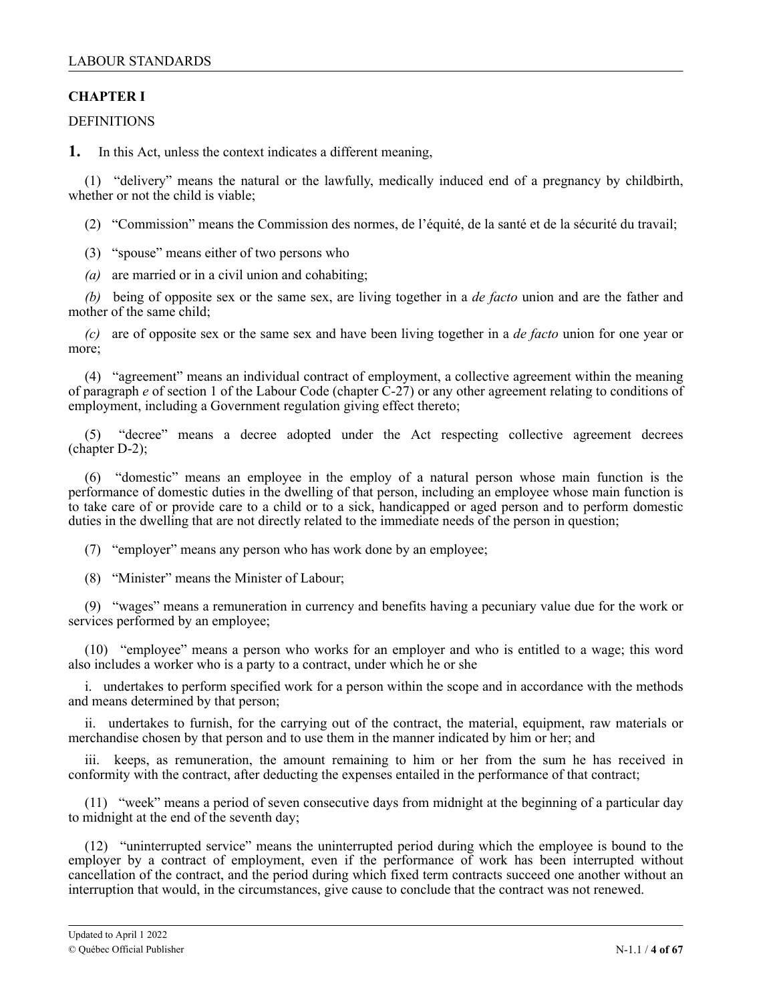# <span id="page-3-0"></span>**CHAPTER I**

### **DEFINITIONS**

**1.** In this Act, unless the context indicates a different meaning,

(1) "delivery" means the natural or the lawfully, medically induced end of a pregnancy by childbirth, whether or not the child is viable;

(2) "Commission" means the Commission des normes, de l'équité, de la santé et de la sécurité du travail;

- (3) "spouse" means either of two persons who
- *(a)* are married or in a civil union and cohabiting;

*(b)* being of opposite sex or the same sex, are living together in a *de facto* union and are the father and mother of the same child;

*(c)* are of opposite sex or the same sex and have been living together in a *de facto* union for one year or more;

(4) "agreement" means an individual contract of employment, a collective agreement within the meaning of paragraph *e* of section 1 of the Labour Code (chapter  $\hat{C}$ -27) or any other agreement relating to conditions of employment, including a Government regulation giving effect thereto;

(5) "decree" means a decree adopted under the Act respecting collective agreement decrees (chapter D-2);

(6) "domestic" means an employee in the employ of a natural person whose main function is the performance of domestic duties in the dwelling of that person, including an employee whose main function is to take care of or provide care to a child or to a sick, handicapped or aged person and to perform domestic duties in the dwelling that are not directly related to the immediate needs of the person in question;

(7) "employer" means any person who has work done by an employee;

(8) "Minister" means the Minister of Labour;

(9) "wages" means a remuneration in currency and benefits having a pecuniary value due for the work or services performed by an employee;

(10) "employee" means a person who works for an employer and who is entitled to a wage; this word also includes a worker who is a party to a contract, under which he or she

i. undertakes to perform specified work for a person within the scope and in accordance with the methods and means determined by that person;

ii. undertakes to furnish, for the carrying out of the contract, the material, equipment, raw materials or merchandise chosen by that person and to use them in the manner indicated by him or her; and

iii. keeps, as remuneration, the amount remaining to him or her from the sum he has received in conformity with the contract, after deducting the expenses entailed in the performance of that contract;

(11) "week" means a period of seven consecutive days from midnight at the beginning of a particular day to midnight at the end of the seventh day;

(12) "uninterrupted service" means the uninterrupted period during which the employee is bound to the employer by a contract of employment, even if the performance of work has been interrupted without cancellation of the contract, and the period during which fixed term contracts succeed one another without an interruption that would, in the circumstances, give cause to conclude that the contract was not renewed.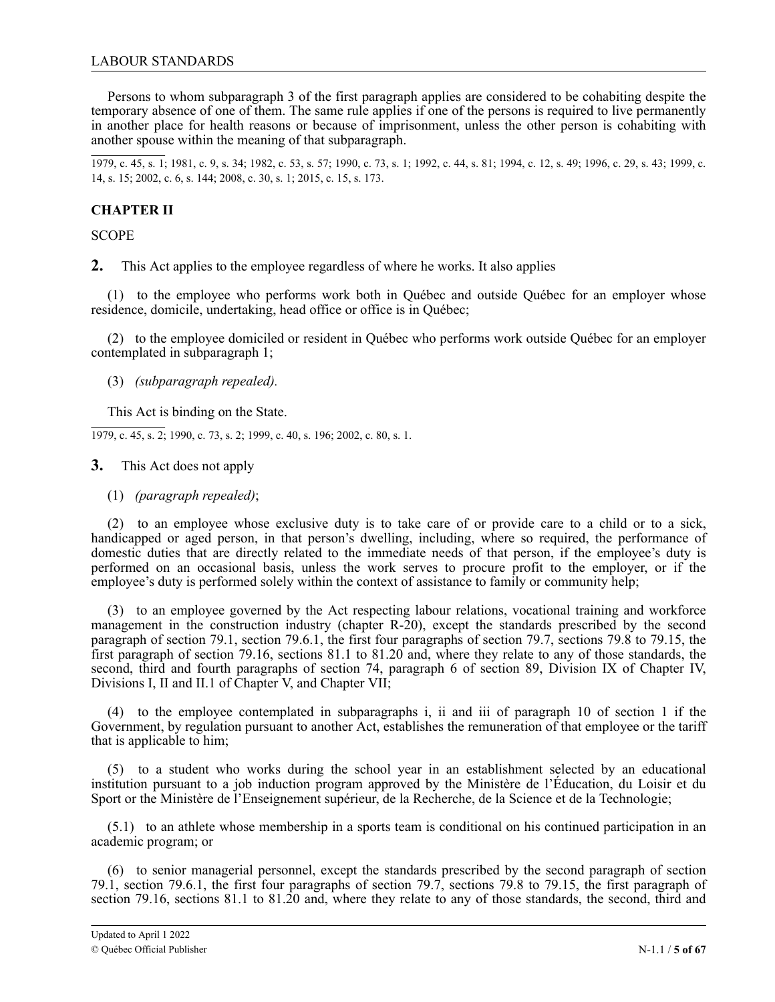<span id="page-4-0"></span>Persons to whom subparagraph 3 of the first paragraph applies are considered to be cohabiting despite the temporary absence of one of them. The same rule applies if one of the persons is required to live permanently in another place for health reasons or because of imprisonment, unless the other person is cohabiting with another spouse within the meaning of that subparagraph.

1979, c. 45, s. 1; 1981, c. 9, s. 34; 1982, c. 53, s. 57; 1990, c. 73, s. 1; 1992, c. 44, s. 81; 1994, c. 12, s. 49; 1996, c. 29, s. 43; 1999, c. 14, s. 15; 2002, c. 6, s. 144; 2008, c. 30, s. 1; 2015, c. 15, s. 173.

# **CHAPTER II**

**SCOPE** 

**2.** This Act applies to the employee regardless of where he works. It also applies

(1) to the employee who performs work both in Québec and outside Québec for an employer whose residence, domicile, undertaking, head office or office is in Québec;

(2) to the employee domiciled or resident in Québec who performs work outside Québec for an employer contemplated in subparagraph 1;

(3) *(subparagraph repealed).*

This Act is binding on the State.

1979, c. 45, s. 2; 1990, c. 73, s. 2; 1999, c. 40, s. 196; 2002, c. 80, s. 1.

**3.** This Act does not apply

(1) *(paragraph repealed)*;

(2) to an employee whose exclusive duty is to take care of or provide care to a child or to a sick, handicapped or aged person, in that person's dwelling, including, where so required, the performance of domestic duties that are directly related to the immediate needs of that person, if the employee's duty is performed on an occasional basis, unless the work serves to procure profit to the employer, or if the employee's duty is performed solely within the context of assistance to family or community help;

(3) to an employee governed by the Act respecting labour relations, vocational training and workforce management in the construction industry (chapter R-20), except the standards prescribed by the second paragraph of section 79.1, section 79.6.1, the first four paragraphs of section 79.7, sections 79.8 to 79.15, the first paragraph of section 79.16, sections 81.1 to 81.20 and, where they relate to any of those standards, the second, third and fourth paragraphs of section 74, paragraph 6 of section 89, Division IX of Chapter IV, Divisions I, II and II.1 of Chapter V, and Chapter VII;

(4) to the employee contemplated in subparagraphs i, ii and iii of paragraph 10 of section 1 if the Government, by regulation pursuant to another Act, establishes the remuneration of that employee or the tariff that is applicable to him;

(5) to a student who works during the school year in an establishment selected by an educational institution pursuant to a job induction program approved by the Ministère de l'Éducation, du Loisir et du Sport or the Ministère de l'Enseignement supérieur, de la Recherche, de la Science et de la Technologie;

(5.1) to an athlete whose membership in a sports team is conditional on his continued participation in an academic program; or

(6) to senior managerial personnel, except the standards prescribed by the second paragraph of section 79.1, section 79.6.1, the first four paragraphs of section 79.7, sections 79.8 to 79.15, the first paragraph of section 79.16, sections 81.1 to 81.20 and, where they relate to any of those standards, the second, third and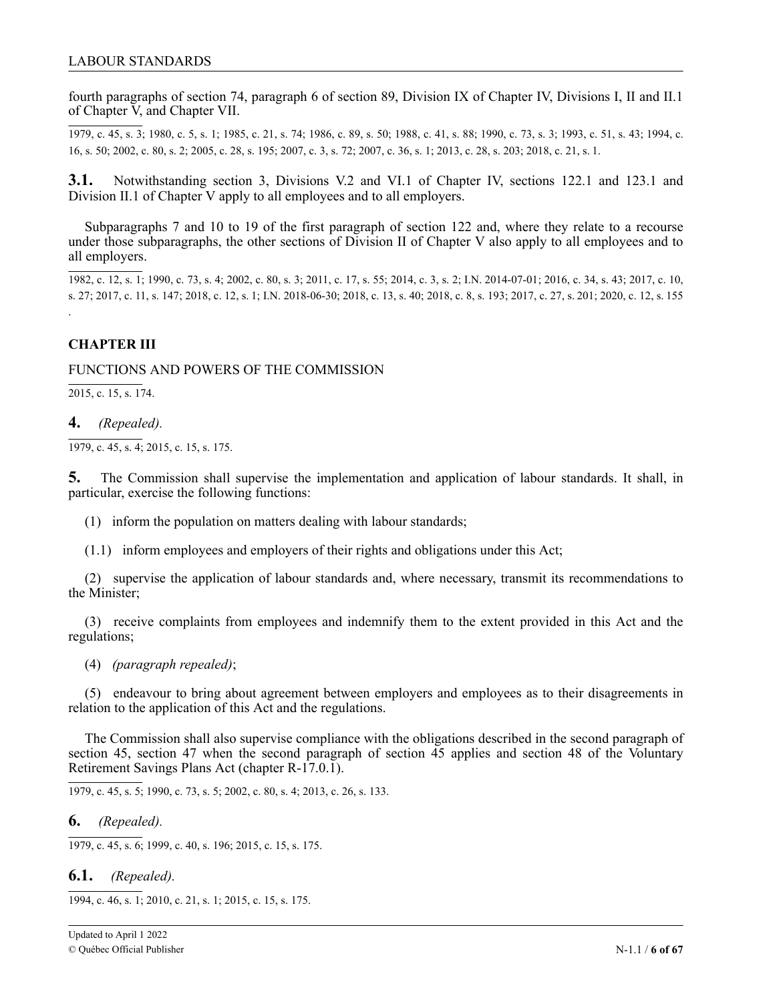<span id="page-5-0"></span>fourth paragraphs of section 74, paragraph 6 of section 89, Division IX of Chapter IV, Divisions I, II and II.1 of Chapter V, and Chapter VII.

1979, c. 45, s. 3; 1980, c. 5, s. 1; 1985, c. 21, s. 74; 1986, c. 89, s. 50; 1988, c. 41, s. 88; 1990, c. 73, s. 3; 1993, c. 51, s. 43; 1994, c. 16, s. 50; 2002, c. 80, s. 2; 2005, c. 28, s. 195; 2007, c. 3, s. 72; 2007, c. 36, s. 1; 2013, c. 28, s. 203; 2018, c. 21, s. 1.

1 **3.1.** Notwithstanding section 3, Divisions V.2 and VI.1 of Chapter IV, sections 122.1 and 123.1 and Division II.1 of Chapter V apply to all employees and to all employers.

Subparagraphs 7 and 10 to 19 of the first paragraph of section 122 and, where they relate to a recourse . under those subparagraphs, the other sections of Division II of Chapter V also apply to all employees and to<br>all employers all employers.

1982, c. 12, s. 1; 1990, c. 73, s. 4; 2002, c. 80, s. 3; 2011, c. 17, s. 55; 2014, c. 3, s. 2; I.N. 2014-07-01; 2016, c. 34, s. 43; 2017, c. 10, s. 27; 2017, c. 11, s. 147; 2018, c. 12, s. 1; I.N. 2018-06-30; 2018, c. 13, s. 40; 2018, c. 8, s. 193; 2017, c. 27, s. 201; 2020, c. 12, s. 155

# **CHAPTER III**

1.

FUNCTIONS AND POWERS OF THE COMMISSION

2015, c. 15, s. 174.

### **4.** *(Repealed).*

1979, c. 45, s. 4; 2015, c. 15, s. 175.

**5.** The Commission shall supervise the implementation and application of labour standards. It shall, in particular, exercise the following functions:

(1) inform the population on matters dealing with labour standards;

(1.1) inform employees and employers of their rights and obligations under this Act;

(2) supervise the application of labour standards and, where necessary, transmit its recommendations to the Minister;

(3) receive complaints from employees and indemnify them to the extent provided in this Act and the regulations;

(4) *(paragraph repealed)*;

(5) endeavour to bring about agreement between employers and employees as to their disagreements in relation to the application of this Act and the regulations.

The Commission shall also supervise compliance with the obligations described in the second paragraph of section 45, section 47 when the second paragraph of section 45 applies and section 48 of the Voluntary Retirement Savings Plans Act (chapter R-17.0.1).

1979, c. 45, s. 5; 1990, c. 73, s. 5; 2002, c. 80, s. 4; 2013, c. 26, s. 133.

### **6.** *(Repealed).*

1979, c. 45, s. 6; 1999, c. 40, s. 196; 2015, c. 15, s. 175.

**6.1.** *(Repealed).*

1994, c. 46, s. 1; 2010, c. 21, s. 1; 2015, c. 15, s. 175.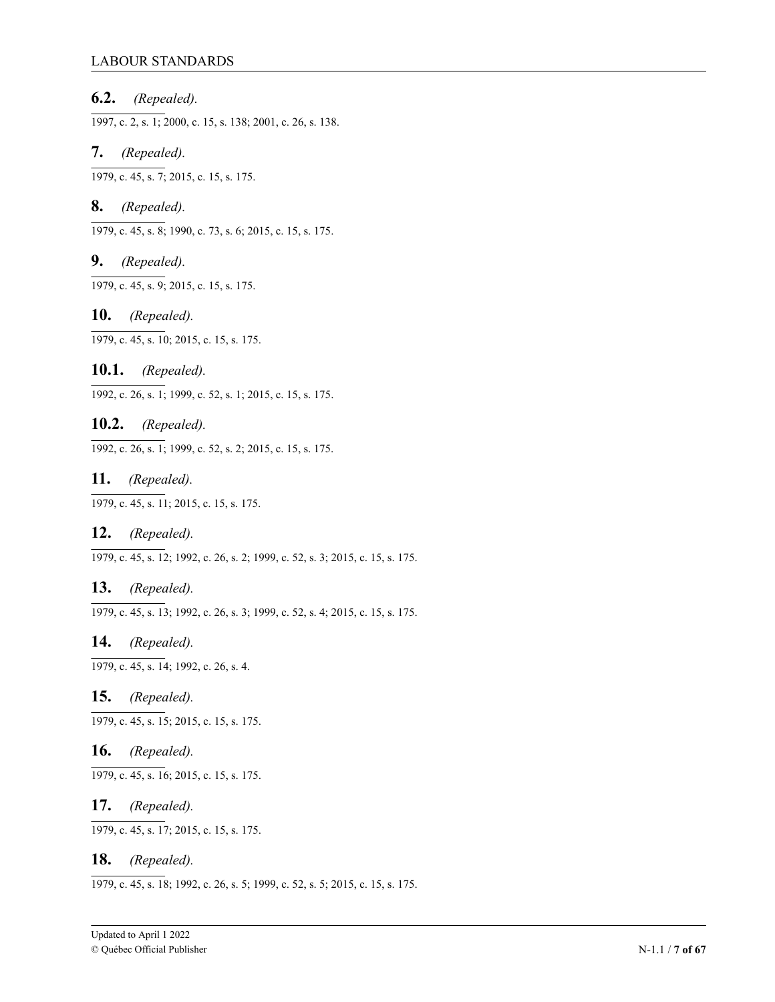### LABOUR STANDARDS

**6.2.** *(Repealed).*

1997, c. 2, s. 1; 2000, c. 15, s. 138; 2001, c. 26, s. 138.

**7.** *(Repealed).*

1979, c. 45, s. 7; 2015, c. 15, s. 175.

### **8.** *(Repealed).*

1979, c. 45, s. 8; 1990, c. 73, s. 6; 2015, c. 15, s. 175.

# **9.** *(Repealed).*

1979, c. 45, s. 9; 2015, c. 15, s. 175.

### **10.** *(Repealed).*

1979, c. 45, s. 10; 2015, c. 15, s. 175.

# **10.1.** *(Repealed).*

1992, c. 26, s. 1; 1999, c. 52, s. 1; 2015, c. 15, s. 175.

### **10.2.** *(Repealed).*

1992, c. 26, s. 1; 1999, c. 52, s. 2; 2015, c. 15, s. 175.

### **11.** *(Repealed).*

1979, c. 45, s. 11; 2015, c. 15, s. 175.

### **12.** *(Repealed).*

1979, c. 45, s. 12; 1992, c. 26, s. 2; 1999, c. 52, s. 3; 2015, c. 15, s. 175.

### **13.** *(Repealed).*

1979, c. 45, s. 13; 1992, c. 26, s. 3; 1999, c. 52, s. 4; 2015, c. 15, s. 175.

### **14.** *(Repealed).*

1979, c. 45, s. 14; 1992, c. 26, s. 4.

# **15.** *(Repealed).*

1979, c. 45, s. 15; 2015, c. 15, s. 175.

# **16.** *(Repealed).*

1979, c. 45, s. 16; 2015, c. 15, s. 175.

### **17.** *(Repealed).*

1979, c. 45, s. 17; 2015, c. 15, s. 175.

### **18.** *(Repealed).*

1979, c. 45, s. 18; 1992, c. 26, s. 5; 1999, c. 52, s. 5; 2015, c. 15, s. 175.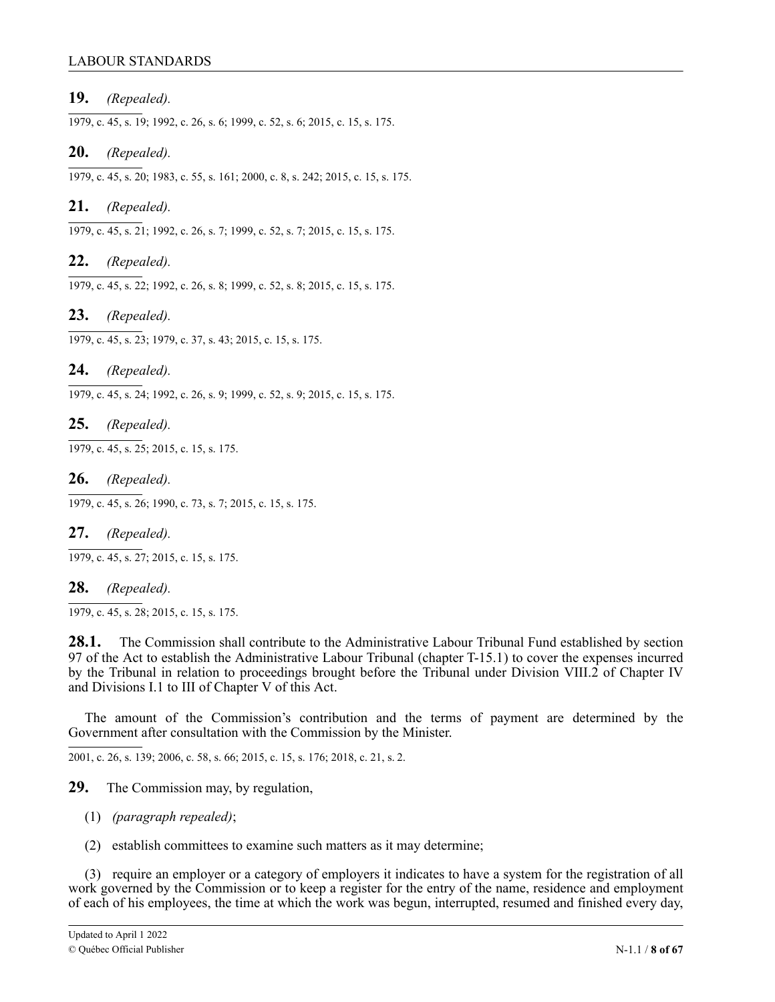### LABOUR STANDARDS

### **19.** *(Repealed).*

1979, c. 45, s. 19; 1992, c. 26, s. 6; 1999, c. 52, s. 6; 2015, c. 15, s. 175.

### **20.** *(Repealed).*

1979, c. 45, s. 20; 1983, c. 55, s. 161; 2000, c. 8, s. 242; 2015, c. 15, s. 175.

### **21.** *(Repealed).*

1979, c. 45, s. 21; 1992, c. 26, s. 7; 1999, c. 52, s. 7; 2015, c. 15, s. 175.

### **22.** *(Repealed).*

1979, c. 45, s. 22; 1992, c. 26, s. 8; 1999, c. 52, s. 8; 2015, c. 15, s. 175.

**23.** *(Repealed).*

1979, c. 45, s. 23; 1979, c. 37, s. 43; 2015, c. 15, s. 175.

### **24.** *(Repealed).*

1979, c. 45, s. 24; 1992, c. 26, s. 9; 1999, c. 52, s. 9; 2015, c. 15, s. 175.

**25.** *(Repealed).*

1979, c. 45, s. 25; 2015, c. 15, s. 175.

**26.** *(Repealed).*

1979, c. 45, s. 26; 1990, c. 73, s. 7; 2015, c. 15, s. 175.

**27.** *(Repealed).*

1979, c. 45, s. 27; 2015, c. 15, s. 175.

### **28.** *(Repealed).*

1979, c. 45, s. 28; 2015, c. 15, s. 175.

28.1. The Commission shall contribute to the Administrative Labour Tribunal Fund established by section 97 of the Act to establish the Administrative Labour Tribunal (chapter T-15.1) to cover the expenses incurred by the Tribunal in relation to proceedings brought before the Tribunal under Division VIII.2 of Chapter IV and Divisions I.1 to III of Chapter V of this Act.

The amount of the Commission's contribution and the terms of payment are determined by the Government after consultation with the Commission by the Minister.

2001, c. 26, s. 139; 2006, c. 58, s. 66; 2015, c. 15, s. 176; 2 2018, c. 21, s. 21.

**29.** The Commission may, by regulation,

- (1) *(paragraph repealed)*;
- . (2) establish committees to examine such matters as it may determine;

1 (3) require an employer or a category of employers it indicates to have a system for the registration of all work governed by the Commission or to keep a register for the entry of the name, residence and employment of each of his employees, the time at which the work was begun, interrupted, resumed and finished every day,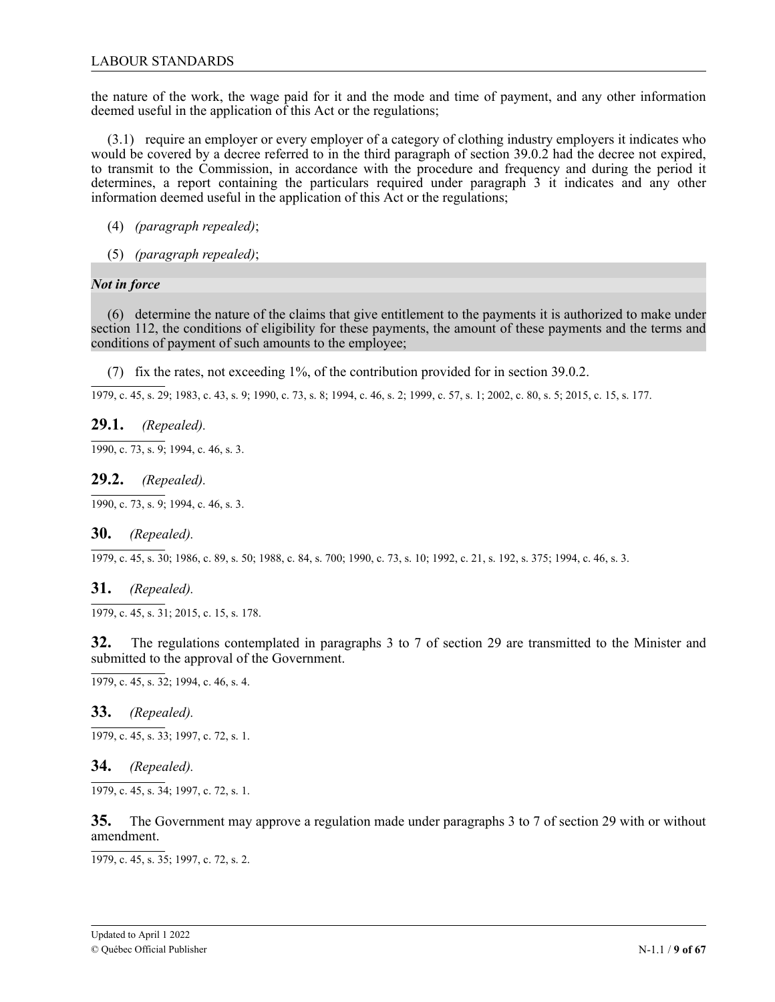the nature of the work, the wage paid for it and the mode and time of payment, and any other information deemed useful in the application of this Act or the regulations;

(3.1) require an employer or every employer of a category of clothing industry employers it indicates who would be covered by a decree referred to in the third paragraph of section 39.0.2 had the decree not expired, to transmit to the Commission, in accordance with the procedure and frequency and during the period it determines, a report containing the particulars required under paragraph 3 it indicates and any other information deemed useful in the application of this Act or the regulations;

- (4) *(paragraph repealed)*;
- (5) *(paragraph repealed)*;

# *Not in force*

(6) determine the nature of the claims that give entitlement to the payments it is authorized to make under section 112, the conditions of eligibility for these payments, the amount of these payments and the terms and conditions of payment of such amounts to the employee;

(7) fix the rates, not exceeding 1%, of the contribution provided for in section 39.0.2.

1979, c. 45, s. 29; 1983, c. 43, s. 9; 1990, c. 73, s. 8; 1994, c. 46, s. 2; 1999, c. 57, s. 1; 2002, c. 80, s. 5; 2015, c. 15, s. 177.

# **29.1.** *(Repealed).*

1990, c. 73, s. 9; 1994, c. 46, s. 3.

### **29.2.** *(Repealed).*

1990, c. 73, s. 9; 1994, c. 46, s. 3.

### **30.** *(Repealed).*

1979, c. 45, s. 30; 1986, c. 89, s. 50; 1988, c. 84, s. 700; 1990, c. 73, s. 10; 1992, c. 21, s. 192, s. 375; 1994, c. 46, s. 3.

### **31.** *(Repealed).*

1979, c. 45, s. 31; 2015, c. 15, s. 178.

**32.** The regulations contemplated in paragraphs 3 to 7 of section 29 are transmitted to the Minister and submitted to the approval of the Government.

1979, c. 45, s. 32; 1994, c. 46, s. 4.

### **33.** *(Repealed).*

1979, c. 45, s. 33; 1997, c. 72, s. 1.

### **34.** *(Repealed).*

1979, c. 45, s. 34; 1997, c. 72, s. 1.

**35.** The Government may approve a regulation made under paragraphs 3 to 7 of section 29 with or without amendment.

1979, c. 45, s. 35; 1997, c. 72, s. 2.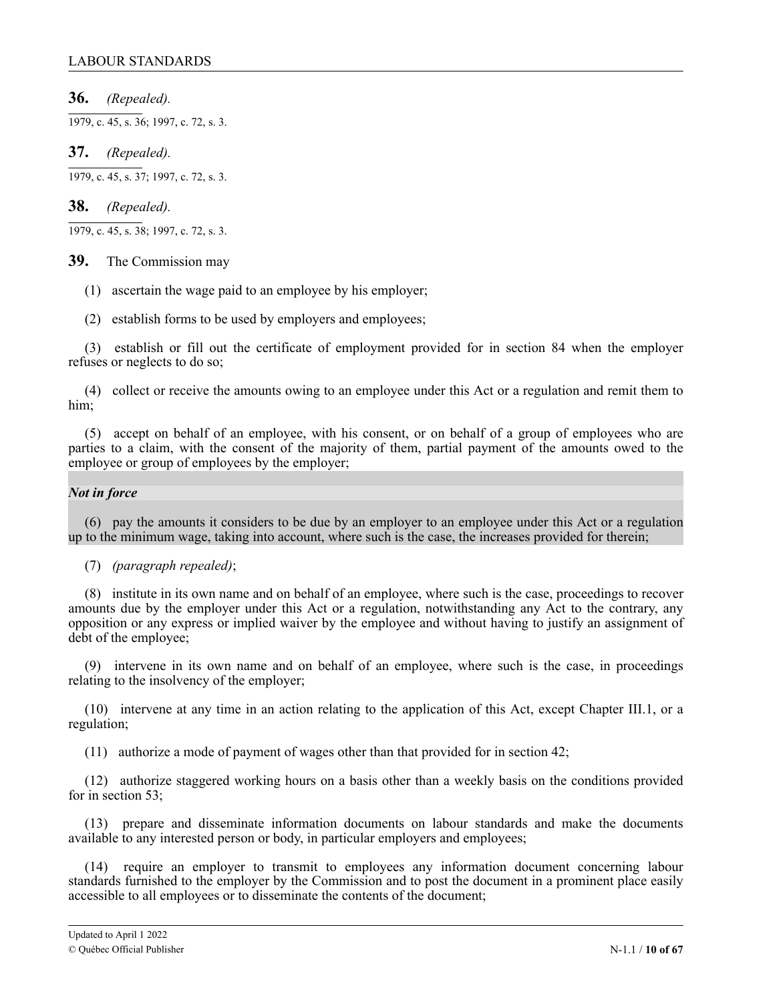**36.** *(Repealed).*

1979, c. 45, s. 36; 1997, c. 72, s. 3.

**37.** *(Repealed).*

1979, c. 45, s. 37; 1997, c. 72, s. 3.

# **38.** *(Repealed).*

1979, c. 45, s. 38; 1997, c. 72, s. 3.

### **39.** The Commission may

- (1) ascertain the wage paid to an employee by his employer;
- (2) establish forms to be used by employers and employees;

(3) establish or fill out the certificate of employment provided for in section 84 when the employer refuses or neglects to do so;

(4) collect or receive the amounts owing to an employee under this Act or a regulation and remit them to him;

(5) accept on behalf of an employee, with his consent, or on behalf of a group of employees who are parties to a claim, with the consent of the majority of them, partial payment of the amounts owed to the employee or group of employees by the employer;

### *Not in force*

(6) pay the amounts it considers to be due by an employer to an employee under this Act or a regulation up to the minimum wage, taking into account, where such is the case, the increases provided for therein;

(7) *(paragraph repealed)*;

(8) institute in its own name and on behalf of an employee, where such is the case, proceedings to recover amounts due by the employer under this Act or a regulation, notwithstanding any Act to the contrary, any opposition or any express or implied waiver by the employee and without having to justify an assignment of debt of the employee;

(9) intervene in its own name and on behalf of an employee, where such is the case, in proceedings relating to the insolvency of the employer;

(10) intervene at any time in an action relating to the application of this Act, except Chapter III.1, or a regulation;

(11) authorize a mode of payment of wages other than that provided for in section 42;

(12) authorize staggered working hours on a basis other than a weekly basis on the conditions provided for in section 53;

(13) prepare and disseminate information documents on labour standards and make the documents available to any interested person or body, in particular employers and employees;

(14) require an employer to transmit to employees any information document concerning labour standards furnished to the employer by the Commission and to post the document in a prominent place easily accessible to all employees or to disseminate the contents of the document;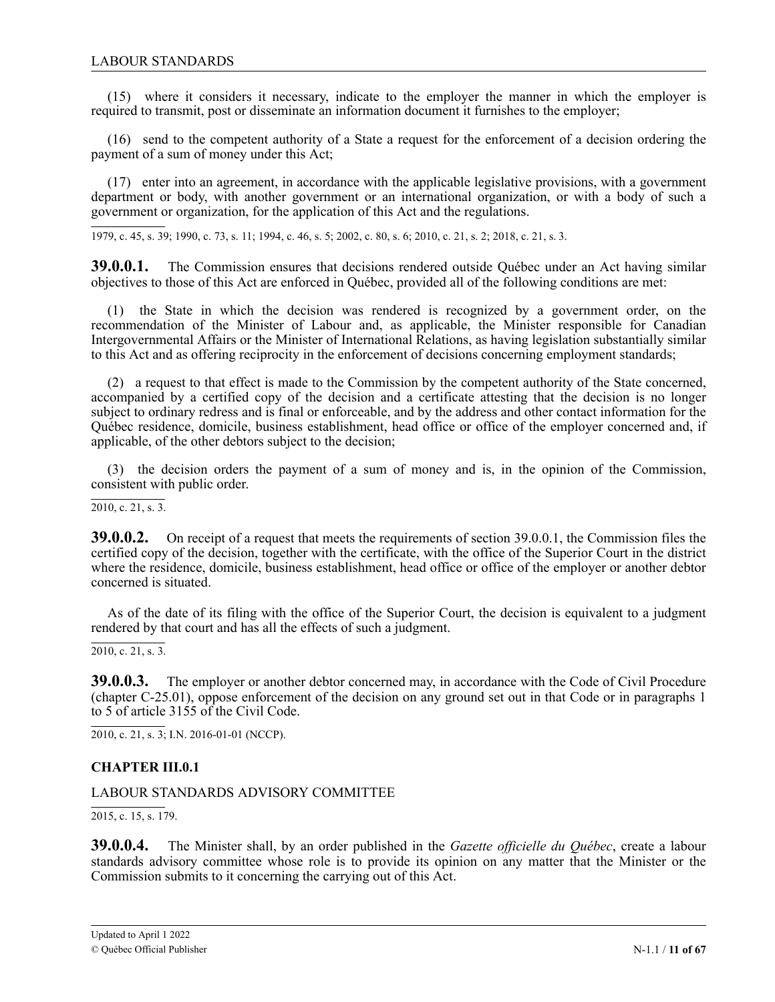<span id="page-10-0"></span>(15) where it considers it necessary, indicate to the employer the manner in which the employer is required to transmit, post or disseminate an information document it furnishes to the employer;

(16) send to the competent authority of a State a request for the enforcement of a decision ordering the payment of a sum of money under this Act;

(17) enter into an agreement, in accordance with the applicable legislative provisions, with a government department or body, with another government or an international organization, or with a body of such a government or organization, for the application of this Act and the regulations.

1979, c. 45, s. 39; 1990, c. 73, s. 11; 1994, c. 46, s. 5; 2002, c. 80, s. 6; 2010, c. 21, s. 2; 2018, c. 21, s. 3.

1 **39.0.0.1.** The Commission ensures that decisions rendered outside Québec under an Act having similar objectives to those of this Act are enforced in Québec, provided all of the following conditions are met:

c (1) the State in which the decision was rendered is recognized by a government order, on the recommendation of the Minister of Labour and, as applicable, the Minister responsible for Canadian 2 Intergovernmental Affairs or the Minister of International Relations, as having legislation substantially similar to this Act and as offering reciprocity in the enforcement of decisions concerning employment standards;

(2) a request to that effect is made to the Commission by the competent authority of the State concerned, accompanied by a certified copy of the decision and a certificate attesting that the decision is no longer subject to ordinary redress and is final or enforceable, and by the address and other contact information for the Québec residence, domicile, business establishment, head office or office of the employer concerned and, if applicable, of the other debtors subject to the decision;

(3) the decision orders the payment of a sum of money and is, in the opinion of the Commission, consistent with public order.

2010, c. 21, s. 3.

**39.0.0.2.** On receipt of a request that meets the requirements of section 39.0.0.1, the Commission files the certified copy of the decision, together with the certificate, with the office of the Superior Court in the district where the residence, domicile, business establishment, head office or office of the employer or another debtor concerned is situated.

As of the date of its filing with the office of the Superior Court, the decision is equivalent to a judgment rendered by that court and has all the effects of such a judgment.

 $\overline{2010, c. 21, s. 3.}$ 

**39.0.0.3.** The employer or another debtor concerned may, in accordance with the Code of Civil Procedure (chapter C-25.01), oppose enforcement of the decision on any ground set out in that Code or in paragraphs 1 to 5 of article 3155 of the Civil Code.

2010, c. 21, s. 3; I.N. 2016-01-01 (NCCP).

### **CHAPTER III.0.1**

### LABOUR STANDARDS ADVISORY COMMITTEE

 $\overline{2015, c. 15, s. 179}.$ 

**39.0.0.4.** The Minister shall, by an order published in the *Gazette officielle du Québec*, create a labour standards advisory committee whose role is to provide its opinion on any matter that the Minister or the Commission submits to it concerning the carrying out of this Act.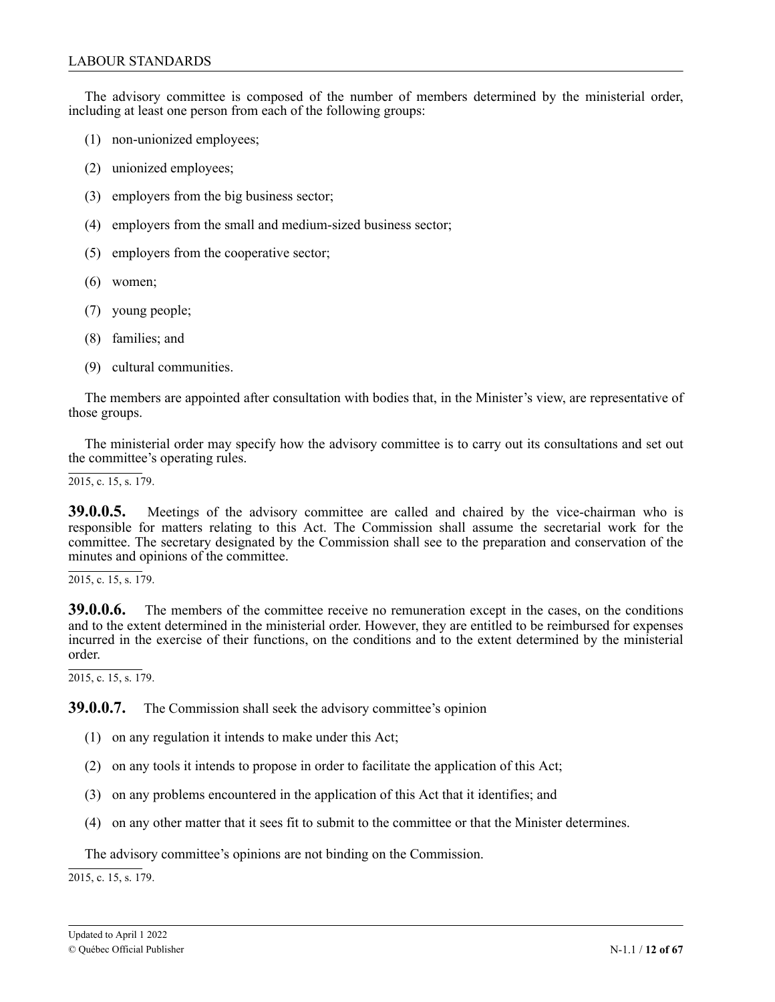The advisory committee is composed of the number of members determined by the ministerial order, including at least one person from each of the following groups:

- (1) non-unionized employees;
- (2) unionized employees;
- (3) employers from the big business sector;
- (4) employers from the small and medium-sized business sector;
- (5) employers from the cooperative sector;
- (6) women;
- (7) young people;
- (8) families; and
- (9) cultural communities.

The members are appointed after consultation with bodies that, in the Minister's view, are representative of those groups.

The ministerial order may specify how the advisory committee is to carry out its consultations and set out the committee's operating rules.

2015, c. 15, s. 179.

**39.0.0.5.** Meetings of the advisory committee are called and chaired by the vice-chairman who is responsible for matters relating to this Act. The Commission shall assume the secretarial work for the committee. The secretary designated by the Commission shall see to the preparation and conservation of the minutes and opinions of the committee.

 $\overline{2015}$ , c. 15, s. 179.

**39.0.0.6.** The members of the committee receive no remuneration except in the cases, on the conditions and to the extent determined in the ministerial order. However, they are entitled to be reimbursed for expenses incurred in the exercise of their functions, on the conditions and to the extent determined by the ministerial order.

2015, c. 15, s. 179.

**39.0.0.7.** The Commission shall seek the advisory committee's opinion

- (1) on any regulation it intends to make under this Act;
- (2) on any tools it intends to propose in order to facilitate the application of this Act;
- (3) on any problems encountered in the application of this Act that it identifies; and
- (4) on any other matter that it sees fit to submit to the committee or that the Minister determines.

The advisory committee's opinions are not binding on the Commission.

2015, c. 15, s. 179.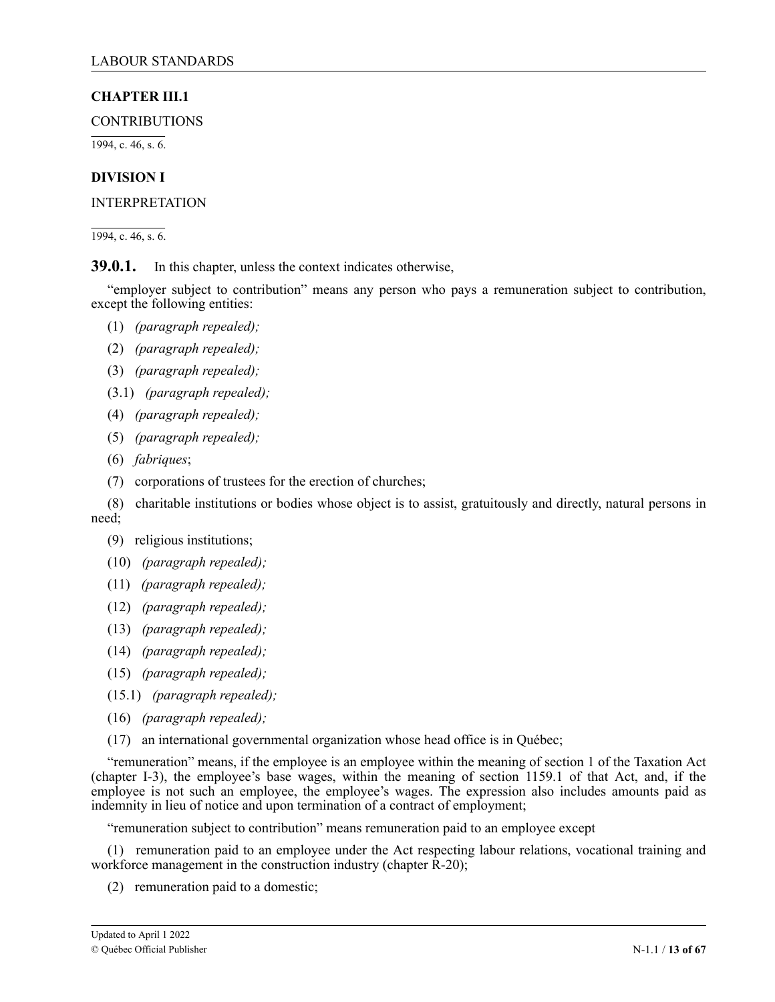# <span id="page-12-0"></span>**CHAPTER III.1**

**CONTRIBUTIONS** 

1994, c. 46, s. 6.

# **DIVISION I**

INTERPRETATION

1994, c. 46, s. 6.

**39.0.1.** In this chapter, unless the context indicates otherwise,

"employer subject to contribution" means any person who pays a remuneration subject to contribution, except the following entities:

- (1) *(paragraph repealed);*
- (2) *(paragraph repealed);*
- (3) *(paragraph repealed);*
- (3.1) *(paragraph repealed);*
- (4) *(paragraph repealed);*
- (5) *(paragraph repealed);*
- (6) *fabriques*;
- (7) corporations of trustees for the erection of churches;
- (8) charitable institutions or bodies whose object is to assist, gratuitously and directly, natural persons in need;
	- (9) religious institutions;
	- (10) *(paragraph repealed);*
	- (11) *(paragraph repealed);*
	- (12) *(paragraph repealed);*
	- (13) *(paragraph repealed);*
	- (14) *(paragraph repealed);*
	- (15) *(paragraph repealed);*
	- (15.1) *(paragraph repealed);*
	- (16) *(paragraph repealed);*
	- (17) an international governmental organization whose head office is in Québec;

"remuneration" means, if the employee is an employee within the meaning of section 1 of the Taxation Act (chapter I-3), the employee's base wages, within the meaning of section 1159.1 of that Act, and, if the employee is not such an employee, the employee's wages. The expression also includes amounts paid as indemnity in lieu of notice and upon termination of a contract of employment;

"remuneration subject to contribution" means remuneration paid to an employee except

(1) remuneration paid to an employee under the Act respecting labour relations, vocational training and workforce management in the construction industry (chapter R-20);

(2) remuneration paid to a domestic;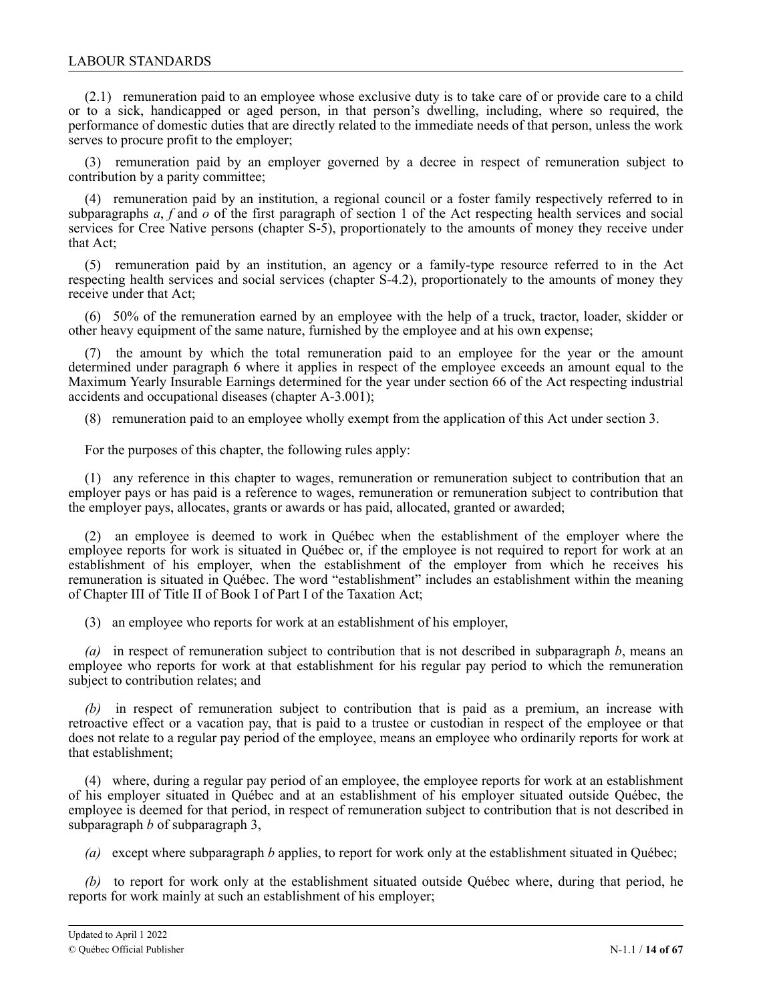(2.1) remuneration paid to an employee whose exclusive duty is to take care of or provide care to a child or to a sick, handicapped or aged person, in that person's dwelling, including, where so required, the performance of domestic duties that are directly related to the immediate needs of that person, unless the work serves to procure profit to the employer;

(3) remuneration paid by an employer governed by a decree in respect of remuneration subject to contribution by a parity committee;

(4) remuneration paid by an institution, a regional council or a foster family respectively referred to in subparagraphs *a*, *f* and *o* of the first paragraph of section 1 of the Act respecting health services and social services for Cree Native persons (chapter S-5), proportionately to the amounts of money they receive under that Act;

(5) remuneration paid by an institution, an agency or a family-type resource referred to in the Act respecting health services and social services (chapter S-4.2), proportionately to the amounts of money they receive under that Act;

(6) 50% of the remuneration earned by an employee with the help of a truck, tractor, loader, skidder or other heavy equipment of the same nature, furnished by the employee and at his own expense;

(7) the amount by which the total remuneration paid to an employee for the year or the amount determined under paragraph 6 where it applies in respect of the employee exceeds an amount equal to the Maximum Yearly Insurable Earnings determined for the year under section 66 of the Act respecting industrial accidents and occupational diseases (chapter A-3.001);

(8) remuneration paid to an employee wholly exempt from the application of this Act under section 3.

For the purposes of this chapter, the following rules apply:

(1) any reference in this chapter to wages, remuneration or remuneration subject to contribution that an employer pays or has paid is a reference to wages, remuneration or remuneration subject to contribution that the employer pays, allocates, grants or awards or has paid, allocated, granted or awarded;

(2) an employee is deemed to work in Québec when the establishment of the employer where the employee reports for work is situated in Québec or, if the employee is not required to report for work at an establishment of his employer, when the establishment of the employer from which he receives his remuneration is situated in Québec. The word "establishment" includes an establishment within the meaning of Chapter III of Title II of Book I of Part I of the Taxation Act;

(3) an employee who reports for work at an establishment of his employer,

*(a)* in respect of remuneration subject to contribution that is not described in subparagraph *b*, means an employee who reports for work at that establishment for his regular pay period to which the remuneration subject to contribution relates; and

*(b)* in respect of remuneration subject to contribution that is paid as a premium, an increase with retroactive effect or a vacation pay, that is paid to a trustee or custodian in respect of the employee or that does not relate to a regular pay period of the employee, means an employee who ordinarily reports for work at that establishment;

(4) where, during a regular pay period of an employee, the employee reports for work at an establishment of his employer situated in Québec and at an establishment of his employer situated outside Québec, the employee is deemed for that period, in respect of remuneration subject to contribution that is not described in subparagraph *b* of subparagraph 3,

*(a)* except where subparagraph *b* applies, to report for work only at the establishment situated in Québec;

*(b)* to report for work only at the establishment situated outside Québec where, during that period, he reports for work mainly at such an establishment of his employer;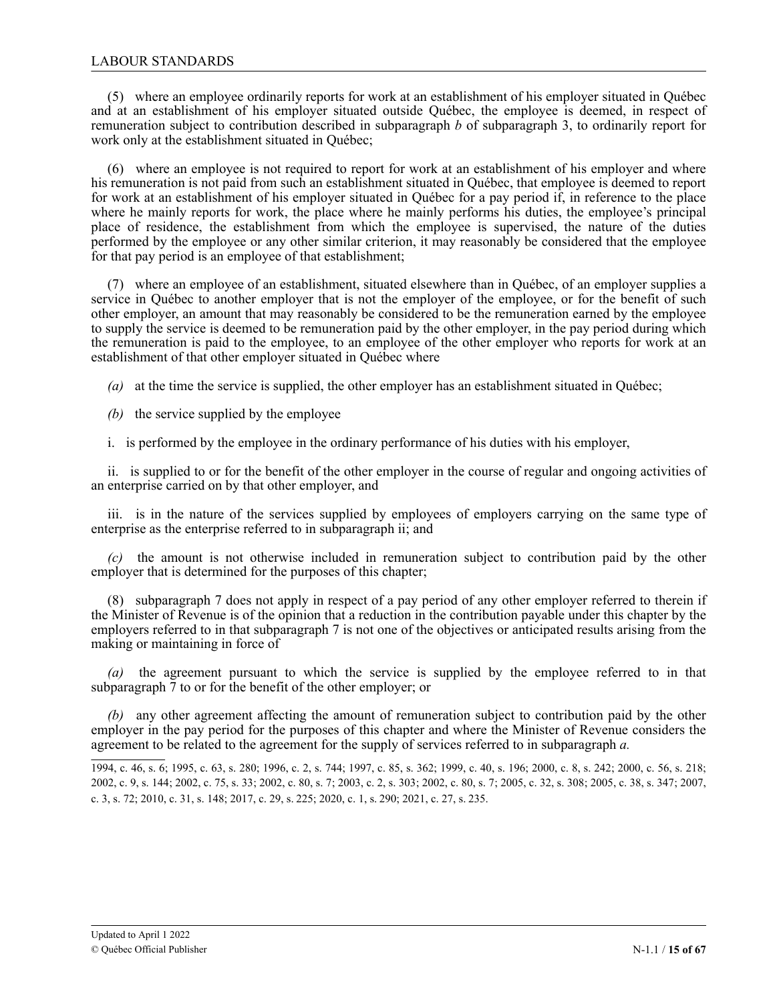(5) where an employee ordinarily reports for work at an establishment of his employer situated in Québec and at an establishment of his employer situated outside Québec, the employee is deemed, in respect of remuneration subject to contribution described in subparagraph *b* of subparagraph 3, to ordinarily report for work only at the establishment situated in Québec;

(6) where an employee is not required to report for work at an establishment of his employer and where his remuneration is not paid from such an establishment situated in Québec, that employee is deemed to report for work at an establishment of his employer situated in Québec for a pay period if, in reference to the place where he mainly reports for work, the place where he mainly performs his duties, the employee's principal place of residence, the establishment from which the employee is supervised, the nature of the duties performed by the employee or any other similar criterion, it may reasonably be considered that the employee for that pay period is an employee of that establishment;

(7) where an employee of an establishment, situated elsewhere than in Québec, of an employer supplies a service in Québec to another employer that is not the employer of the employee, or for the benefit of such other employer, an amount that may reasonably be considered to be the remuneration earned by the employee to supply the service is deemed to be remuneration paid by the other employer, in the pay period during which the remuneration is paid to the employee, to an employee of the other employer who reports for work at an establishment of that other employer situated in Québec where

*(a)* at the time the service is supplied, the other employer has an establishment situated in Québec;

- *(b)* the service supplied by the employee
- i. is performed by the employee in the ordinary performance of his duties with his employer,

ii. is supplied to or for the benefit of the other employer in the course of regular and ongoing activities of an enterprise carried on by that other employer, and

iii. is in the nature of the services supplied by employees of employers carrying on the same type of enterprise as the enterprise referred to in subparagraph ii; and

*(c)* the amount is not otherwise included in remuneration subject to contribution paid by the other employer that is determined for the purposes of this chapter;

(8) subparagraph 7 does not apply in respect of a pay period of any other employer referred to therein if the Minister of Revenue is of the opinion that a reduction in the contribution payable under this chapter by the employers referred to in that subparagraph 7 is not one of the objectives or anticipated results arising from the making or maintaining in force of

*(a)* the agreement pursuant to which the service is supplied by the employee referred to in that subparagraph 7 to or for the benefit of the other employer; or

*(b)* any other agreement affecting the amount of remuneration subject to contribution paid by the other employer in the pay period for the purposes of this chapter and where the Minister of Revenue considers the agreement to be related to the agreement for the supply of services referred to in subparagraph *a.*

<sup>1994,</sup> c. 46, s. 6; 1995, c. 63, s. 280; 1996, c. 2, s. 744; 1997, c. 85, s. 362; 1999, c. 40, s. 196; 2000, c. 8, s. 242; 2000, c. 56, s. 218; 2002, c. 9, s. 144; 2002, c. 75, s. 33; 2002, c. 80, s. 7; 2003, c. 2, s. 303; 2002, c. 80, s. 7; 2005, c. 32, s. 308; 2005, c. 38, s. 347; 2007, c. 3, s. 72; 2010, c. 31, s. 148; 2017, c. 29, s. 225; 2020, c. 1, s. 290; 2021, c. 27, s. 235.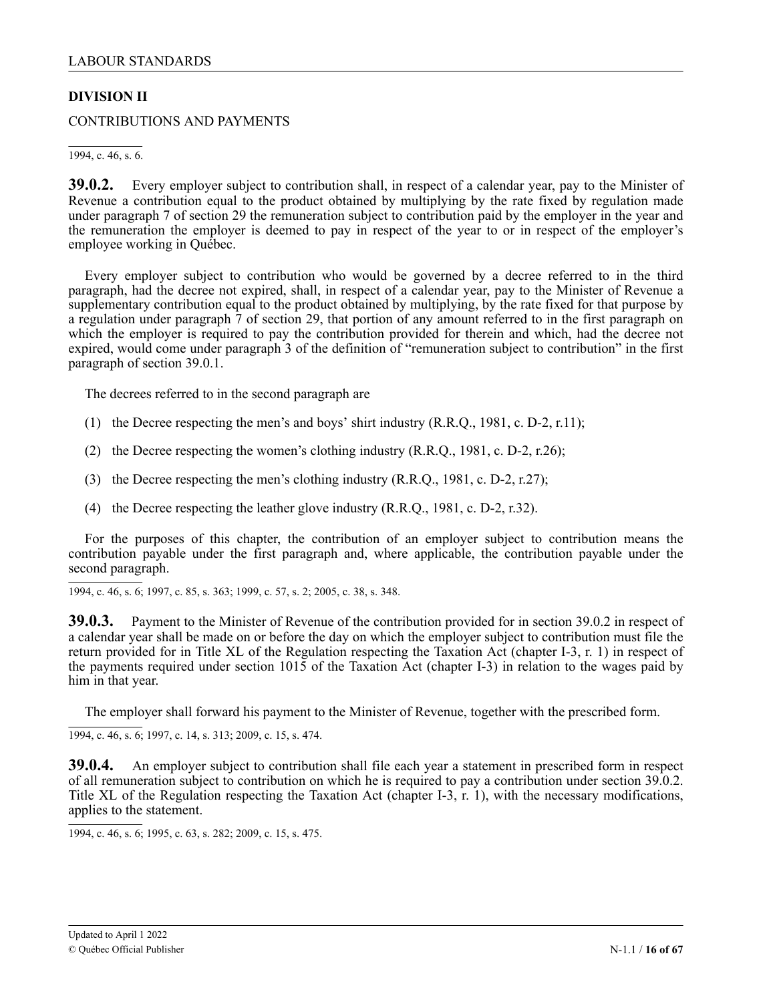# <span id="page-15-0"></span>**DIVISION II**

CONTRIBUTIONS AND PAYMENTS

1994, c. 46, s. 6.

**39.0.2.** Every employer subject to contribution shall, in respect of a calendar year, pay to the Minister of Revenue a contribution equal to the product obtained by multiplying by the rate fixed by regulation made under paragraph 7 of section 29 the remuneration subject to contribution paid by the employer in the year and the remuneration the employer is deemed to pay in respect of the year to or in respect of the employer's employee working in Québec.

Every employer subject to contribution who would be governed by a decree referred to in the third paragraph, had the decree not expired, shall, in respect of a calendar year, pay to the Minister of Revenue a supplementary contribution equal to the product obtained by multiplying, by the rate fixed for that purpose by a regulation under paragraph 7 of section 29, that portion of any amount referred to in the first paragraph on which the employer is required to pay the contribution provided for therein and which, had the decree not expired, would come under paragraph 3 of the definition of "remuneration subject to contribution" in the first paragraph of section 39.0.1.

The decrees referred to in the second paragraph are

- (1) the Decree respecting the men's and boys' shirt industry (R.R.Q., 1981, c. D-2, r.11);
- (2) the Decree respecting the women's clothing industry (R.R.Q., 1981, c. D-2, r.26);
- (3) the Decree respecting the men's clothing industry (R.R.Q., 1981, c. D-2, r.27);
- (4) the Decree respecting the leather glove industry (R.R.Q., 1981, c. D-2, r.32).

For the purposes of this chapter, the contribution of an employer subject to contribution means the contribution payable under the first paragraph and, where applicable, the contribution payable under the second paragraph.

1994, c. 46, s. 6; 1997, c. 85, s. 363; 1999, c. 57, s. 2; 2005, c. 38, s. 348.

**39.0.3.** Payment to the Minister of Revenue of the contribution provided for in section 39.0.2 in respect of a calendar year shall be made on or before the day on which the employer subject to contribution must file the return provided for in Title XL of the Regulation respecting the Taxation Act (chapter I-3, r. 1) in respect of the payments required under section 1015 of the Taxation Act (chapter I-3) in relation to the wages paid by him in that year.

The employer shall forward his payment to the Minister of Revenue, together with the prescribed form.

1994, c. 46, s. 6; 1997, c. 14, s. 313; 2009, c. 15, s. 474.

**39.0.4.** An employer subject to contribution shall file each year a statement in prescribed form in respect of all remuneration subject to contribution on which he is required to pay a contribution under section 39.0.2. Title XL of the Regulation respecting the Taxation Act (chapter I-3, r. 1), with the necessary modifications, applies to the statement.

<sup>1994,</sup> c. 46, s. 6; 1995, c. 63, s. 282; 2009, c. 15, s. 475.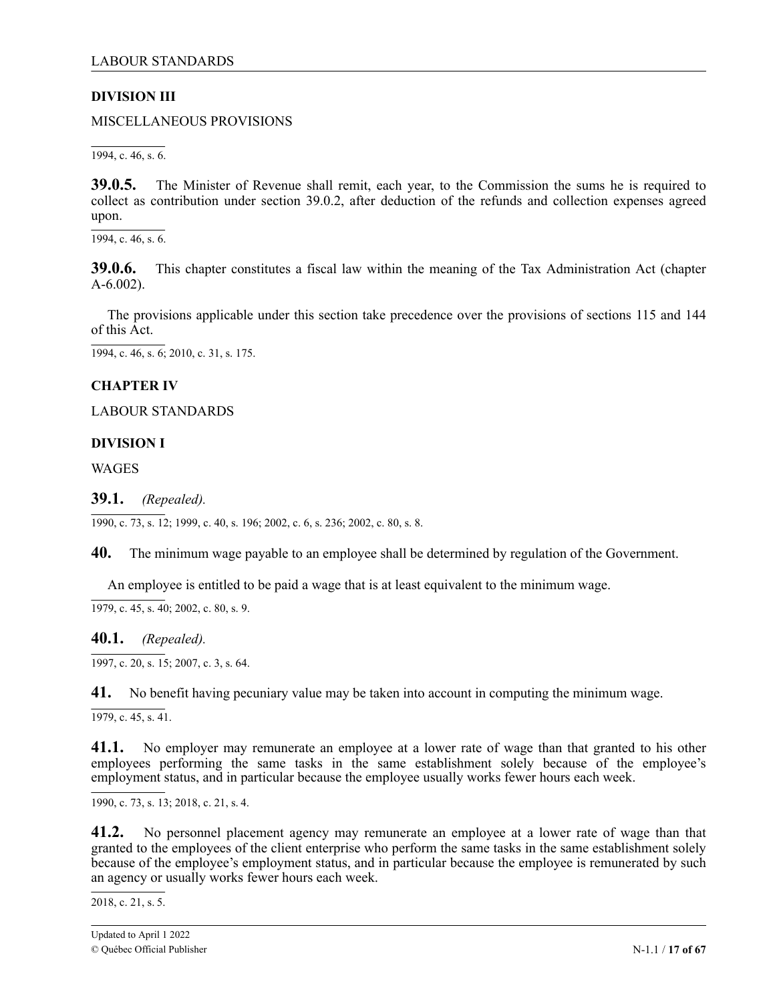# <span id="page-16-0"></span>**DIVISION III**

MISCELLANEOUS PROVISIONS

1994, c. 46, s. 6.

**39.0.5.** The Minister of Revenue shall remit, each year, to the Commission the sums he is required to collect as contribution under section 39.0.2, after deduction of the refunds and collection expenses agreed upon.

1994, c. 46, s. 6.

**39.0.6.** This chapter constitutes a fiscal law within the meaning of the Tax Administration Act (chapter A-6.002).

The provisions applicable under this section take precedence over the provisions of sections 115 and 144 of this Act.

1994, c. 46, s. 6; 2010, c. 31, s. 175.

# **CHAPTER IV**

LABOUR STANDARDS

### **DIVISION I**

WAGES

# **39.1.** *(Repealed).*

1990, c. 73, s. 12; 1999, c. 40, s. 196; 2002, c. 6, s. 236; 2002, c. 80, s. 8.

**40.** The minimum wage payable to an employee shall be determined by regulation of the Government.

An employee is entitled to be paid a wage that is at least equivalent to the minimum wage.

 $\overline{1979, c. 45, s. 40}$ ; 2002, c. 80, s. 9.

**40.1.** *(Repealed).*

1997, c. 20, s. 15; 2007, c. 3, s. 64.

**41.** No benefit having pecuniary value may be taken into account in computing the minimum wage.

 $\overline{1979, c. 45, s. 41}.$ 

**41.1.** No employer may remunerate an employee at a lower rate of wage than that granted to his other employees performing the same tasks in the same establishment solely because of the employee's employment status, and in particular because the employee usually works fewer hours each week.

1990, c. 73, s. 13; 2018, c. 21, s. 4.

1 **41.2.** No personnel placement agency may remunerate an employee at a lower rate of wage than that granted to the employees of the client enterprise who perform the same tasks in the same establishment solely because of the employee's employment status, and in particular because the employee is remunerated by such an agency or usually works fewer hours each week.

2018, c. 21, s. 5.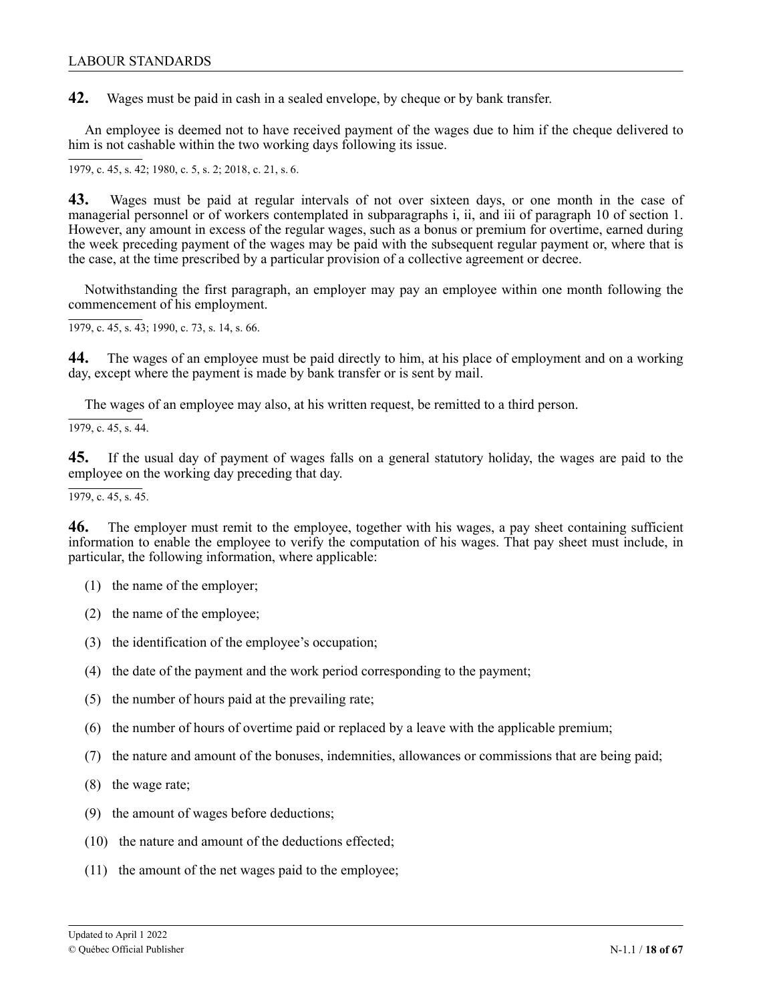**42.** Wages must be paid in cash in a sealed envelope, by cheque or by bank transfer.

An employee is deemed not to have received payment of the wages due to him if the cheque delivered to him is not cashable within the two working days following its issue.

1979, c. 45, s. 42; 1980, c. 5, s. 2; 2018, c. 21, s. 6.

1 **43.** Wages must be paid at regular intervals of not over sixteen days, or one month in the case of managerial personnel or of workers contemplated in subparagraphs i, ii, and iii of paragraph 10 of section 1. However, any amount in excess of the regular wages, such as a bonus or premium for overtime, earned during the week preceding payment of the wages may be paid with the subsequent regular payment or, where that is . the case, at the time prescribed by a particular provision of a collective agreement or decree.

1 Notwithstanding the first paragraph, an employer may pay an employee within one month following the commencement of his employment.

1979, c. 45, s. 43; 1990, c. 73, s. 14, s. 66.

**44.** The wages of an employee must be paid directly to him, at his place of employment and on a working day, except where the payment is made by bank transfer or is sent by mail.

The wages of an employee may also, at his written request, be remitted to a third person.

 $\overline{1979, c. 45, s. 44}$ .

**45.** If the usual day of payment of wages falls on a general statutory holiday, the wages are paid to the employee on the working day preceding that day.

 $\overline{1979, c. 45, s. 45}.$ 

**46.** The employer must remit to the employee, together with his wages, a pay sheet containing sufficient information to enable the employee to verify the computation of his wages. That pay sheet must include, in particular, the following information, where applicable:

- (1) the name of the employer;
- (2) the name of the employee;
- (3) the identification of the employee's occupation;
- (4) the date of the payment and the work period corresponding to the payment;
- (5) the number of hours paid at the prevailing rate;
- (6) the number of hours of overtime paid or replaced by a leave with the applicable premium;
- (7) the nature and amount of the bonuses, indemnities, allowances or commissions that are being paid;
- (8) the wage rate;
- (9) the amount of wages before deductions;
- (10) the nature and amount of the deductions effected;
- (11) the amount of the net wages paid to the employee;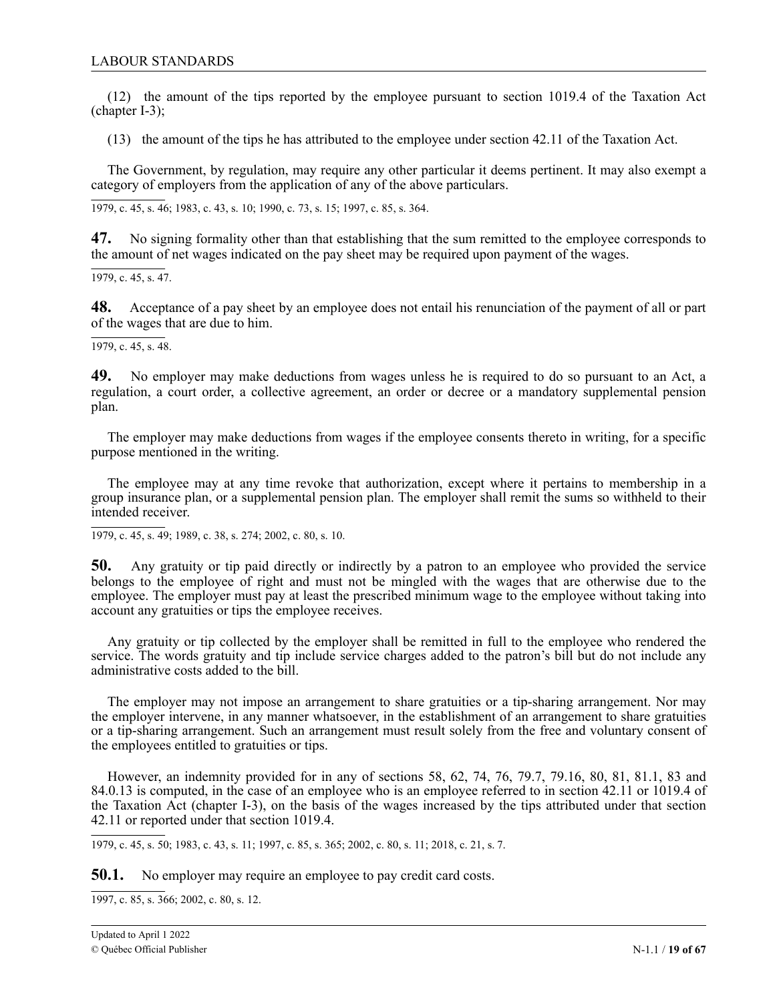(12) the amount of the tips reported by the employee pursuant to section 1019.4 of the Taxation Act (chapter I-3);

(13) the amount of the tips he has attributed to the employee under section 42.11 of the Taxation Act.

The Government, by regulation, may require any other particular it deems pertinent. It may also exempt a category of employers from the application of any of the above particulars.

1979, c. 45, s. 46; 1983, c. 43, s. 10; 1990, c. 73, s. 15; 1997, c. 85, s. 364.

**47.** No signing formality other than that establishing that the sum remitted to the employee corresponds to the amount of net wages indicated on the pay sheet may be required upon payment of the wages.

1979, c. 45, s. 47.

**48.** Acceptance of a pay sheet by an employee does not entail his renunciation of the payment of all or part of the wages that are due to him.

1979, c. 45, s. 48.

**49.** No employer may make deductions from wages unless he is required to do so pursuant to an Act, a regulation, a court order, a collective agreement, an order or decree or a mandatory supplemental pension plan.

The employer may make deductions from wages if the employee consents thereto in writing, for a specific purpose mentioned in the writing.

The employee may at any time revoke that authorization, except where it pertains to membership in a group insurance plan, or a supplemental pension plan. The employer shall remit the sums so withheld to their intended receiver.

1979, c. 45, s. 49; 1989, c. 38, s. 274; 2002, c. 80, s. 10.

**50.** Any gratuity or tip paid directly or indirectly by a patron to an employee who provided the service belongs to the employee of right and must not be mingled with the wages that are otherwise due to the employee. The employer must pay at least the prescribed minimum wage to the employee without taking into account any gratuities or tips the employee receives.

Any gratuity or tip collected by the employer shall be remitted in full to the employee who rendered the service. The words gratuity and tip include service charges added to the patron's bill but do not include any administrative costs added to the bill.

The employer may not impose an arrangement to share gratuities or a tip-sharing arrangement. Nor may the employer intervene, in any manner whatsoever, in the establishment of an arrangement to share gratuities or a tip-sharing arrangement. Such an arrangement must result solely from the free and voluntary consent of the employees entitled to gratuities or tips.

However, an indemnity provided for in any of sections 58, 62, 74, 76, 79.7, 79.16, 80, 81, 81.1, 83 and 84.0.13 is computed, in the case of an employee who is an employee referred to in section 42.11 or 1019.4 of the Taxation Act (chapter I-3), on the basis of the wages increased by the tips attributed under that section 42.11 or reported under that section 1019.4.

1979, c. 45, s. 50; 1983, c. 43, s. 11; 1997, c. 85, s. 365; 2002, c. 80, s. 11; 2018, c. 21, s. 7.

**50.1.** No employer may require an employee to pay credit card costs.

1997, c. 85, s. 366; 2002, c. 80, s. 12.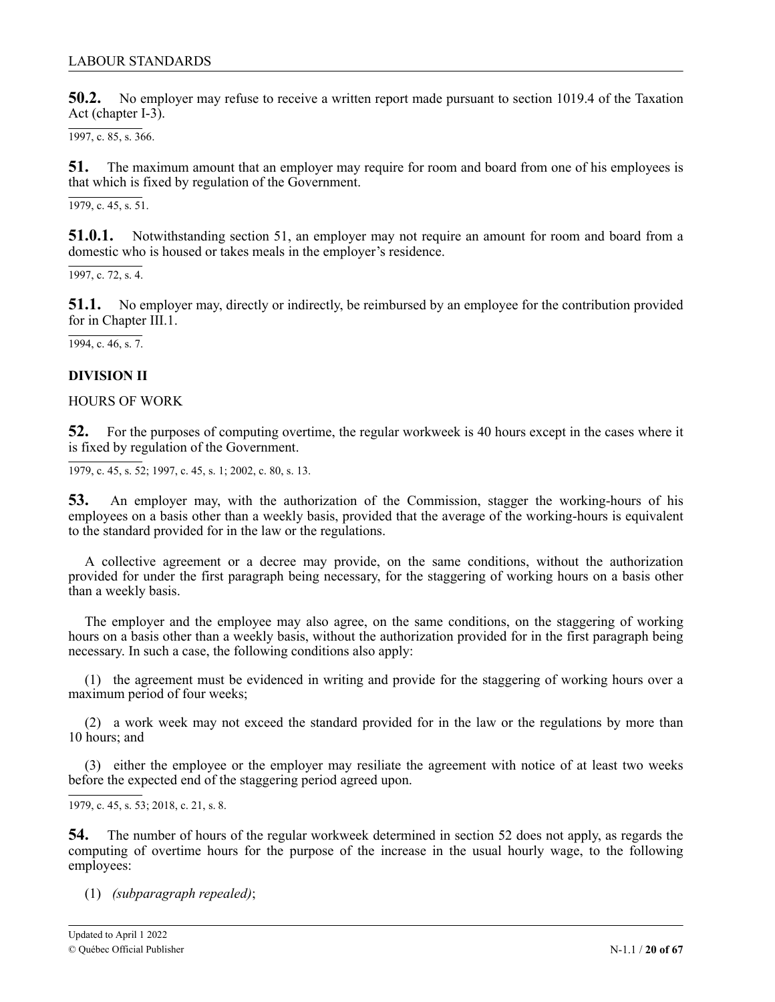<span id="page-19-0"></span>**50.2.** No employer may refuse to receive a written report made pursuant to section 1019.4 of the Taxation Act (chapter I-3).

1997, c. 85, s. 366.

**51.** The maximum amount that an employer may require for room and board from one of his employees is that which is fixed by regulation of the Government.

1979, c. 45, s. 51.

**51.0.1.** Notwithstanding section 51, an employer may not require an amount for room and board from a domestic who is housed or takes meals in the employer's residence.

1997, c. 72, s. 4.

**51.1.** No employer may, directly or indirectly, be reimbursed by an employee for the contribution provided for in Chapter III.1.

 $\overline{1994, c. 46, s. 7}.$ 

# **DIVISION II**

### HOURS OF WORK

**52.** For the purposes of computing overtime, the regular workweek is 40 hours except in the cases where it is fixed by regulation of the Government.

1979, c. 45, s. 52; 1997, c. 45, s. 1; 2002, c. 80, s. 13.

**53.** An employer may, with the authorization of the Commission, stagger the working-hours of his employees on a basis other than a weekly basis, provided that the average of the working-hours is equivalent to the standard provided for in the law or the regulations.

A collective agreement or a decree may provide, on the same conditions, without the authorization provided for under the first paragraph being necessary, for the staggering of working hours on a basis other than a weekly basis.

The employer and the employee may also agree, on the same conditions, on the staggering of working hours on a basis other than a weekly basis, without the authorization provided for in the first paragraph being necessary. In such a case, the following conditions also apply:

(1) the agreement must be evidenced in writing and provide for the staggering of working hours over a maximum period of four weeks;

(2) a work week may not exceed the standard provided for in the law or the regulations by more than 10 hours; and

(3) either the employee or the employer may resiliate the agreement with notice of at least two weeks before the expected end of the staggering period agreed upon.

1979, c. 45, s. 53; 2 2018, c. 21, s. 8.1

54. The number of hours of the regular workweek determined in section 52 does not apply, as regards the computing of overtime hours for the purpose of the increase in the usual hourly wage, to the following employees:

. (1) *(subparagraph repealed)*;

 $\overline{1}$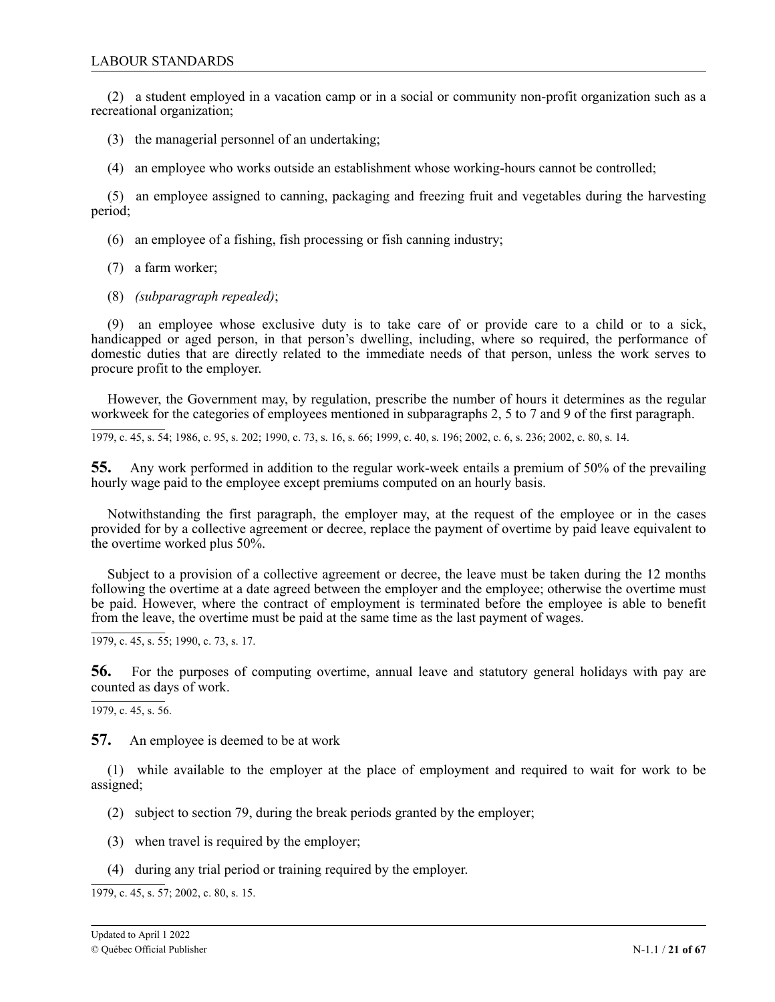(2) a student employed in a vacation camp or in a social or community non-profit organization such as a recreational organization;

(3) the managerial personnel of an undertaking;

(4) an employee who works outside an establishment whose working-hours cannot be controlled;

(5) an employee assigned to canning, packaging and freezing fruit and vegetables during the harvesting period;

- (6) an employee of a fishing, fish processing or fish canning industry;
- (7) a farm worker;
- (8) *(subparagraph repealed)*;

(9) an employee whose exclusive duty is to take care of or provide care to a child or to a sick, handicapped or aged person, in that person's dwelling, including, where so required, the performance of domestic duties that are directly related to the immediate needs of that person, unless the work serves to procure profit to the employer.

However, the Government may, by regulation, prescribe the number of hours it determines as the regular workweek for the categories of employees mentioned in subparagraphs 2, 5 to 7 and 9 of the first paragraph.

1979, c. 45, s. 54; 1986, c. 95, s. 202; 1990, c. 73, s. 16, s. 66; 1999, c. 40, s. 196; 2002, c. 6, s. 236; 2002, c. 80, s. 14.

**55.** Any work performed in addition to the regular work-week entails a premium of 50% of the prevailing hourly wage paid to the employee except premiums computed on an hourly basis.

Notwithstanding the first paragraph, the employer may, at the request of the employee or in the cases provided for by a collective agreement or decree, replace the payment of overtime by paid leave equivalent to the overtime worked plus 50%.

Subject to a provision of a collective agreement or decree, the leave must be taken during the 12 months following the overtime at a date agreed between the employer and the employee; otherwise the overtime must be paid. However, where the contract of employment is terminated before the employee is able to benefit from the leave, the overtime must be paid at the same time as the last payment of wages.

1979, c. 45, s. 55; 1990, c. 73, s. 17.

**56.** For the purposes of computing overtime, annual leave and statutory general holidays with pay are counted as days of work.

1979, c. 45, s. 56.

**57.** An employee is deemed to be at work

(1) while available to the employer at the place of employment and required to wait for work to be assigned;

- (2) subject to section 79, during the break periods granted by the employer;
- (3) when travel is required by the employer;
- (4) during any trial period or training required by the employer.

 $1979, c. 45, s. 57; 2002, c. 80, s. 15.$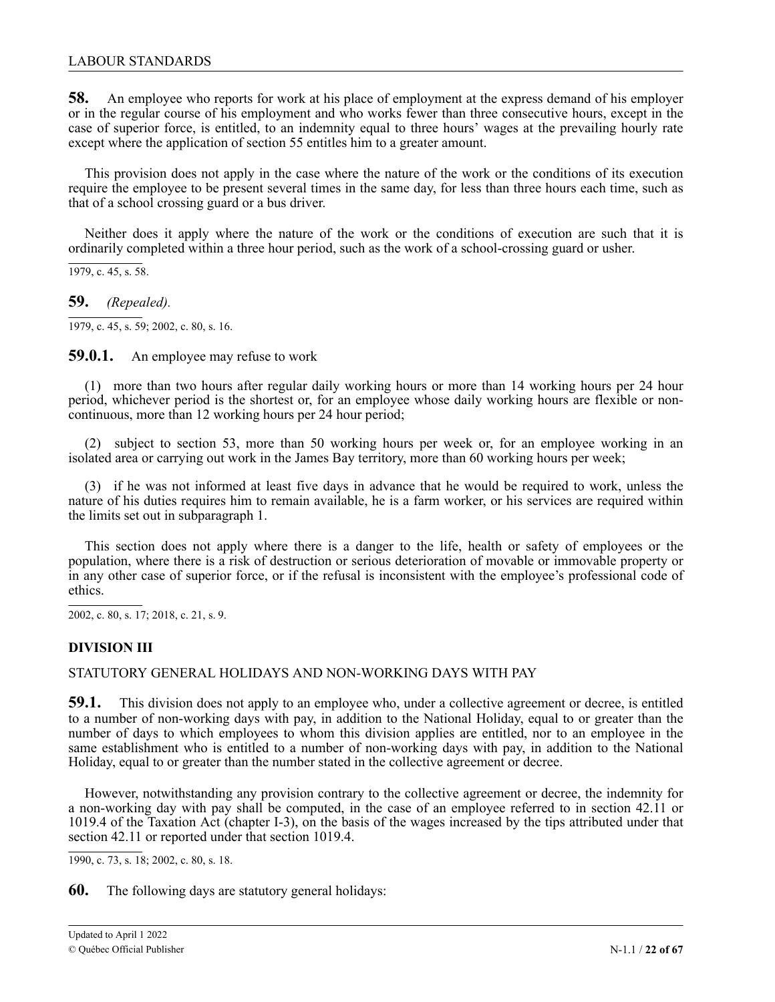<span id="page-21-0"></span>**58.** An employee who reports for work at his place of employment at the express demand of his employer or in the regular course of his employment and who works fewer than three consecutive hours, except in the case of superior force, is entitled, to an indemnity equal to three hours' wages at the prevailing hourly rate except where the application of section 55 entitles him to a greater amount.

This provision does not apply in the case where the nature of the work or the conditions of its execution require the employee to be present several times in the same day, for less than three hours each time, such as that of a school crossing guard or a bus driver.

Neither does it apply where the nature of the work or the conditions of execution are such that it is ordinarily completed within a three hour period, such as the work of a school-crossing guard or usher.

 $\overline{1979, c. 45, s. 58}.$ 

**59.** *(Repealed).*

1979, c. 45, s. 59; 2002, c. 80, s. 16.

**59.0.1.** An employee may refuse to work

(1) more than two hours after regular daily working hours or more than 14 working hours per 24 hour period, whichever period is the shortest or, for an employee whose daily working hours are flexible or noncontinuous, more than 12 working hours per 24 hour period;

(2) subject to section 53, more than 50 working hours per week or, for an employee working in an isolated area or carrying out work in the James Bay territory, more than 60 working hours per week;

(3) if he was not informed at least five days in advance that he would be required to work, unless the nature of his duties requires him to remain available, he is a farm worker, or his services are required within the limits set out in subparagraph 1.

This section does not apply where there is a danger to the life, health or safety of employees or the population, where there is a risk of destruction or serious deterioration of movable or immovable property or in any other case of superior force, or if the refusal is inconsistent with the employee's professional code of ethics.

2002, c. 80, s. 17; 2 2018, c. 21, s. 9.1

# 1 **DIVISION III**

, STATUTORY GENERAL HOLIDAYS AND NON-WORKING DAYS WITH PAY

59.1. This division does not apply to an employee who, under a collective agreement or decree, is entitled 2 to a number of non-working days with pay, in addition to the National Holiday, equal to or greater than the number of days to which employees to whom this division applies are entitled, nor to an employee in the same establishment who is entitled to a number of non-working days with pay, in addition to the National Holiday, equal to or greater than the number stated in the collective agreement or decree.

However, notwithstanding any provision contrary to the collective agreement or decree, the indemnity for a non-working day with pay shall be computed, in the case of an employee referred to in section 42.11 or 1019.4 of the Taxation Act (chapter I-3), on the basis of the wages increased by the tips attributed under that section 42.11 or reported under that section 1019.4.

1990, c. 73, s. 18; 2002, c. 80, s. 18.

**60.** The following days are statutory general holidays: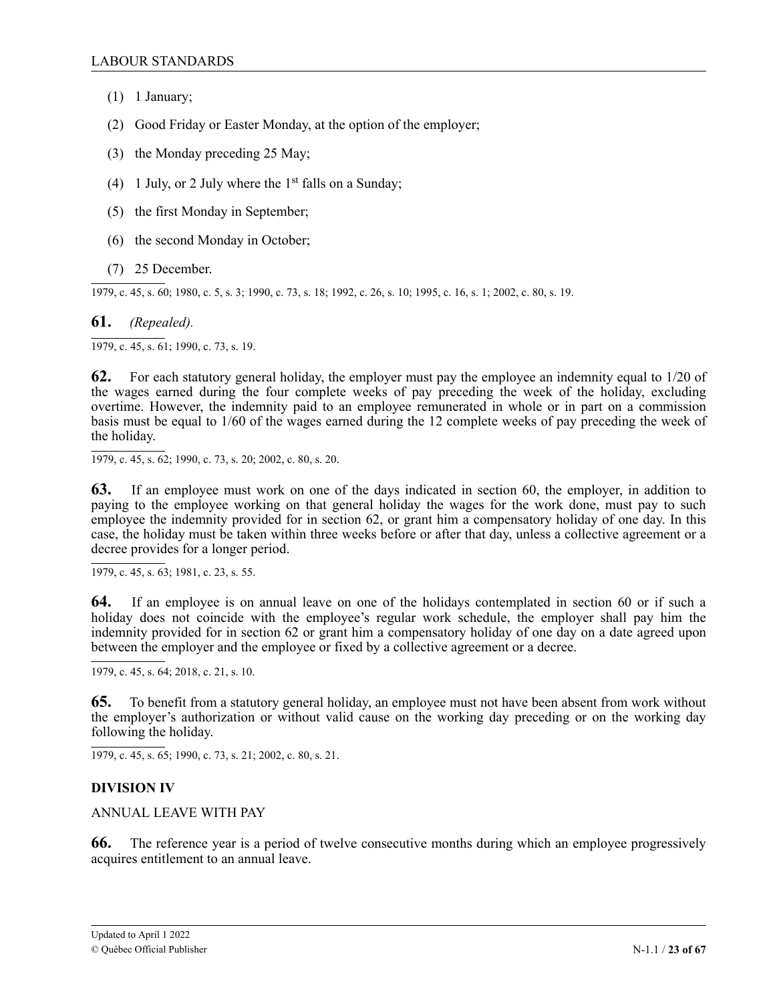- <span id="page-22-0"></span>(1) 1 January;
- (2) Good Friday or Easter Monday, at the option of the employer;
- (3) the Monday preceding 25 May;
- (4) 1 July, or 2 July where the  $1<sup>st</sup>$  falls on a Sunday;
- (5) the first Monday in September;
- (6) the second Monday in October;
- (7) 25 December.

1979, c. 45, s. 60; 1980, c. 5, s. 3; 1990, c. 73, s. 18; 1992, c. 26, s. 10; 1995, c. 16, s. 1; 2002, c. 80, s. 19.

**61.** *(Repealed).*

 $\overline{1979, c. 45, s. 61}$ ; 1990, c. 73, s. 19.

**62.** For each statutory general holiday, the employer must pay the employee an indemnity equal to 1/20 of the wages earned during the four complete weeks of pay preceding the week of the holiday, excluding overtime. However, the indemnity paid to an employee remunerated in whole or in part on a commission basis must be equal to 1/60 of the wages earned during the 12 complete weeks of pay preceding the week of the holiday.

1979, c. 45, s. 62; 1990, c. 73, s. 20; 2002, c. 80, s. 20.

**63.** If an employee must work on one of the days indicated in section 60, the employer, in addition to paying to the employee working on that general holiday the wages for the work done, must pay to such employee the indemnity provided for in section 62, or grant him a compensatory holiday of one day. In this case, the holiday must be taken within three weeks before or after that day, unless a collective agreement or a decree provides for a longer period.

1979, c. 45, s. 63; 1981, c. 23, s. 55.

**64.** If an employee is on annual leave on one of the holidays contemplated in section 60 or if such a holiday does not coincide with the employee's regular work schedule, the employer shall pay him the indemnity provided for in section 62 or grant him a compensatory holiday of one day on a date agreed upon between the employer and the employee or fixed by a collective agreement or a decree.

1979, c. 45, s. 64; 2018, c. 21, s. 10.

1 **65.** To benefit from a statutory general holiday, an employee must not have been absent from work without the employer's authorization or without valid cause on the working day preceding or on the working day following the holiday.

. 1979, c. 45, s. 65; 1990, c. 73, s. 21; 2002, c. 80, s. 21.

# 1 **DIVISION IV**

ANNUAL LEAVE WITH PAY

**66.** The reference year is a period of twelve consecutive months during which an employee progressively acquires entitlement to an annual leave.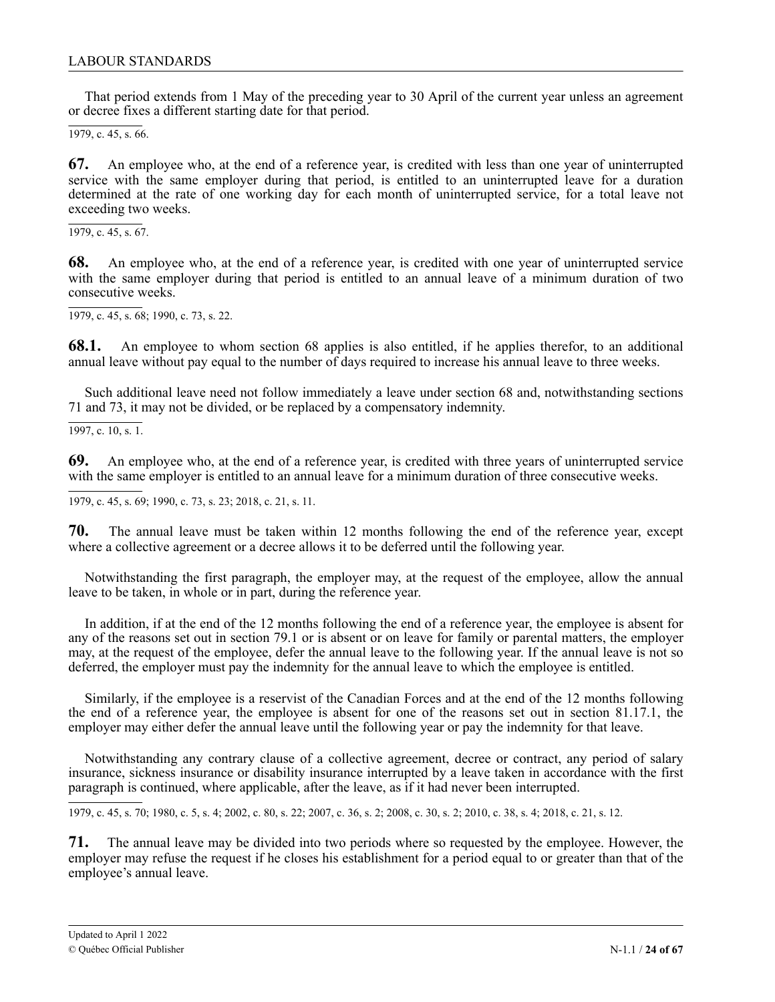That period extends from 1 May of the preceding year to 30 April of the current year unless an agreement or decree fixes a different starting date for that period.

1979, c. 45, s. 66.

**67.** An employee who, at the end of a reference year, is credited with less than one year of uninterrupted service with the same employer during that period, is entitled to an uninterrupted leave for a duration determined at the rate of one working day for each month of uninterrupted service, for a total leave not exceeding two weeks.

 $\overline{1979, c. 45, s. 67}.$ 

**68.** An employee who, at the end of a reference year, is credited with one year of uninterrupted service with the same employer during that period is entitled to an annual leave of a minimum duration of two consecutive weeks.

1979, c. 45, s. 68; 1990, c. 73, s. 22.

**68.1.** An employee to whom section 68 applies is also entitled, if he applies therefor, to an additional annual leave without pay equal to the number of days required to increase his annual leave to three weeks.

Such additional leave need not follow immediately a leave under section 68 and, notwithstanding sections 71 and 73, it may not be divided, or be replaced by a compensatory indemnity.

1997, c. 10, s. 1.

**69.** An employee who, at the end of a reference year, is credited with three years of uninterrupted service with the same employer is entitled to an annual leave for a minimum duration of three consecutive weeks.

1979, c. 45, s. 69; 1990, c. 73, s. 23; 2018, c. 21, s. 11.

1 **70.** The annual leave must be taken within 12 months following the end of the reference year, except where a collective agreement or a decree allows it to be deferred until the following year.

Notwithstanding the first paragraph, the employer may, at the request of the employee, allow the annual leave to be taken, in whole or in part, during the reference year.

In addition, if at the end of the 12 months following the end of a reference year, the employee is absent for any of the reasons set out in section 79.1 or is absent or on leave for family or parental matters, the employer may, at the request of the employee, defer the annual leave to the following year. If the annual leave is not so deferred, the employer must pay the indemnity for the annual leave to which the employee is entitled.

Similarly, if the employee is a reservist of the Canadian Forces and at the end of the 12 months following the end of a reference year, the employee is absent for one of the reasons set out in section 81.17.1, the employer may either defer the annual leave until the following year or pay the indemnity for that leave.

Notwithstanding any contrary clause of a collective agreement, decree or contract, any period of salary insurance, sickness insurance or disability insurance interrupted by a leave taken in accordance with the first paragraph is continued, where applicable, after the leave, as if it had never been interrupted.

1979, c. 45, s. 70; 1980, c. 5, s. 4; 2002, c. 80, s. 22; 2007, c. 36, s. 2; 2008, c. 30, s. 2; 2010, c. 38, s. 4; 2018, c. 21, s. 12.

1 **71.** The annual leave may be divided into two periods where so requested by the employee. However, the employer may refuse the request if he closes his establishment for a period equal to or greater than that of the employee's annual leave.

1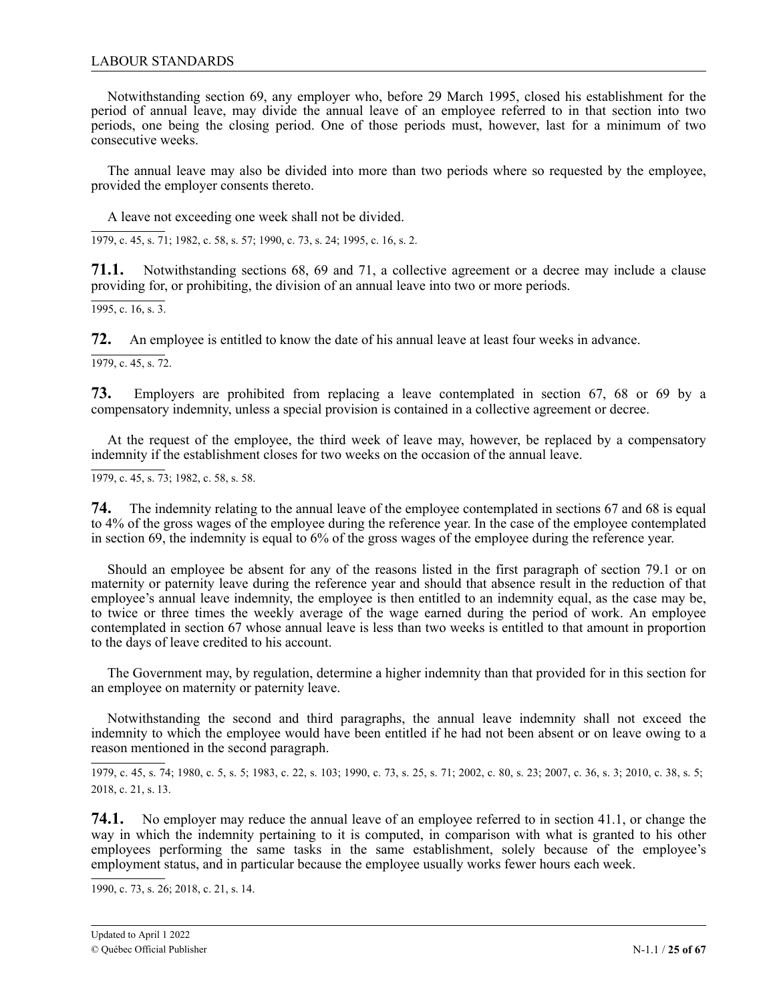### LABOUR STANDARDS

Notwithstanding section 69, any employer who, before 29 March 1995, closed his establishment for the period of annual leave, may divide the annual leave of an employee referred to in that section into two periods, one being the closing period. One of those periods must, however, last for a minimum of two consecutive weeks.

The annual leave may also be divided into more than two periods where so requested by the employee, provided the employer consents thereto.

A leave not exceeding one week shall not be divided.

1979, c. 45, s. 71; 1982, c. 58, s. 57; 1990, c. 73, s. 24; 1995, c. 16, s. 2.

**71.1.** Notwithstanding sections 68, 69 and 71, a collective agreement or a decree may include a clause providing for, or prohibiting, the division of an annual leave into two or more periods.

 $\overline{1995, c. 16, s. 3}.$ 

**72.** An employee is entitled to know the date of his annual leave at least four weeks in advance.

 $\overline{1979, c. 45, s. 72}.$ 

**73.** Employers are prohibited from replacing a leave contemplated in section 67, 68 or 69 by a compensatory indemnity, unless a special provision is contained in a collective agreement or decree.

At the request of the employee, the third week of leave may, however, be replaced by a compensatory indemnity if the establishment closes for two weeks on the occasion of the annual leave.

1979, c. 45, s. 73; 1982, c. 58, s. 58.

**74.** The indemnity relating to the annual leave of the employee contemplated in sections 67 and 68 is equal to 4% of the gross wages of the employee during the reference year. In the case of the employee contemplated in section 69, the indemnity is equal to 6% of the gross wages of the employee during the reference year.

Should an employee be absent for any of the reasons listed in the first paragraph of section 79.1 or on maternity or paternity leave during the reference year and should that absence result in the reduction of that employee's annual leave indemnity, the employee is then entitled to an indemnity equal, as the case may be, to twice or three times the weekly average of the wage earned during the period of work. An employee contemplated in section 67 whose annual leave is less than two weeks is entitled to that amount in proportion to the days of leave credited to his account.

The Government may, by regulation, determine a higher indemnity than that provided for in this section for an employee on maternity or paternity leave.

Notwithstanding the second and third paragraphs, the annual leave indemnity shall not exceed the indemnity to which the employee would have been entitled if he had not been absent or on leave owing to a reason mentioned in the second paragraph.

1979, c. 45, s. 74; 1980, c. 5, s. 5; 1983, c. 22, s. 103; 1990, c. 73, s. 25, s. 71; 2002, c. 80, s. 23; 2007, c. 36, s. 3; 2010, c. 38, s. 5; 2 2018, c. 21, s. 13.

74.1. No employer may reduce the annual leave of an employee referred to in section 41.1, or change the way in which the indemnity pertaining to it is computed, in comparison with what is granted to his other employees performing the same tasks in the same establishment, solely because of the employee's employment status, and in particular because the employee usually works fewer hours each week.

1990, c. 73, s. 26; 2 2018, c. 21, s. 14.1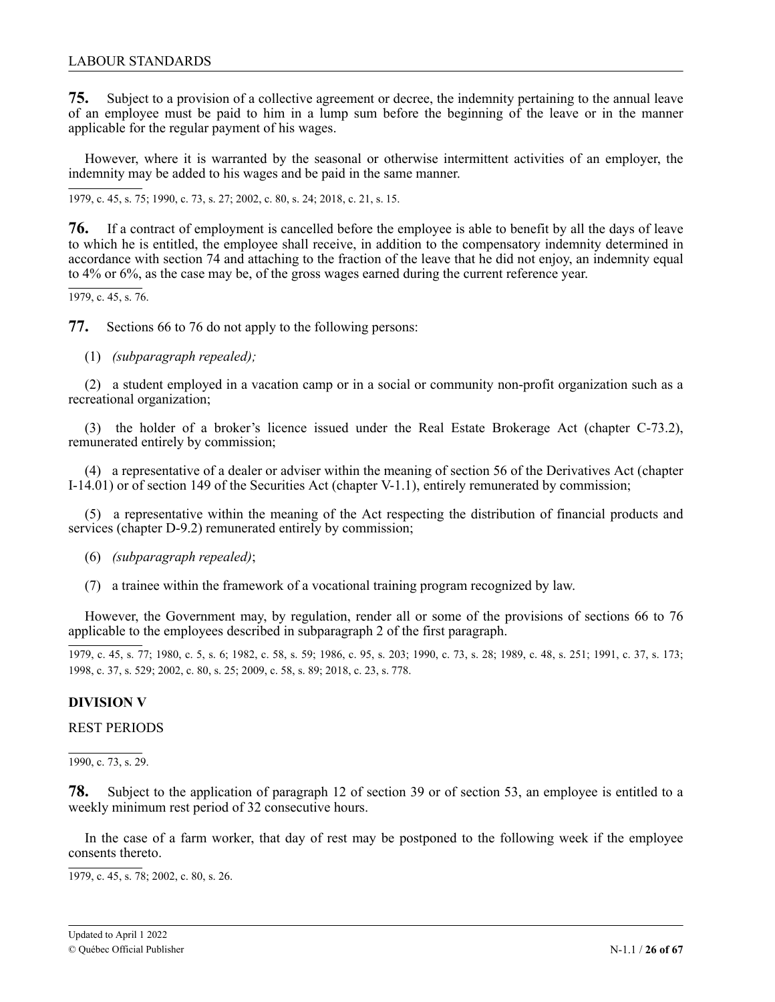<span id="page-25-0"></span>**75.** Subject to a provision of a collective agreement or decree, the indemnity pertaining to the annual leave of an employee must be paid to him in a lump sum before the beginning of the leave or in the manner applicable for the regular payment of his wages.

However, where it is warranted by the seasonal or otherwise intermittent activities of an employer, the indemnity may be added to his wages and be paid in the same manner.

1979, c. 45, s. 75; 1990, c. 73, s. 27; 2002, c. 80, s. 24; 2 2018, c. 21, s. 15.12

1 **76.** If a contract of employment is cancelled before the employee is able to benefit by all the days of leave to which he is entitled, the employee shall receive, in addition to the compensatory indemnity determined in accordance with section 74 and attaching to the fraction of the leave that he did not enjoy, an indemnity equal to 4% or 6%, as the case may be, of the gross wages earned during the current reference year.

1979, c. 45, s. 76.

**77.** Sections 66 to 76 do not apply to the following persons:

(1) *(subparagraph repealed);*

(2) a student employed in a vacation camp or in a social or community non-profit organization such as a recreational organization;

(3) the holder of a broker's licence issued under the Real Estate Brokerage Act (chapter C-73.2), remunerated entirely by commission;

(4) a representative of a dealer or adviser within the meaning of section 56 of the Derivatives Act (chapter I-14.01) or of section 149 of the Securities Act (chapter V-1.1), entirely remunerated by commission;

(5) a representative within the meaning of the Act respecting the distribution of financial products and services (chapter D-9.2) remunerated entirely by commission;

- (6) *(subparagraph repealed)*;
- (7) a trainee within the framework of a vocational training program recognized by law.

However, the Government may, by regulation, render all or some of the provisions of sections 66 to 76 applicable to the employees described in subparagraph 2 of the first paragraph.

1979, c. 45, s. 77; 1980, c. 5, s. 6; 1982, c. 58, s. 59; 1986, c. 95, s. 203; 1990, c. 73, s. 28; 1989, c. 48, s. 251; 1991, c. 37, s. 173; 1998, c. 37, s. 529; 2002, c. 80, s. 25; 2009, c. 58, s. 89; 2018, c. 23, s. 778.

### **DIVISION V**

### REST PERIODS

1990, c. 73, s. 29.

3 **78.** Subject to the application of paragraph 12 of section 39 or of section 53, an employee is entitled to a weekly minimum rest period of 32 consecutive hours.

In the case of a farm worker, that day of rest may be postponed to the following week if the employee consents thereto.

1979, c. 45, s. 78; 2002, c. 80, s. 26.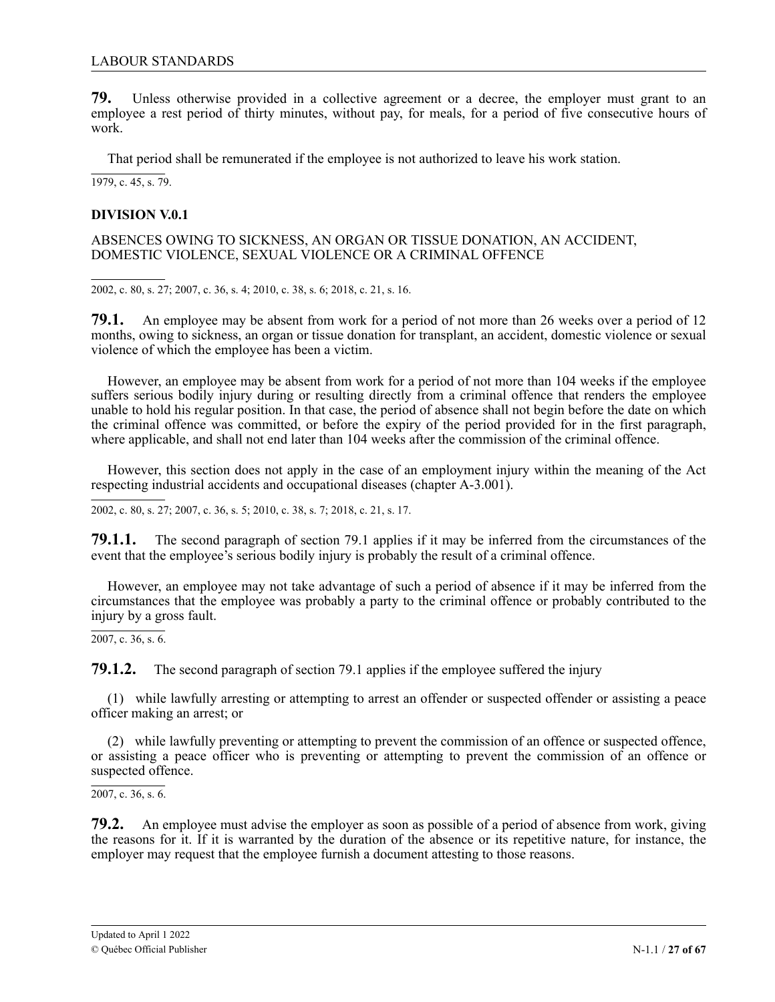<span id="page-26-0"></span>**79.** Unless otherwise provided in a collective agreement or a decree, the employer must grant to an employee a rest period of thirty minutes, without pay, for meals, for a period of five consecutive hours of work.

That period shall be remunerated if the employee is not authorized to leave his work station.

1979, c. 45, s. 79.

# **DIVISION V.0.1**

ABSENCES OWING TO SICKNESS, AN ORGAN OR TISSUE DONATION, AN ACCIDENT, DOMESTIC VIOLENCE, SEXUAL VIOLENCE OR A CRIMINAL OFFENCE

2002, c. 80, s. 27; 2007, c. 36, s. 4; 2010, c. 38, s. 6; 2018, c. 21, s. 16.

1 **79.1.** An employee may be absent from work for a period of not more than 26 weeks over a period of 12 months, owing to sickness, an organ or tissue donation for transplant, an accident, domestic violence or sexual violence of which the employee has been a victim.

. However, an employee may be absent from work for a period of not more than 104 weeks if the employee suffers serious bodily injury during or resulting directly from a criminal offence that renders the employee unable to hold his regular position. In that case, the period of absence shall not begin before the date on which the criminal offence was committed, or before the expiry of the period provided for in the first paragraph, where applicable, and shall not end later than 104 weeks after the commission of the criminal offence.

However, this section does not apply in the case of an employment injury within the meaning of the Act respecting industrial accidents and occupational diseases (chapter A-3.001).

2002, c. 80, s. 27; 2007, c. 36, s. 5; 2010, c. 38, s. 7; 2018, c. 21, s. 17.

1 **79.1.1.** The second paragraph of section 79.1 applies if it may be inferred from the circumstances of the event that the employee's serious bodily injury is probably the result of a criminal offence.

However, an employee may not take advantage of such a period of absence if it may be inferred from the . circumstances that the employee was probably a party to the criminal offence or probably contributed to the injury by a gross fault.

2007, c. 36, s. 6.

**79.1.2.** The second paragraph of section 79.1 applies if the employee suffered the injury

(1) while lawfully arresting or attempting to arrest an offender or suspected offender or assisting a peace officer making an arrest; or

(2) while lawfully preventing or attempting to prevent the commission of an offence or suspected offence, or assisting a peace officer who is preventing or attempting to prevent the commission of an offence or suspected offence.

 $2007$ , c. 36, s. 6.

**79.2.** An employee must advise the employer as soon as possible of a period of absence from work, giving the reasons for it. If it is warranted by the duration of the absence or its repetitive nature, for instance, the employer may request that the employee furnish a document attesting to those reasons.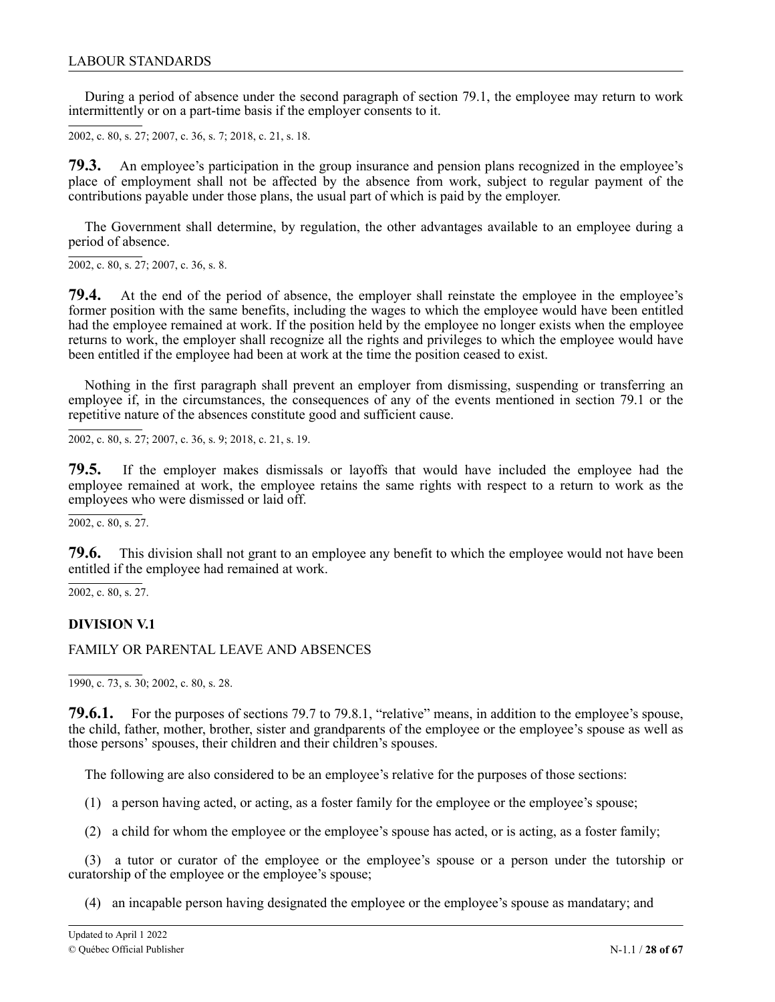<span id="page-27-0"></span>During a period of absence under the second paragraph of section 79.1, the employee may return to work intermittently or on a part-time basis if the employer consents to it.

2002, c. 80, s. 27; 2007, c. 36, s. 7; 2 2018, c. 21, s. 18.1

1 **79.3.** An employee's participation in the group insurance and pension plans recognized in the employee's place of employment shall not be affected by the absence from work, subject to regular payment of the contributions payable under those plans, the usual part of which is paid by the employer.

. The Government shall determine, by regulation, the other advantages available to an employee during a period of absence.

 $2002$ , c. 80, s. 27; 2007, c. 36, s. 8.

**79.4.** At the end of the period of absence, the employer shall reinstate the employee in the employee's former position with the same benefits, including the wages to which the employee would have been entitled had the employee remained at work. If the position held by the employee no longer exists when the employee returns to work, the employer shall recognize all the rights and privileges to which the employee would have been entitled if the employee had been at work at the time the position ceased to exist.

Nothing in the first paragraph shall prevent an employer from dismissing, suspending or transferring an employee if, in the circumstances, the consequences of any of the events mentioned in section 79.1 or the repetitive nature of the absences constitute good and sufficient cause.

2002, c. 80, s. 27; 2007, c. 36, s. 9; 2018, c. 21, s. 19.

1 **79.5.** If the employer makes dismissals or layoffs that would have included the employee had the employee remained at work, the employee retains the same rights with respect to a return to work as the employees who were dismissed or laid off.

 $\overline{2002}$ , c. 80, s. 27.

1 **79.6.** This division shall not grant to an employee any benefit to which the employee would not have been entitled if the employee had remained at work.

2002, c. 80, s. 27.

### **DIVISION V.1**

### FAMILY OR PARENTAL LEAVE AND ABSENCES

1990, c. 73, s. 30; 2002, c. 80, s. 28.

**79.6.1.** For the purposes of sections 79.7 to 79.8.1, "relative" means, in addition to the employee's spouse, the child, father, mother, brother, sister and grandparents of the employee or the employee's spouse as well as those persons' spouses, their children and their children's spouses.

The following are also considered to be an employee's relative for the purposes of those sections:

- (1) a person having acted, or acting, as a foster family for the employee or the employee's spouse;
- (2) a child for whom the employee or the employee's spouse has acted, or is acting, as a foster family;

(3) a tutor or curator of the employee or the employee's spouse or a person under the tutorship or curatorship of the employee or the employee's spouse;

(4) an incapable person having designated the employee or the employee's spouse as mandatary; and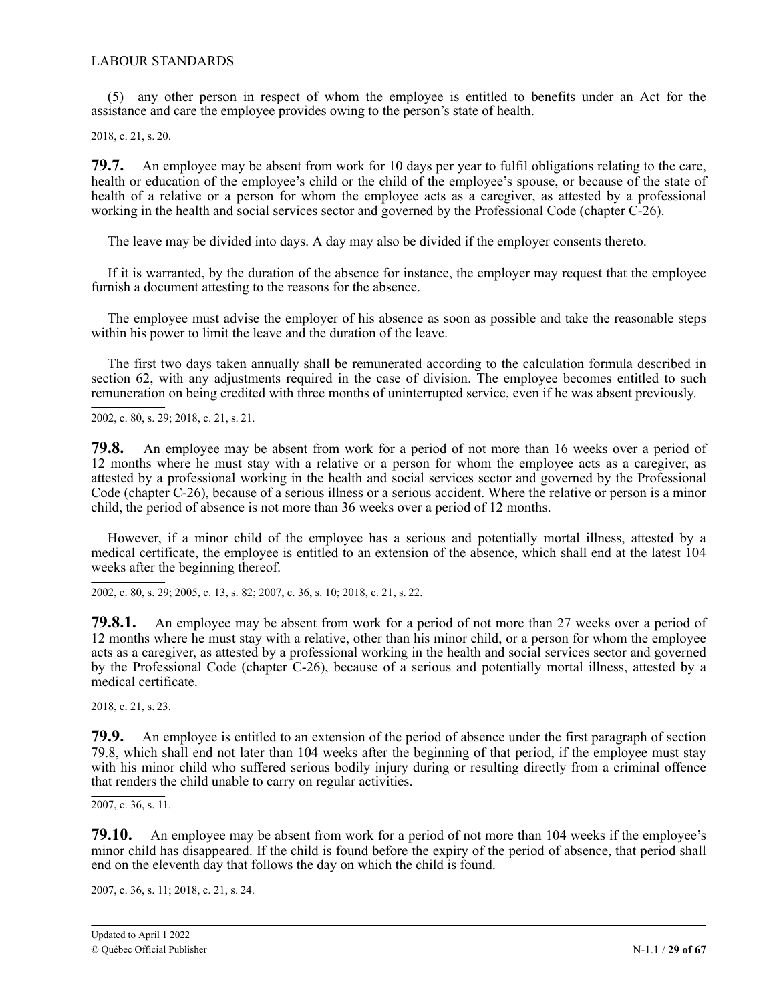(5) any other person in respect of whom the employee is entitled to benefits under an Act for the assistance and care the employee provides owing to the person's state of health.

2018, c. 21, s. 20.

79.7. health or education of the employee's child or the child of the employee's spouse, or because of the state of health of a relative or a person for whom the employee acts as a caregiver, as attested by a professional working in the health and social services sector and governed by the Professional Code (chapter C-26). **79.7.** An employee may be absent from work for 10 days per year to fulfil obligations relating to the care,

The leave may be divided into days. A day may also be divided if the employer consents thereto.

If it is warranted, by the duration of the absence for instance, the employer may request that the employee furnish a document attesting to the reasons for the absence.

The employee must advise the employer of his absence as soon as possible and take the reasonable steps within his power to limit the leave and the duration of the leave.

The first two days taken annually shall be remunerated according to the calculation formula described in section 62, with any adjustments required in the case of division. The employee becomes entitled to such remuneration on being credited with three months of uninterrupted service, even if he was absent previously.

2002, c. 80, s. 29; 2018, c. 21, s. 21.

1 **79.8.** An employee may be absent from work for a period of not more than 16 weeks over a period of 12 months where he must stay with a relative or a person for whom the employee acts as a caregiver, as attested by a professional working in the health and social services sector and governed by the Professional c Code (chapter C-26), because of a serious illness or a serious accident. Where the relative or person is a minor . child, the period of absence is not more than 36 weeks over a period of 12 months.

1 However, if a minor child of the employee has a serious and potentially mortal illness, attested by a medical certificate, the employee is entitled to an extension of the absence, which shall end at the latest 104 weeks after the beginning thereof.

2002, c. 80, s. 29; 2005, c. 13, s. 82; 2007, c. 36, s. 10; 2018, c. 21, s. 22.

1 **79.8.1.** An employee may be absent from work for a period of not more than 27 weeks over a period of 12 months where he must stay with a relative, other than his minor child, or a person for whom the employee , acts as a caregiver, as attested by a professional working in the health and social services sector and governed by the Professional Code (chapter C-26), because of a serious and potentially mortal illness, attested by a medical certificate.

2018, c. 21, s. 23.

1 **79.9.** An employee is entitled to an extension of the period of absence under the first paragraph of section 8 79.8, which shall end not later than 104 weeks after the beginning of that period, if the employee must stay with his minor child who suffered serious bodily injury during or resulting directly from a criminal offence that renders the child unable to carry on regular activities.

. 2 2007, c. 36, s. 11.

79.10. **79.10.** An employee may be absent from work for a period of not more than 104 weeks if the employee's minor child has disappeared. If the child is found before the expiry of the period of absence, that period shall end on the eleventh day that follows the day on which the child is found.

2007, c. 36, s. 11; 2 2018, c. 21, s. 241.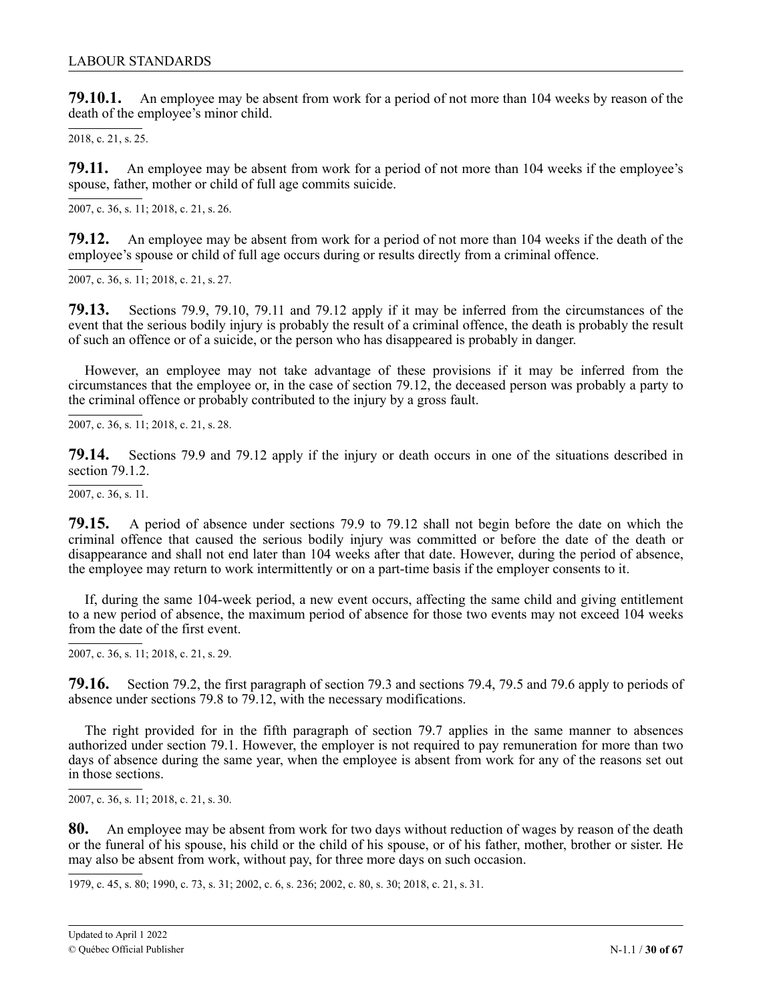**79.10.1.** An employee may be absent from work for a period of not more than 104 weeks by reason of the death of the employee's minor child.

2018, c. 21, s. 25.

79.11. spouse, father, mother or child of full age commits suicide. **79.11.** An employee may be absent from work for a period of not more than 104 weeks if the employee's

, 2007, c. 36, s. 11; 2018, c. 21, s. 26.

2 1 **79.12.** An employee may be absent from work for a period of not more than 104 weeks if the death of the employee's spouse or child of full age occurs during or results directly from a criminal offence.

2007, c. 36, s. 11; 2018, c. 21, s. 27.

2 1 **79.13.** Sections 79.9, 79.10, 79.11 and 79.12 apply if it may be inferred from the circumstances of the event that the serious bodily injury is probably the result of a criminal offence, the death is probably the result of such an offence or of a suicide, or the person who has disappeared is probably in danger.

. However, an employee may not take advantage of these provisions if it may be inferred from the 2 circumstances that the employee or, in the case of section 79.12, the deceased person was probably a party to the criminal offence or probably contributed to the injury by a gross fault.

2007, c. 36, s. 11; 2018, c. 21, s. 28.

1 **79.14.** Sections 79.9 and 79.12 apply if the injury or death occurs in one of the situations described in section 79.1.2.

 $\overline{2007}$ , c. 36, s. 11.

2 **79.15.** A period of absence under sections 79.9 to 79.12 shall not begin before the date on which the 1 criminal offence that caused the serious bodily injury was committed or before the date of the death or disappearance and shall not end later than 104 weeks after that date. However, during the period of absence, the employee may return to work intermittently or on a part-time basis if the employer consents to it.

If, during the same 104-week period, a new event occurs, affecting the same child and giving entitlement to a new period of absence, the maximum period of absence for those two events may not exceed 104 weeks from the date of the first event.

2007, c. 36, s. 11; 2018, c. 21, s. 29.

1 **79.16.** Section 79.2, the first paragraph of section 79.3 and sections 79.4, 79.5 and 79.6 apply to periods of absence under sections 79.8 to 79.12, with the necessary modifications.

The right provided for in the fifth paragraph of section 79.7 applies in the same manner to absences authorized under section 79.1. However, the employer is not required to pay remuneration for more than two days of absence during the same year, when the employee is absent from work for any of the reasons set out in those sections.

2007, c. 36, s. 11; 2018, c. 21, s. 30.

80. An employee may be absent from work for two days without reduction of wages by reason of the death or the funeral of his spouse, his child or the child of his spouse, or of his father, mother, brother or sister. He may also be absent from work, without pay, for three more days on such occasion.

7

1979, c. 45, s. 80; 1990, c. 73, s. 31; 2002, c. 6, s. 236; 2002, c. 80, s. 30; 2018, c. 21, s. 31.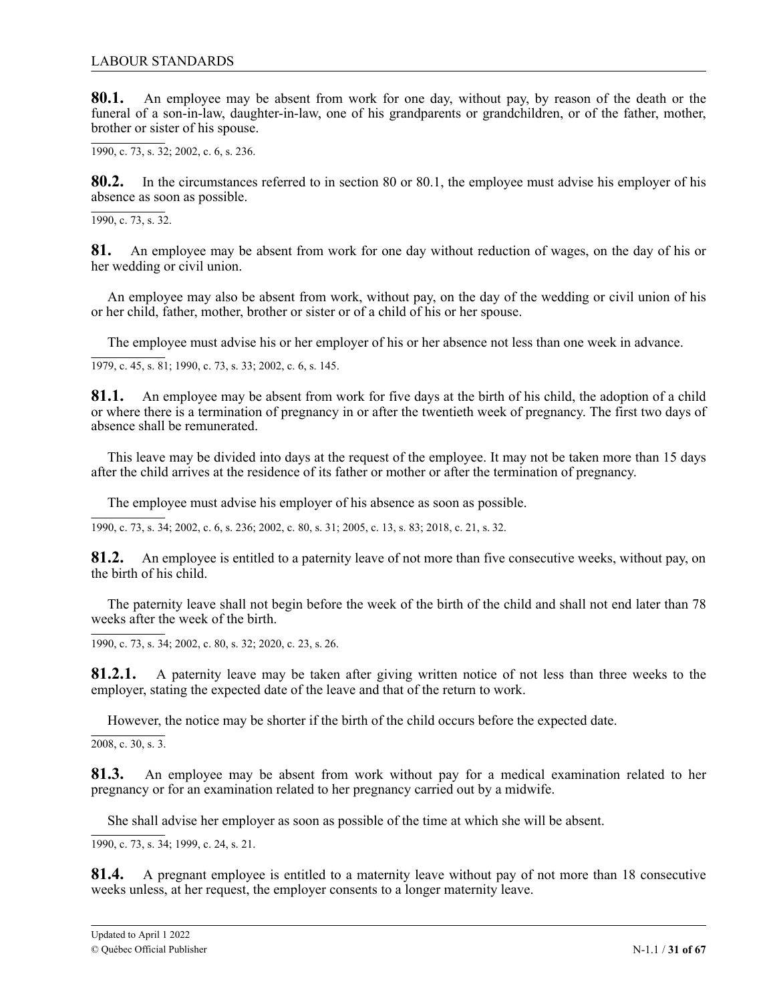**80.1.** An employee may be absent from work for one day, without pay, by reason of the death or the funeral of a son-in-law, daughter-in-law, one of his grandparents or grandchildren, or of the father, mother, brother or sister of his spouse.

1990, c. 73, s. 32; 2002, c. 6, s. 236.

**80.2.** In the circumstances referred to in section 80 or 80.1, the employee must advise his employer of his absence as soon as possible.

1990, c. 73, s. 32.

**81.** An employee may be absent from work for one day without reduction of wages, on the day of his or her wedding or civil union.

An employee may also be absent from work, without pay, on the day of the wedding or civil union of his or her child, father, mother, brother or sister or of a child of his or her spouse.

The employee must advise his or her employer of his or her absence not less than one week in advance.

1979, c. 45, s. 81; 1990, c. 73, s. 33; 2002, c. 6, s. 145.

**81.1.** An employee may be absent from work for five days at the birth of his child, the adoption of a child or where there is a termination of pregnancy in or after the twentieth week of pregnancy. The first two days of absence shall be remunerated.

This leave may be divided into days at the request of the employee. It may not be taken more than 15 days after the child arrives at the residence of its father or mother or after the termination of pregnancy.

The employee must advise his employer of his absence as soon as possible.

1990, c. 73, s. 34; 2002, c. 6, s. 236; 2002, c. 80, s. 31; 2005, c. 13, s. 83; 2018, c. 21, s. 32.

81.2. An employee is entitled to a paternity leave of not more than five consecutive weeks, without pay, on the birth of his child.

The paternity leave shall not begin before the week of the birth of the child and shall not end later than 78 weeks after the week of the birth.

1990, c. 73, s. 34; 2002, c. 80, s. 32; 2020, c. 23, s. 26.

81.2.1. A paternity leave may be taken after giving written notice of not less than three weeks to the employer, stating the expected date of the leave and that of the return to work.

However, the notice may be shorter if the birth of the child occurs before the expected date.

2008, c. 30, s. 3.

**81.3.** An employee may be absent from work without pay for a medical examination related to her pregnancy or for an examination related to her pregnancy carried out by a midwife.

She shall advise her employer as soon as possible of the time at which she will be absent.

1990, c. 73, s. 34; 1999, c. 24, s. 21.

**81.4.** A pregnant employee is entitled to a maternity leave without pay of not more than 18 consecutive weeks unless, at her request, the employer consents to a longer maternity leave.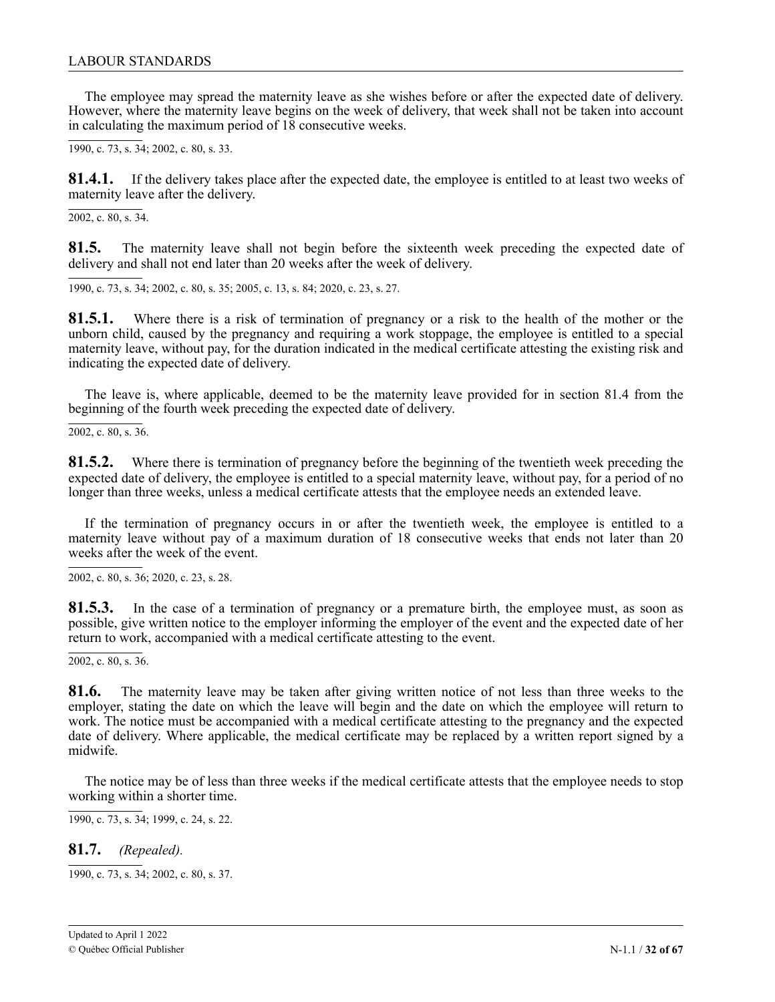The employee may spread the maternity leave as she wishes before or after the expected date of delivery. However, where the maternity leave begins on the week of delivery, that week shall not be taken into account in calculating the maximum period of 18 consecutive weeks.

1990, c. 73, s. 34; 2002, c. 80, s. 33.

**81.4.1.** If the delivery takes place after the expected date, the employee is entitled to at least two weeks of maternity leave after the delivery.

2002, c. 80, s. 34.

**81.5.** The maternity leave shall not begin before the sixteenth week preceding the expected date of delivery and shall not end later than 20 weeks after the week of delivery.

1990, c. 73, s. 34; 2002, c. 80, s. 35; 2005, c. 13, s. 84; 2020, c. 23, s. 27.

**81.5.1.** Where there is a risk of termination of pregnancy or a risk to the health of the mother or the unborn child, caused by the pregnancy and requiring a work stoppage, the employee is entitled to a special maternity leave, without pay, for the duration indicated in the medical certificate attesting the existing risk and indicating the expected date of delivery.

The leave is, where applicable, deemed to be the maternity leave provided for in section 81.4 from the beginning of the fourth week preceding the expected date of delivery.

2002, c. 80, s. 36.

**81.5.2.** Where there is termination of pregnancy before the beginning of the twentieth week preceding the expected date of delivery, the employee is entitled to a special maternity leave, without pay, for a period of no longer than three weeks, unless a medical certificate attests that the employee needs an extended leave.

If the termination of pregnancy occurs in or after the twentieth week, the employee is entitled to a maternity leave without pay of a maximum duration of 18 consecutive weeks that ends not later than 20 weeks after the week of the event.

2002, c. 80, s. 36; 2 2020, c. 23, s. 28.1

81.5.3. In the case of a termination of pregnancy or a premature birth, the employee must, as soon as possible, give written notice to the employer informing the employer of the event and the expected date of her return to work, accompanied with a medical certificate attesting to the event.

2002, c. 80, s. 36.

3 **81.6.** The maternity leave may be taken after giving written notice of not less than three weeks to the employer, stating the date on which the leave will begin and the date on which the employee will return to work. The notice must be accompanied with a medical certificate attesting to the pregnancy and the expected date of delivery. Where applicable, the medical certificate may be replaced by a written report signed by a midwife.

The notice may be of less than three weeks if the medical certificate attests that the employee needs to stop working within a shorter time.

1990, c. 73, s. 34; 1999, c. 24, s. 22.

**81.7.** *(Repealed).*

1990, c. 73, s. 34; 2002, c. 80, s. 37.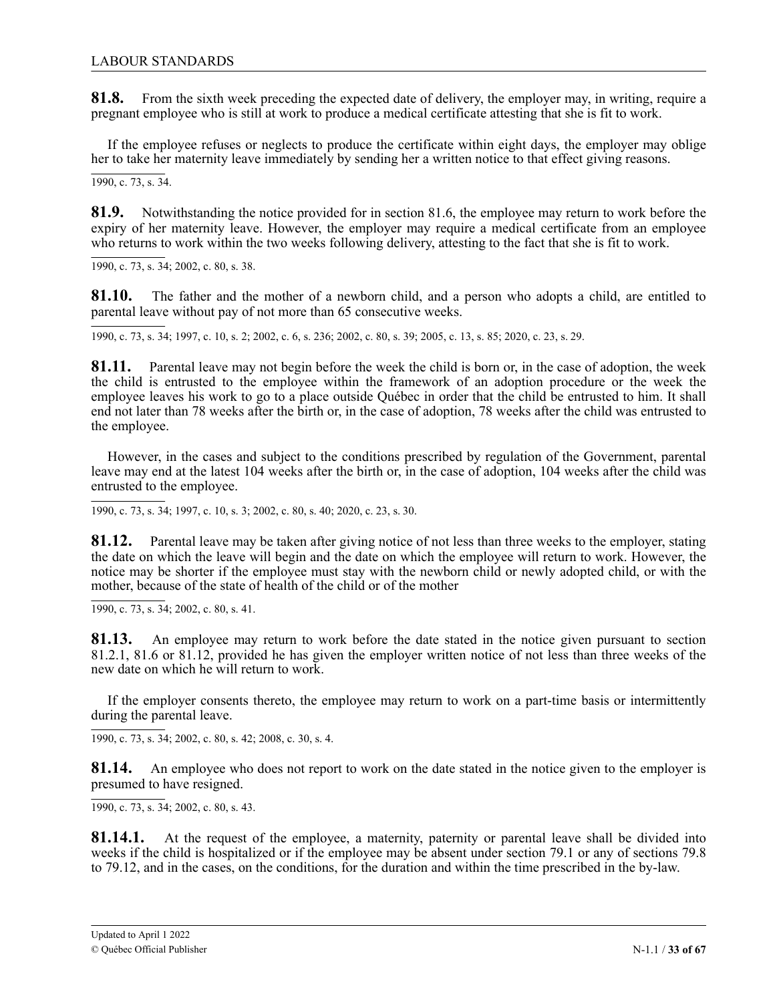**81.8.** From the sixth week preceding the expected date of delivery, the employer may, in writing, require a pregnant employee who is still at work to produce a medical certificate attesting that she is fit to work.

If the employee refuses or neglects to produce the certificate within eight days, the employer may oblige her to take her maternity leave immediately by sending her a written notice to that effect giving reasons.

 $\overline{1990, c. 73, s. 34}$ .

**81.9.** Notwithstanding the notice provided for in section 81.6, the employee may return to work before the expiry of her maternity leave. However, the employer may require a medical certificate from an employee who returns to work within the two weeks following delivery, attesting to the fact that she is fit to work.

1990, c. 73, s. 34; 2002, c. 80, s. 38.

**81.10.** The father and the mother of a newborn child, and a person who adopts a child, are entitled to parental leave without pay of not more than 65 consecutive weeks.

1990, c. 73, s. 34; 1997, c. 10, s. 2; 2002, c. 6, s. 236; 2002, c. 80, s. 39; 2005, c. 13, s. 85; 2020, c. 23, s. 29.

81.11. Parental leave may not begin before the week the child is born or, in the case of adoption, the week the child is entrusted to the employee within the framework of an adoption procedure or the week the employee leaves his work to go to a place outside Québec in order that the child be entrusted to him. It shall c end not later than 78 weeks after the birth or, in the case of adoption, 78 weeks after the child was entrusted to the employee.

3 However, in the cases and subject to the conditions prescribed by regulation of the Government, parental leave may end at the latest 104 weeks after the birth or, in the case of adoption, 104 weeks after the child was entrusted to the employee.

1990, c. 73, s. 34; 1997, c. 10, s. 3; 2002, c. 80, s. 40; 2020, c. 23, s. 30.

81.12. Parental leave may be taken after giving notice of not less than three weeks to the employer, stating the date on which the leave will begin and the date on which the employee will return to work. However, the , notice may be shorter if the employee must stay with the newborn child or newly adopted child, or with the mother, because of the state of health of the child or of the mother

1990, c. 73, s. 34; 2002, c. 80, s. 41.

3 **81.13.** An employee may return to work before the date stated in the notice given pursuant to section 81.2.1, 81.6 or 81.12, provided he has given the employer written notice of not less than three weeks of the new date on which he will return to work.

If the employer consents thereto, the employee may return to work on a part-time basis or intermittently during the parental leave.

1990, c. 73, s. 34; 2002, c. 80, s. 42; 2008, c. 30, s. 4.

**81.14.** An employee who does not report to work on the date stated in the notice given to the employer is presumed to have resigned.

1990, c. 73, s. 34; 2002, c. 80, s. 43.

**81.14.1.** At the request of the employee, a maternity, paternity or parental leave shall be divided into weeks if the child is hospitalized or if the employee may be absent under section 79.1 or any of sections 79.8 to 79.12, and in the cases, on the conditions, for the duration and within the time prescribed in the by-law.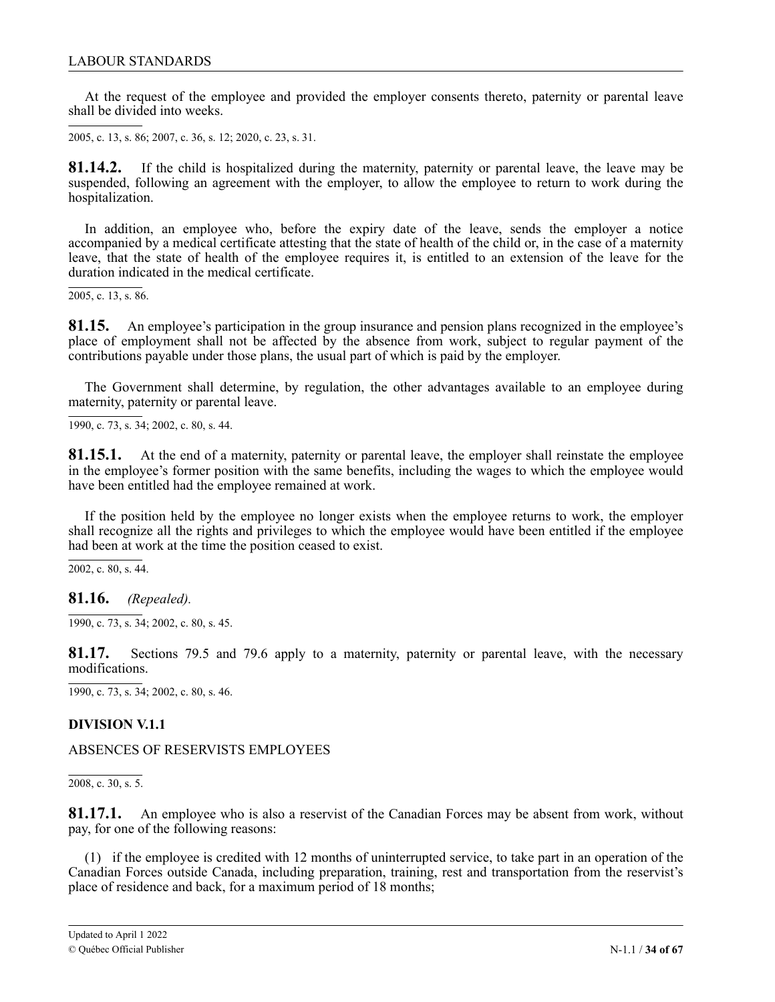<span id="page-33-0"></span>At the request of the employee and provided the employer consents thereto, paternity or parental leave shall be divided into weeks.

2005, c. 13, s. 86; 2007, c. 36, s. 12; 2020, c. 23, s. 31.

81.14.2. If the child is hospitalized during the maternity, paternity or parental leave, the leave may be suspended, following an agreement with the employer, to allow the employee to return to work during the ri<br>16 hospitalization.

In addition, an employee who, before the expiry date of the leave, sends the employer a notice accompanied by a medical certificate attesting that the state of health of the child or, in the case of a maternity leave, that the state of health of the employee requires it, is entitled to an extension of the leave for the<br>duration indicated in the medical certificate duration indicated in the medical certificate.

2005, c. 13, s. 86.

place of employment shall not be affected by the absence from work, subject to regular payment of the contributions payable under those plans, the usual part of which is paid by the employer. **81.15.** An employee's participation in the group insurance and pension plans recognized in the employee's

The Government shall determine, by regulation, the other advantages available to an employee during maternity, paternity or parental leave.

1990, c. 73, s. 34; 2002, c. 80, s. 44.

**81.15.1.** At the end of a maternity, paternity or parental leave, the employer shall reinstate the employee in the employee's former position with the same benefits, including the wages to which the employee would have been entitled had the employee remained at work.

If the position held by the employee no longer exists when the employee returns to work, the employer shall recognize all the rights and privileges to which the employee would have been entitled if the employee had been at work at the time the position ceased to exist.

 $2002$ , c. 80, s. 44.

**81.16.** *(Repealed).*

1990, c. 73, s. 34; 2002, c. 80, s. 45.

**81.17.** Sections 79.5 and 79.6 apply to a maternity, paternity or parental leave, with the necessary modifications.

1990, c. 73, s. 34; 2002, c. 80, s. 46.

### **DIVISION V.1.1**

ABSENCES OF RESERVISTS EMPLOYEES

2008, c. 30, s. 5.

**81.17.1.** An employee who is also a reservist of the Canadian Forces may be absent from work, without pay, for one of the following reasons:

(1) if the employee is credited with 12 months of uninterrupted service, to take part in an operation of the Canadian Forces outside Canada, including preparation, training, rest and transportation from the reservist's place of residence and back, for a maximum period of 18 months;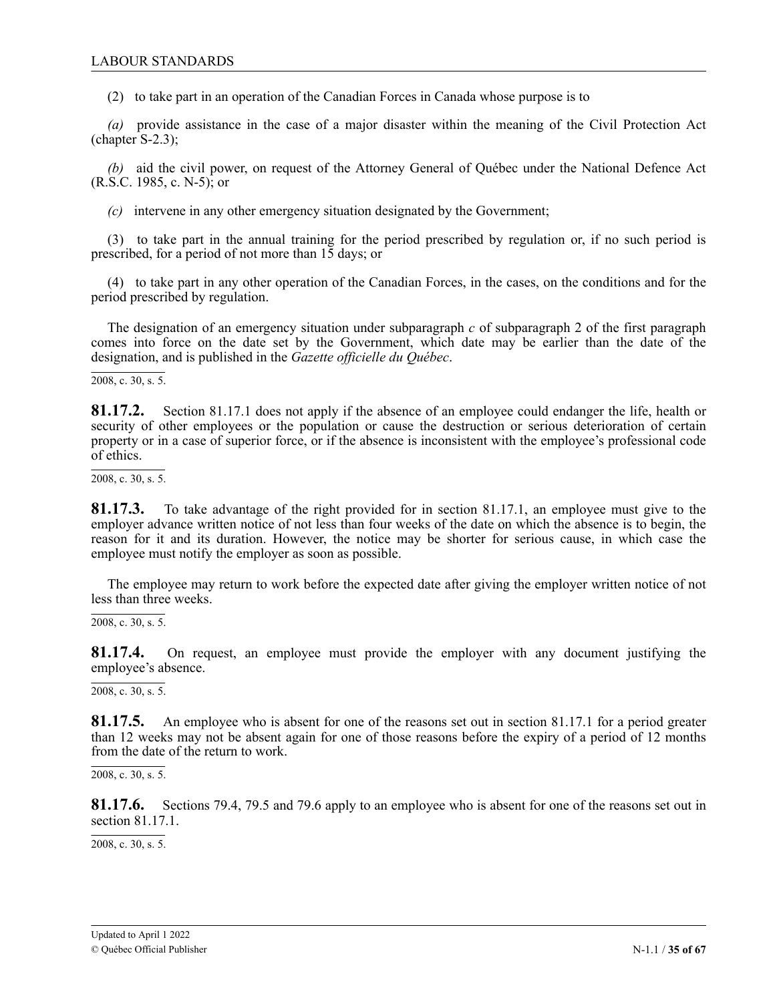(2) to take part in an operation of the Canadian Forces in Canada whose purpose is to

*(a)* provide assistance in the case of a major disaster within the meaning of the Civil Protection Act (chapter S-2.3);

*(b)* aid the civil power, on request of the Attorney General of Québec under the National Defence Act  $(R.S.C. 1985, c. N-5)$ ; or

*(c)* intervene in any other emergency situation designated by the Government;

(3) to take part in the annual training for the period prescribed by regulation or, if no such period is prescribed, for a period of not more than 15 days; or

(4) to take part in any other operation of the Canadian Forces, in the cases, on the conditions and for the period prescribed by regulation.

The designation of an emergency situation under subparagraph *c* of subparagraph 2 of the first paragraph comes into force on the date set by the Government, which date may be earlier than the date of the designation, and is published in the *Gazette officielle du Québec*.

 $\overline{2008, c. 30, s. 5.}$ 

**81.17.2.** Section 81.17.1 does not apply if the absence of an employee could endanger the life, health or security of other employees or the population or cause the destruction or serious deterioration of certain property or in a case of superior force, or if the absence is inconsistent with the employee's professional code of ethics.

2008, c. 30, s. 5.

**81.17.3.** To take advantage of the right provided for in section 81.17.1, an employee must give to the employer advance written notice of not less than four weeks of the date on which the absence is to begin, the reason for it and its duration. However, the notice may be shorter for serious cause, in which case the employee must notify the employer as soon as possible.

The employee may return to work before the expected date after giving the employer written notice of not less than three weeks.

 $\overline{2008, c. 30, s. 5}$ .

**81.17.4.** On request, an employee must provide the employer with any document justifying the employee's absence.

2008, c. 30, s. 5.

**81.17.5.** An employee who is absent for one of the reasons set out in section 81.17.1 for a period greater than 12 weeks may not be absent again for one of those reasons before the expiry of a period of 12 months from the date of the return to work.

2008, c. 30, s. 5.

**81.17.6.** Sections 79.4, 79.5 and 79.6 apply to an employee who is absent for one of the reasons set out in section 81.17.1.

2008, c. 30, s. 5.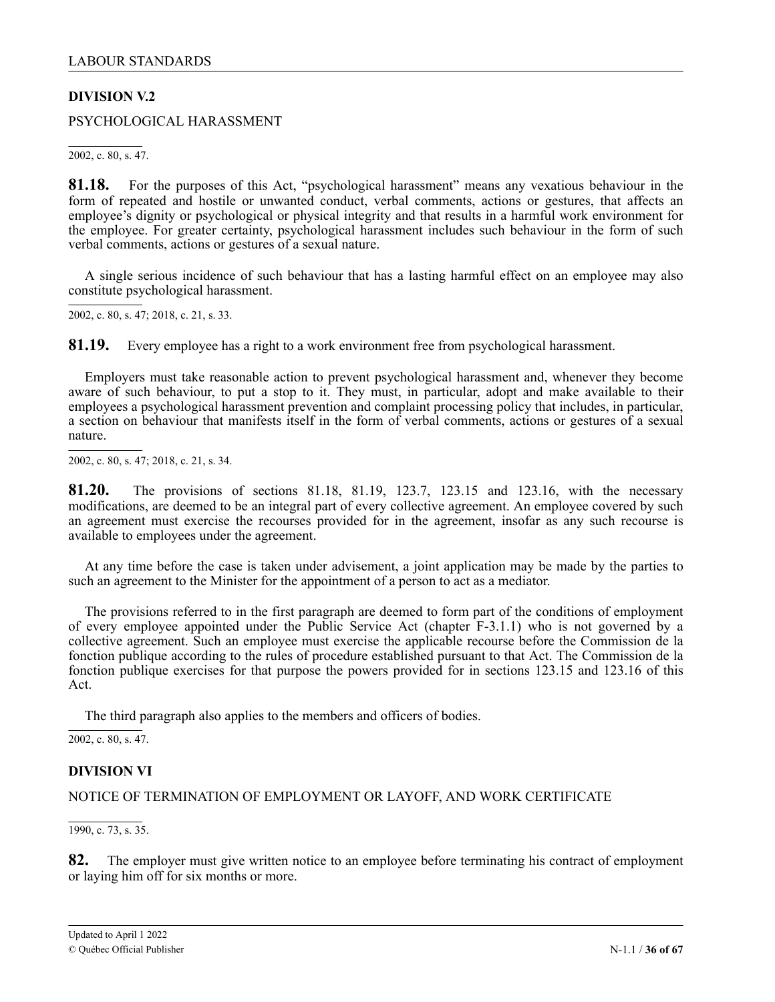# <span id="page-35-0"></span>**DIVISION V.2**

PSYCHOLOGICAL HARASSMENT

2002, c. 80, s. 47.

**81.18.** For the purposes of this Act, "psychological harassment" means any vexatious behaviour in the form of repeated and hostile or unwanted conduct, verbal comments, actions or gestures, that affects an employee's dignity or psychological or physical integrity and that results in a harmful work environment for the employee. For greater certainty, psychological harassment includes such behaviour in the form of such verbal comments, actions or gestures of a sexual nature.

A single serious incidence of such behaviour that has a lasting harmful effect on an employee may also constitute psychological harassment.

2002, c. 80, s. 47; 2 2018, c. 21, s. 33.1

81.19. Every employee has a right to a work environment free from psychological harassment.

, Employers must take reasonable action to prevent psychological harassment and, whenever they become aware of such behaviour, to put a stop to it. They must, in particular, adopt and make available to their . employees a psychological harassment prevention and complaint processing policy that includes, in particular, a section on behaviour that manifests itself in the form of verbal comments, actions or gestures of a sexual nature.

2002, c. 80, s. 47; 2 2018, c. 21, s. 34.1

**81.20.** The provisions of sections 81.18, 81.19, 123.7, 123.15 and 123.16, with the necessary modifications, are deemed to be an integral part of every collective agreement. An employee covered by such an agreement must exercise the recourses provided for in the agreement, insofar as any such recourse is available to employees under the agreement.

At any time before the case is taken under advisement, a joint application may be made by the parties to such an agreement to the Minister for the appointment of a person to act as a mediator.

The provisions referred to in the first paragraph are deemed to form part of the conditions of employment of every employee appointed under the Public Service Act (chapter F‐3.1.1) who is not governed by a collective agreement. Such an employee must exercise the applicable recourse before the Commission de la fonction publique according to the rules of procedure established pursuant to that Act. The Commission de la fonction publique exercises for that purpose the powers provided for in sections 123.15 and 123.16 of this Act.

The third paragraph also applies to the members and officers of bodies.

2002, c. 80, s. 47.

### **DIVISION VI**

### NOTICE OF TERMINATION OF EMPLOYMENT OR LAYOFF, AND WORK CERTIFICATE

1990, c. 73, s. 35.

**82.** The employer must give written notice to an employee before terminating his contract of employment or laying him off for six months or more.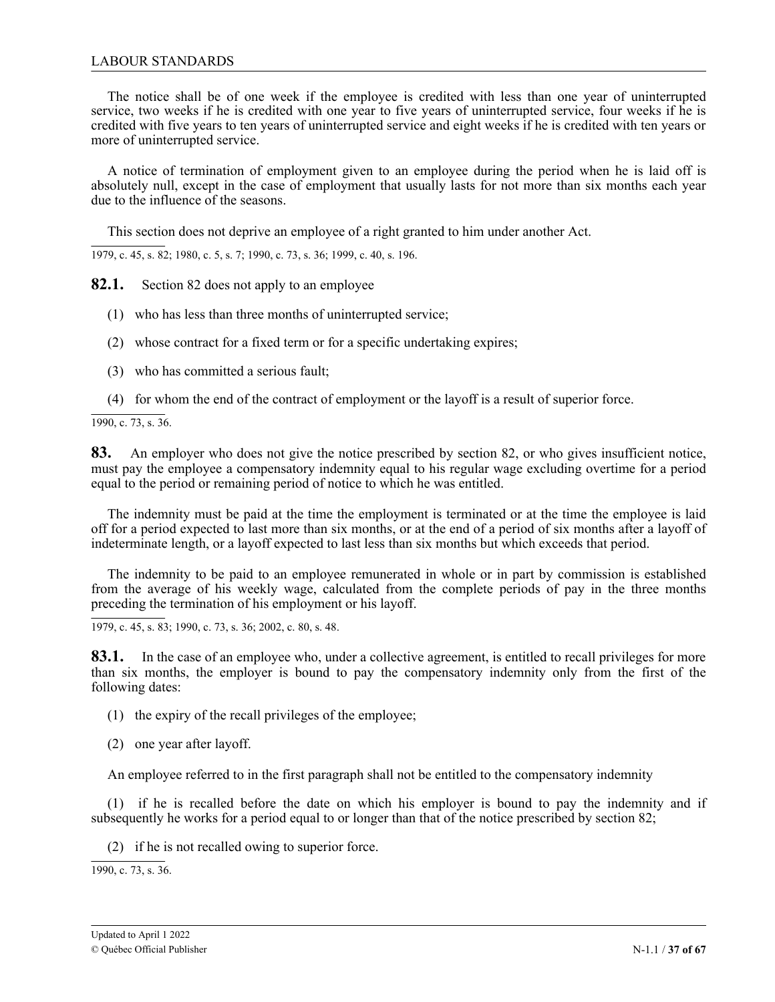### LABOUR STANDARDS

The notice shall be of one week if the employee is credited with less than one year of uninterrupted service, two weeks if he is credited with one year to five years of uninterrupted service, four weeks if he is credited with five years to ten years of uninterrupted service and eight weeks if he is credited with ten years or more of uninterrupted service.

A notice of termination of employment given to an employee during the period when he is laid off is absolutely null, except in the case of employment that usually lasts for not more than six months each year due to the influence of the seasons.

This section does not deprive an employee of a right granted to him under another Act.

1979, c. 45, s. 82; 1980, c. 5, s. 7; 1990, c. 73, s. 36; 1999, c. 40, s. 196.

**82.1.** Section 82 does not apply to an employee

- (1) who has less than three months of uninterrupted service;
- (2) whose contract for a fixed term or for a specific undertaking expires;
- (3) who has committed a serious fault;
- (4) for whom the end of the contract of employment or the layoff is a result of superior force.

1990, c. 73, s. 36.

**83.** An employer who does not give the notice prescribed by section 82, or who gives insufficient notice, must pay the employee a compensatory indemnity equal to his regular wage excluding overtime for a period equal to the period or remaining period of notice to which he was entitled.

The indemnity must be paid at the time the employment is terminated or at the time the employee is laid off for a period expected to last more than six months, or at the end of a period of six months after a layoff of indeterminate length, or a layoff expected to last less than six months but which exceeds that period.

The indemnity to be paid to an employee remunerated in whole or in part by commission is established from the average of his weekly wage, calculated from the complete periods of pay in the three months preceding the termination of his employment or his layoff.

1979, c. 45, s. 83; 1990, c. 73, s. 36; 2002, c. 80, s. 48.

**83.1.** In the case of an employee who, under a collective agreement, is entitled to recall privileges for more than six months, the employer is bound to pay the compensatory indemnity only from the first of the following dates:

(1) the expiry of the recall privileges of the employee;

(2) one year after layoff.

An employee referred to in the first paragraph shall not be entitled to the compensatory indemnity

(1) if he is recalled before the date on which his employer is bound to pay the indemnity and if subsequently he works for a period equal to or longer than that of the notice prescribed by section 82;

(2) if he is not recalled owing to superior force.

1990, c. 73, s. 36.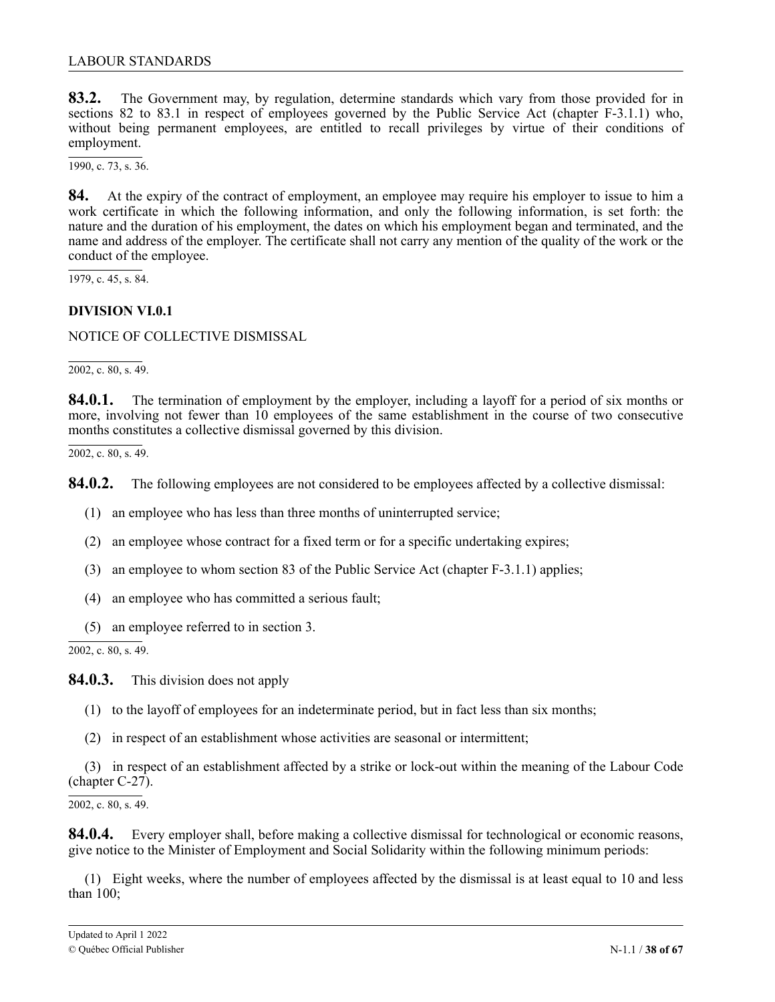<span id="page-37-0"></span>**83.2.** The Government may, by regulation, determine standards which vary from those provided for in sections 82 to 83.1 in respect of employees governed by the Public Service Act (chapter F-3.1.1) who, without being permanent employees, are entitled to recall privileges by virtue of their conditions of employment.

1990, c. 73, s. 36.

**84.** At the expiry of the contract of employment, an employee may require his employer to issue to him a work certificate in which the following information, and only the following information, is set forth: the nature and the duration of his employment, the dates on which his employment began and terminated, and the name and address of the employer. The certificate shall not carry any mention of the quality of the work or the conduct of the employee.

1979, c. 45, s. 84.

### **DIVISION VI.0.1**

NOTICE OF COLLECTIVE DISMISSAL

2002, c. 80, s. 49.

**84.0.1.** The termination of employment by the employer, including a layoff for a period of six months or more, involving not fewer than 10 employees of the same establishment in the course of two consecutive months constitutes a collective dismissal governed by this division.

 $\overline{2002, c. 80, s. 49}.$ 

**84.0.2.** The following employees are not considered to be employees affected by a collective dismissal:

- (1) an employee who has less than three months of uninterrupted service;
- (2) an employee whose contract for a fixed term or for a specific undertaking expires;
- (3) an employee to whom section 83 of the Public Service Act (chapter F-3.1.1) applies;
- (4) an employee who has committed a serious fault;
- (5) an employee referred to in section 3.

 $\overline{2002, c. 80, s. 49}.$ 

**84.0.3.** This division does not apply

- (1) to the layoff of employees for an indeterminate period, but in fact less than six months;
- (2) in respect of an establishment whose activities are seasonal or intermittent;

(3) in respect of an establishment affected by a strike or lock-out within the meaning of the Labour Code  $(chapter C-27)$ .

2002, c. 80, s. 49.

**84.0.4.** Every employer shall, before making a collective dismissal for technological or economic reasons, give notice to the Minister of Employment and Social Solidarity within the following minimum periods:

(1) Eight weeks, where the number of employees affected by the dismissal is at least equal to 10 and less than 100;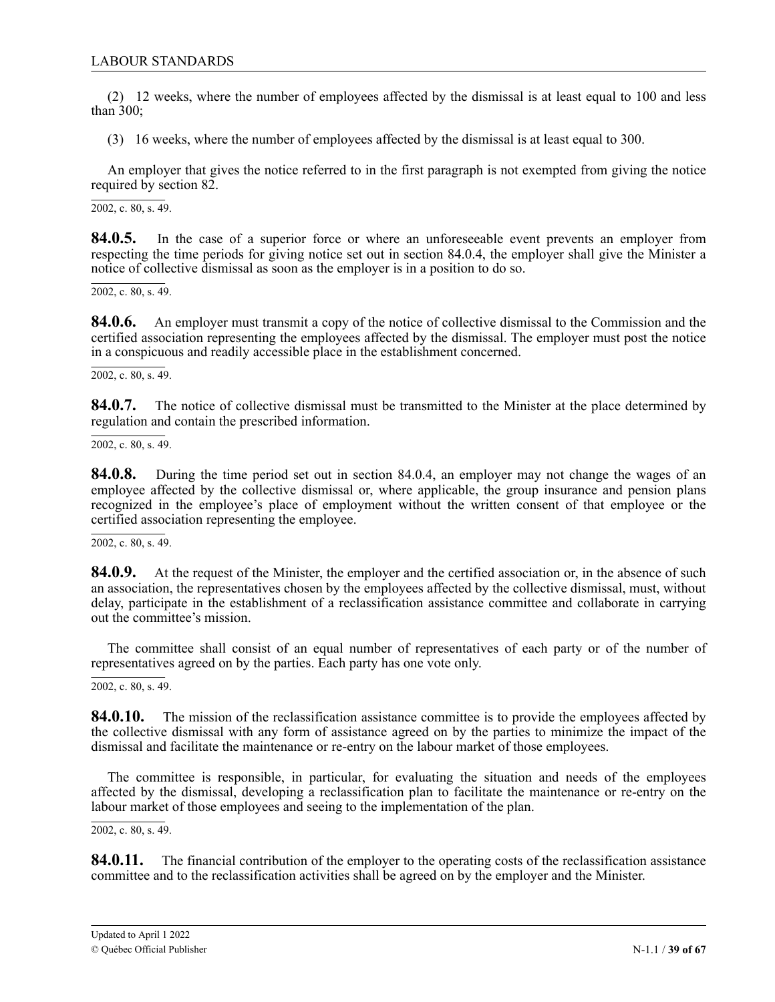(2) 12 weeks, where the number of employees affected by the dismissal is at least equal to 100 and less than 300;

(3) 16 weeks, where the number of employees affected by the dismissal is at least equal to 300.

An employer that gives the notice referred to in the first paragraph is not exempted from giving the notice required by section 82.

2002, c. 80, s. 49.

**84.0.5.** In the case of a superior force or where an unforeseeable event prevents an employer from respecting the time periods for giving notice set out in section 84.0.4, the employer shall give the Minister a notice of collective dismissal as soon as the employer is in a position to do so.

2002, c. 80, s. 49.

**84.0.6.** An employer must transmit a copy of the notice of collective dismissal to the Commission and the certified association representing the employees affected by the dismissal. The employer must post the notice in a conspicuous and readily accessible place in the establishment concerned.

2002, c. 80, s. 49.

**84.0.7.** The notice of collective dismissal must be transmitted to the Minister at the place determined by regulation and contain the prescribed information.

2002, c. 80, s. 49.

**84.0.8.** During the time period set out in section 84.0.4, an employer may not change the wages of an employee affected by the collective dismissal or, where applicable, the group insurance and pension plans recognized in the employee's place of employment without the written consent of that employee or the certified association representing the employee.

 $\overline{2002}$ , c. 80, s. 49.

**84.0.9.** At the request of the Minister, the employer and the certified association or, in the absence of such an association, the representatives chosen by the employees affected by the collective dismissal, must, without delay, participate in the establishment of a reclassification assistance committee and collaborate in carrying out the committee's mission.

The committee shall consist of an equal number of representatives of each party or of the number of representatives agreed on by the parties. Each party has one vote only.

 $\overline{2002}$ , c. 80, s. 49.

**84.0.10.** The mission of the reclassification assistance committee is to provide the employees affected by the collective dismissal with any form of assistance agreed on by the parties to minimize the impact of the dismissal and facilitate the maintenance or re-entry on the labour market of those employees.

The committee is responsible, in particular, for evaluating the situation and needs of the employees affected by the dismissal, developing a reclassification plan to facilitate the maintenance or re-entry on the labour market of those employees and seeing to the implementation of the plan.

 $2002$ , c. 80, s. 49.

**84.0.11.** The financial contribution of the employer to the operating costs of the reclassification assistance committee and to the reclassification activities shall be agreed on by the employer and the Minister.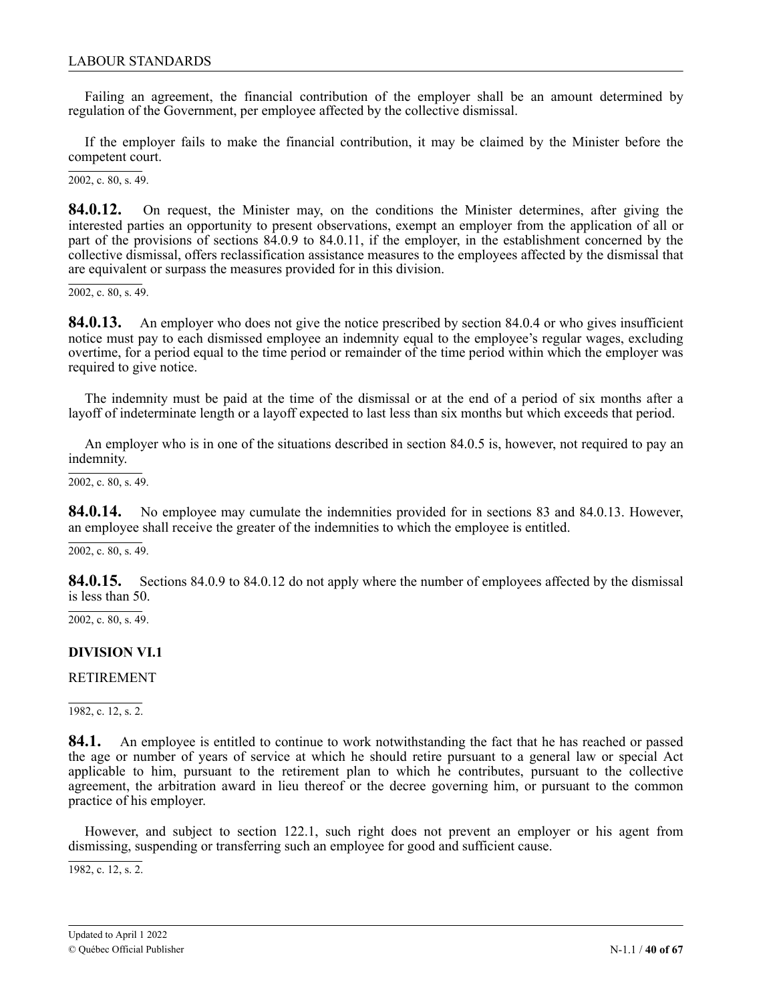<span id="page-39-0"></span>Failing an agreement, the financial contribution of the employer shall be an amount determined by regulation of the Government, per employee affected by the collective dismissal.

If the employer fails to make the financial contribution, it may be claimed by the Minister before the competent court.

2002, c. 80, s. 49.

**84.0.12.** On request, the Minister may, on the conditions the Minister determines, after giving the interested parties an opportunity to present observations, exempt an employer from the application of all or part of the provisions of sections 84.0.9 to 84.0.11, if the employer, in the establishment concerned by the collective dismissal, offers reclassification assistance measures to the employees affected by the dismissal that are equivalent or surpass the measures provided for in this division.

 $2002$ , c. 80, s. 49.

**84.0.13.** An employer who does not give the notice prescribed by section 84.0.4 or who gives insufficient notice must pay to each dismissed employee an indemnity equal to the employee's regular wages, excluding overtime, for a period equal to the time period or remainder of the time period within which the employer was required to give notice.

The indemnity must be paid at the time of the dismissal or at the end of a period of six months after a layoff of indeterminate length or a layoff expected to last less than six months but which exceeds that period.

An employer who is in one of the situations described in section 84.0.5 is, however, not required to pay an indemnity.

2002, c. 80, s. 49.

**84.0.14.** No employee may cumulate the indemnities provided for in sections 83 and 84.0.13. However, an employee shall receive the greater of the indemnities to which the employee is entitled.

2002, c. 80, s. 49.

**84.0.15.** Sections 84.0.9 to 84.0.12 do not apply where the number of employees affected by the dismissal is less than 50.

2002, c. 80, s. 49.

### **DIVISION VI.1**

### RETIREMENT

1982, c. 12, s. 2.

**84.1.** An employee is entitled to continue to work notwithstanding the fact that he has reached or passed the age or number of years of service at which he should retire pursuant to a general law or special Act applicable to him, pursuant to the retirement plan to which he contributes, pursuant to the collective agreement, the arbitration award in lieu thereof or the decree governing him, or pursuant to the common practice of his employer.

However, and subject to section 122.1, such right does not prevent an employer or his agent from dismissing, suspending or transferring such an employee for good and sufficient cause.

1982, c. 12, s. 2.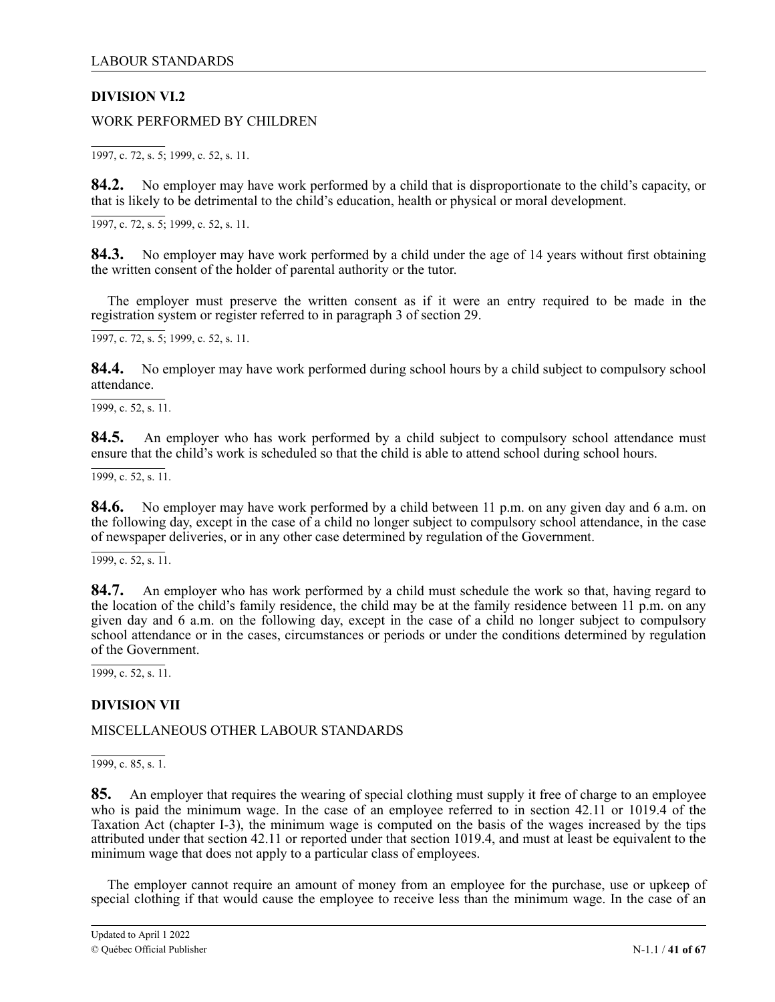# <span id="page-40-0"></span>**DIVISION VI.2**

WORK PERFORMED BY CHILDREN

1997, c. 72, s. 5; 1999, c. 52, s. 11.

**84.2.** No employer may have work performed by a child that is disproportionate to the child's capacity, or that is likely to be detrimental to the child's education, health or physical or moral development.

1997, c. 72, s. 5; 1999, c. 52, s. 11.

**84.3.** No employer may have work performed by a child under the age of 14 years without first obtaining the written consent of the holder of parental authority or the tutor.

The employer must preserve the written consent as if it were an entry required to be made in the registration system or register referred to in paragraph 3 of section 29.

1997, c. 72, s. 5; 1999, c. 52, s. 11.

**84.4.** No employer may have work performed during school hours by a child subject to compulsory school attendance.

1999, c. 52, s. 11.

**84.5.** An employer who has work performed by a child subject to compulsory school attendance must ensure that the child's work is scheduled so that the child is able to attend school during school hours.

1999, c. 52, s. 11.

**84.6.** No employer may have work performed by a child between 11 p.m. on any given day and 6 a.m. on the following day, except in the case of a child no longer subject to compulsory school attendance, in the case of newspaper deliveries, or in any other case determined by regulation of the Government.

1999, c. 52, s. 11.

**84.7.** An employer who has work performed by a child must schedule the work so that, having regard to the location of the child's family residence, the child may be at the family residence between 11 p.m. on any given day and 6 a.m. on the following day, except in the case of a child no longer subject to compulsory school attendance or in the cases, circumstances or periods or under the conditions determined by regulation of the Government.

1999, c. 52, s. 11.

### **DIVISION VII**

### MISCELLANEOUS OTHER LABOUR STANDARDS

1999, c. 85, s. 1.

**85.** An employer that requires the wearing of special clothing must supply it free of charge to an employee who is paid the minimum wage. In the case of an employee referred to in section 42.11 or 1019.4 of the Taxation Act (chapter I-3), the minimum wage is computed on the basis of the wages increased by the tips attributed under that section 42.11 or reported under that section 1019.4, and must at least be equivalent to the minimum wage that does not apply to a particular class of employees.

The employer cannot require an amount of money from an employee for the purchase, use or upkeep of special clothing if that would cause the employee to receive less than the minimum wage. In the case of an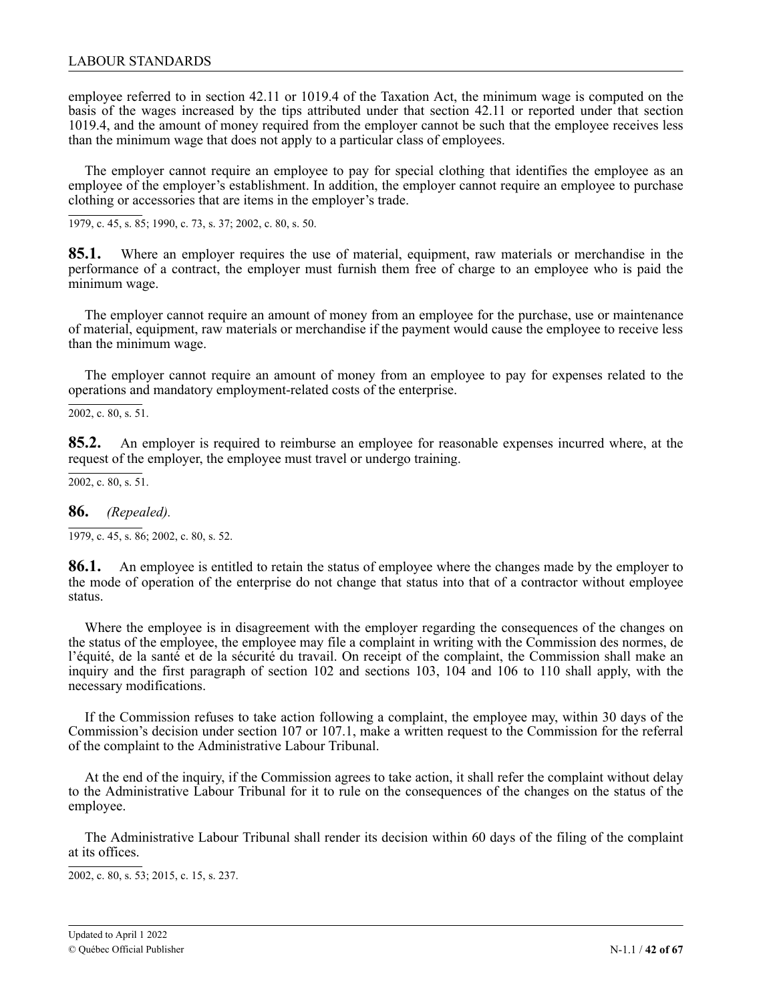employee referred to in section 42.11 or 1019.4 of the Taxation Act, the minimum wage is computed on the basis of the wages increased by the tips attributed under that section 42.11 or reported under that section 1019.4, and the amount of money required from the employer cannot be such that the employee receives less than the minimum wage that does not apply to a particular class of employees.

The employer cannot require an employee to pay for special clothing that identifies the employee as an employee of the employer's establishment. In addition, the employer cannot require an employee to purchase clothing or accessories that are items in the employer's trade.

1979, c. 45, s. 85; 1990, c. 73, s. 37; 2002, c. 80, s. 50.

**85.1.** Where an employer requires the use of material, equipment, raw materials or merchandise in the performance of a contract, the employer must furnish them free of charge to an employee who is paid the minimum wage.

The employer cannot require an amount of money from an employee for the purchase, use or maintenance of material, equipment, raw materials or merchandise if the payment would cause the employee to receive less than the minimum wage.

The employer cannot require an amount of money from an employee to pay for expenses related to the operations and mandatory employment-related costs of the enterprise.

 $\overline{2002}$ , c. 80, s. 51.

**85.2.** An employer is required to reimburse an employee for reasonable expenses incurred where, at the request of the employer, the employee must travel or undergo training.

 $\overline{2002, c. 80, s. 51}.$ 

**86.** *(Repealed).*

 $\overline{1979, c. 45, s. 86}$ ; 2002, c. 80, s. 52.

**86.1.** An employee is entitled to retain the status of employee where the changes made by the employer to the mode of operation of the enterprise do not change that status into that of a contractor without employee status.

Where the employee is in disagreement with the employer regarding the consequences of the changes on the status of the employee, the employee may file a complaint in writing with the Commission des normes, de l'équité, de la santé et de la sécurité du travail. On receipt of the complaint, the Commission shall make an inquiry and the first paragraph of section 102 and sections 103, 104 and 106 to 110 shall apply, with the necessary modifications.

If the Commission refuses to take action following a complaint, the employee may, within 30 days of the Commission's decision under section 107 or 107.1, make a written request to the Commission for the referral of the complaint to the Administrative Labour Tribunal.

At the end of the inquiry, if the Commission agrees to take action, it shall refer the complaint without delay to the Administrative Labour Tribunal for it to rule on the consequences of the changes on the status of the employee.

The Administrative Labour Tribunal shall render its decision within 60 days of the filing of the complaint at its offices.

2002, c. 80, s. 53; 2015, c. 15, s. 237.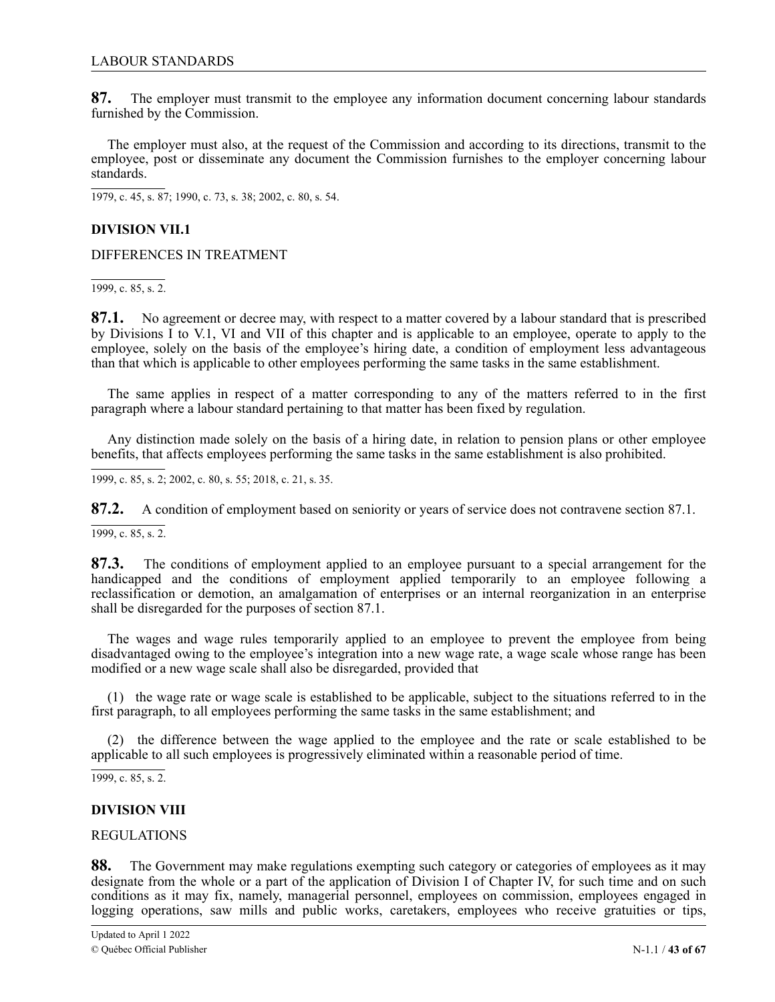<span id="page-42-0"></span>**87.** The employer must transmit to the employee any information document concerning labour standards furnished by the Commission.

The employer must also, at the request of the Commission and according to its directions, transmit to the employee, post or disseminate any document the Commission furnishes to the employer concerning labour standards.

1979, c. 45, s. 87; 1990, c. 73, s. 38; 2002, c. 80, s. 54.

# **DIVISION VII.1**

DIFFERENCES IN TREATMENT

1999, c. 85, s. 2.

**87.1.** No agreement or decree may, with respect to a matter covered by a labour standard that is prescribed by Divisions I to V.1, VI and VII of this chapter and is applicable to an employee, operate to apply to the employee, solely on the basis of the employee's hiring date, a condition of employment less advantageous than that which is applicable to other employees performing the same tasks in the same establishment.

The same applies in respect of a matter corresponding to any of the matters referred to in the first paragraph where a labour standard pertaining to that matter has been fixed by regulation.

Any distinction made solely on the basis of a hiring date, in relation to pension plans or other employee benefits, that affects employees performing the same tasks in the same establishment is also prohibited.

1999, c. 85, s. 2; 2002, c. 80, s. 55; 2018, c. 21, s. 35.

87.2. A condition of employment based on seniority or years of service does not contravene section 87.1.

 $\overline{1999, c. 85, s. 2}.$ 

87.3. The conditions of employment applied to an employee pursuant to a special arrangement for the 2 handicapped and the conditions of employment applied temporarily to an employee following a reclassification or demotion, an amalgamation of enterprises or an internal reorganization in an enterprise shall be disregarded for the purposes of section 87.1.

The wages and wage rules temporarily applied to an employee to prevent the employee from being disadvantaged owing to the employee's integration into a new wage rate, a wage scale whose range has been modified or a new wage scale shall also be disregarded, provided that

(1) the wage rate or wage scale is established to be applicable, subject to the situations referred to in the first paragraph, to all employees performing the same tasks in the same establishment; and

(2) the difference between the wage applied to the employee and the rate or scale established to be applicable to all such employees is progressively eliminated within a reasonable period of time.

1999, c. 85, s. 2.

### **DIVISION VIII**

### REGULATIONS

**88.** The Government may make regulations exempting such category or categories of employees as it may designate from the whole or a part of the application of Division I of Chapter IV, for such time and on such conditions as it may fix, namely, managerial personnel, employees on commission, employees engaged in logging operations, saw mills and public works, caretakers, employees who receive gratuities or tips,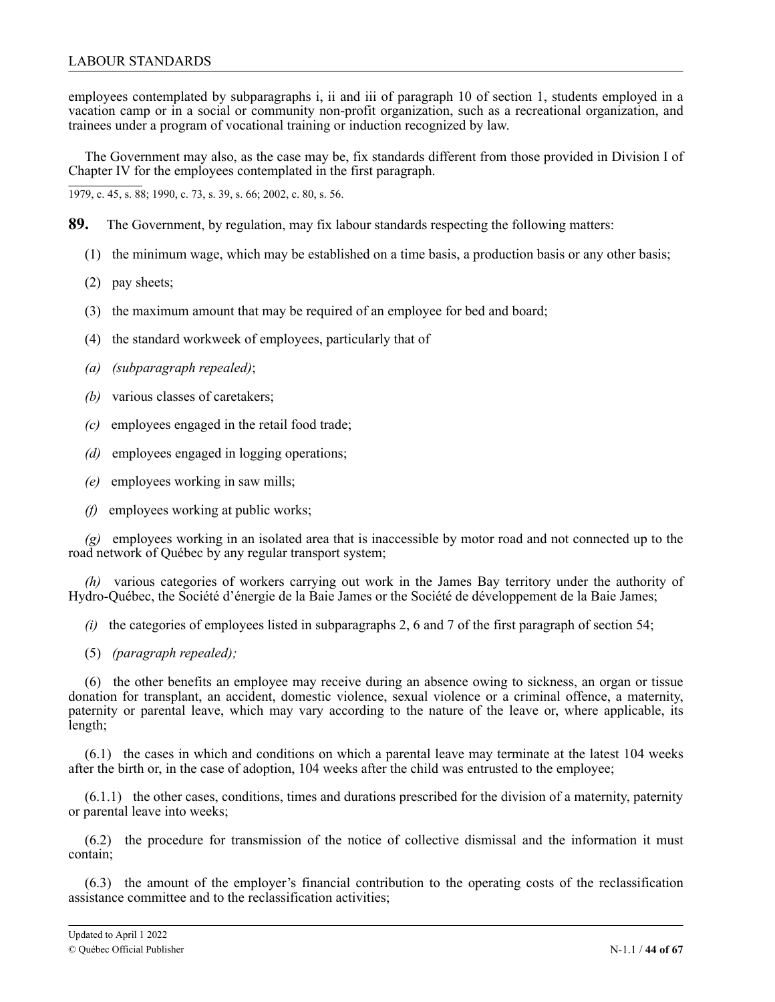employees contemplated by subparagraphs i, ii and iii of paragraph 10 of section 1, students employed in a vacation camp or in a social or community non-profit organization, such as a recreational organization, and trainees under a program of vocational training or induction recognized by law.

The Government may also, as the case may be, fix standards different from those provided in Division I of Chapter IV for the employees contemplated in the first paragraph.

1979, c. 45, s. 88; 1990, c. 73, s. 39, s. 66; 2002, c. 80, s. 56.

- **89.** The Government, by regulation, may fix labour standards respecting the following matters:
	- (1) the minimum wage, which may be established on a time basis, a production basis or any other basis;
	- (2) pay sheets;
	- (3) the maximum amount that may be required of an employee for bed and board;
	- (4) the standard workweek of employees, particularly that of
	- *(a) (subparagraph repealed)*;
	- *(b)* various classes of caretakers;
	- *(c)* employees engaged in the retail food trade;
	- *(d)* employees engaged in logging operations;
	- *(e)* employees working in saw mills;
	- *(f)* employees working at public works;

*(g)* employees working in an isolated area that is inaccessible by motor road and not connected up to the road network of Québec by any regular transport system;

*(h)* various categories of workers carrying out work in the James Bay territory under the authority of Hydro-Québec, the Société d'énergie de la Baie James or the Société de développement de la Baie James;

*(i)* the categories of employees listed in subparagraphs 2, 6 and 7 of the first paragraph of section 54;

(5) *(paragraph repealed);*

(6) the other benefits an employee may receive during an absence owing to sickness, an organ or tissue donation for transplant, an accident, domestic violence, sexual violence or a criminal offence, a maternity, paternity or parental leave, which may vary according to the nature of the leave or, where applicable, its length;

(6.1) the cases in which and conditions on which a parental leave may terminate at the latest 104 weeks after the birth or, in the case of adoption, 104 weeks after the child was entrusted to the employee;

(6.1.1) the other cases, conditions, times and durations prescribed for the division of a maternity, paternity or parental leave into weeks;

(6.2) the procedure for transmission of the notice of collective dismissal and the information it must contain;

(6.3) the amount of the employer's financial contribution to the operating costs of the reclassification assistance committee and to the reclassification activities;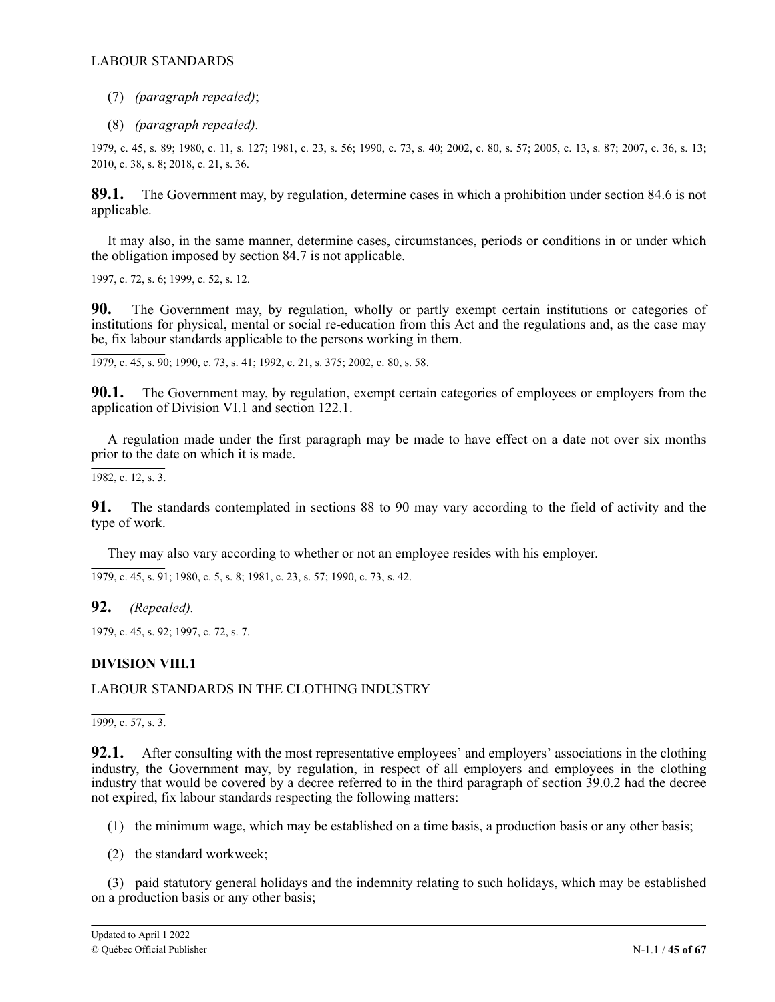<span id="page-44-0"></span>(7) *(paragraph repealed)*;

(8) *(paragraph repealed).*

1979, c. 45, s. 89; 1980, c. 11, s. 127; 1981, c. 23, s. 56; 1990, c. 73, s. 40; 2002, c. 80, s. 57; 2005, c. 13, s. 87; 2007, c. 36, s. 13; 2010, c. 38, s. 8; 2 2018, c. 21, s. 36.1

89.1. The Government may, by regulation, determine cases in which a prohibition under section 84.6 is not applicable.

It may also, in the same manner, determine cases, circumstances, periods or conditions in or under which . the obligation imposed by section 84.7 is not applicable.

1 1997, c. 72, s. 6; 1999, c. 52, s. 12.

**90.** The Government may, by regulation, wholly or partly exempt certain institutions or categories of institutions for physical, mental or social re-education from this Act and the regulations and, as the case may be, fix labour standards applicable to the persons working in them.

1979, c. 45, s. 90; 1990, c. 73, s. 41; 1992, c. 21, s. 375; 2002, c. 80, s. 58.

**90.1.** The Government may, by regulation, exempt certain categories of employees or employers from the application of Division VI.1 and section 122.1.

A regulation made under the first paragraph may be made to have effect on a date not over six months prior to the date on which it is made.

1982, c. 12, s. 3.

**91.** The standards contemplated in sections 88 to 90 may vary according to the field of activity and the type of work.

They may also vary according to whether or not an employee resides with his employer.

1979, c. 45, s. 91; 1980, c. 5, s. 8; 1981, c. 23, s. 57; 1990, c. 73, s. 42.

**92.** *(Repealed).*

1979, c. 45, s. 92; 1997, c. 72, s. 7.

# **DIVISION VIII.1**

# LABOUR STANDARDS IN THE CLOTHING INDUSTRY

1999, c. 57, s. 3.

**92.1.** After consulting with the most representative employees' and employers' associations in the clothing industry, the Government may, by regulation, in respect of all employers and employees in the clothing industry that would be covered by a decree referred to in the third paragraph of section 39.0.2 had the decree not expired, fix labour standards respecting the following matters:

- (1) the minimum wage, which may be established on a time basis, a production basis or any other basis;
- (2) the standard workweek;

(3) paid statutory general holidays and the indemnity relating to such holidays, which may be established on a production basis or any other basis;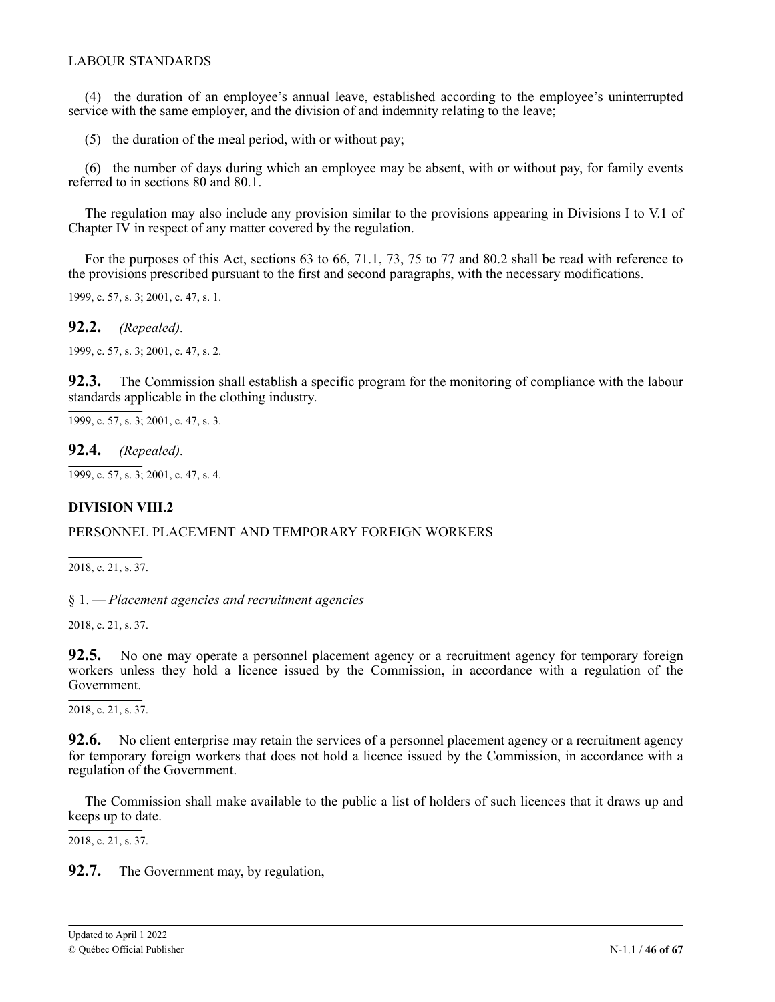<span id="page-45-0"></span>(4) the duration of an employee's annual leave, established according to the employee's uninterrupted service with the same employer, and the division of and indemnity relating to the leave;

(5) the duration of the meal period, with or without pay;

(6) the number of days during which an employee may be absent, with or without pay, for family events referred to in sections 80 and 80.1.

The regulation may also include any provision similar to the provisions appearing in Divisions I to V.1 of Chapter IV in respect of any matter covered by the regulation.

For the purposes of this Act, sections 63 to 66, 71.1, 73, 75 to 77 and 80.2 shall be read with reference to the provisions prescribed pursuant to the first and second paragraphs, with the necessary modifications.

 $\overline{1999, c. 57, s. 3}$ ; 2001, c. 47, s. 1.

**92.2.** *(Repealed).*

 $\overline{1999, c. 57, s. 3}$ ; 2001, c. 47, s. 2.

**92.3.** The Commission shall establish a specific program for the monitoring of compliance with the labour standards applicable in the clothing industry.

 $\overline{1999, c. 57, s. 3}$ ; 2001, c. 47, s. 3.

**92.4.** *(Repealed).*

1999, c. 57, s. 3; 2001, c. 47, s. 4.

# **DIVISION VIII.2**

### PERSONNEL PLACEMENT AND TEMPORARY FOREIGN WORKERS

2018, c. 21, s. 37.

1 § 1. — *Placement agencies and recruitment agencies*  $\tilde{ }$ 

2018, c. 21, s. 37.

. 1 **92.5.** No one may operate a personnel placement agency or a recruitment agency for temporary foreign 2 8 workers unless they hold a licence issued by the Commission, in accordance with a regulation of the Government.

c 2018, c. 21, s. 37.

92.6. No client enterprise may retain the services of a personnel placement agency or a recruitment agency for temporary foreign workers that does not hold a licence issued by the Commission, in accordance with a regulation of the Government.

keeps up to date.  $\overline{1}$ The Commission shall make available to the public a list of holders of such licences that it draws up and

2018, c. 21, s. 37.

**92.7.** The Government may, by regulation,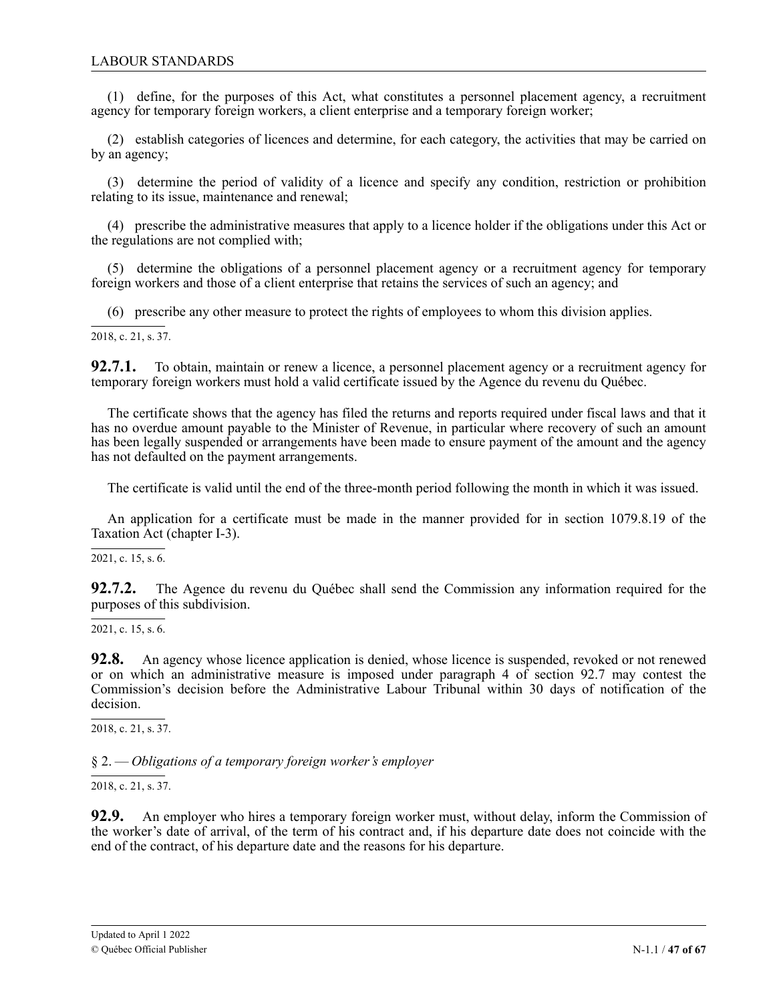<span id="page-46-0"></span>(1) define, for the purposes of this Act, what constitutes a personnel placement agency, a recruitment agency for temporary foreign workers, a client enterprise and a temporary foreign worker;

(2) establish categories of licences and determine, for each category, the activities that may be carried on by an agency;

(3) determine the period of validity of a licence and specify any condition, restriction or prohibition relating to its issue, maintenance and renewal;

(4) prescribe the administrative measures that apply to a licence holder if the obligations under this Act or the regulations are not complied with;

(5) determine the obligations of a personnel placement agency or a recruitment agency for temporary foreign workers and those of a client enterprise that retains the services of such an agency; and

(6) prescribe any other measure to protect the rights of employees to whom this division applies.

2018, c. 21, s. 37.

92.7.1. temporary foreign workers must hold a valid certificate issued by the Agence du revenu du Québec. **92.7.1.** To obtain, maintain or renew a licence, a personnel placement agency or a recruitment agency for

has no overdue amount payable to the Minister of Revenue, in particular where recovery of such an amount has been legally suspended or arrangements have been made to ensure payment of the amount and the agency has not defaulted on the payment arrangements. The certificate shows that the agency has filed the returns and reports required under fiscal laws and that it

The certificate is valid until the end of the three-month period following the month in which it was issued.

An application for a certificate must be made in the manner provided for in section 1079.8.19 of the Taxation Act (chapter I-3).

2021, c. 15, s. 6.

92.7.2. purposes of this subdivision. **92.7.2.** The Agence du revenu du Québec shall send the Commission any information required for the

, 2021, c. 15, s. 6.

1 2  $\overline{O}$ , decision. **92.8.** An agency whose licence application is denied, whose licence is suspended, revoked or not renewed or on which an administrative measure is imposed under paragraph 4 of section 92.7 may contest the Commission's decision before the Administrative Labour Tribunal within 30 days of notification of the

. 2018, c. 21, s. 37.

1 § 2. — *Obligations of a temporary foreign worker's employer*  $\tilde{ }$ 

2018, c. 21, s. 37.

92.9. An employer who hires a temporary foreign worker must, without delay, inform the Commission of 2 8 the worker's date of arrival, of the term of his contract and, if his departure date does not coincide with the end of the contract, of his departure date and the reasons for his departure.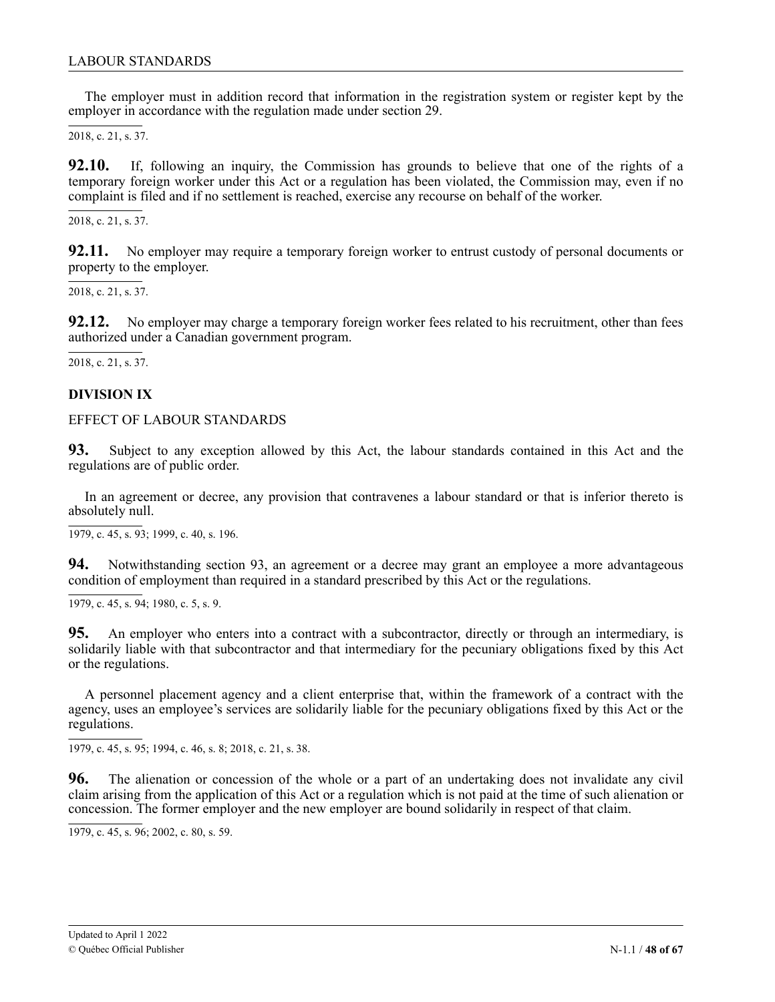<span id="page-47-0"></span>The employer must in addition record that information in the registration system or register kept by the employer in accordance with the regulation made under section 29.

2018, c. 21, s. 37.

92.10. temporary foreign worker under this Act or a regulation has been violated, the Commission may, even if no complaint is filed and if no settlement is reached, exercise any recourse on behalf of the worker. **92.10.** If, following an inquiry, the Commission has grounds to believe that one of the rights of a

c 2018, c. 21, s. 37.

92.11. No employer may require a temporary foreign worker to entrust custody of personal documents or property to the employer.

, 2018, c. 21, s. 37.

92.12. No employer may charge a temporary foreign worker fees related to his recruitment, other than fees authorized under a Canadian government program.

, 2018, c. 21, s. 37.

# 2 1 **DIVISION IX**

### , EFFECT OF LABOUR STANDARDS

 $93.$ regulations are of public order. **93.** Subject to any exception allowed by this Act, the labour standards contained in this Act and the

In an agreement or decree, any provision that contravenes a labour standard or that is inferior thereto is absolutely null.

 $\overline{1979, c. 45, s. 93}$ ; 1999, c. 40, s. 196.

**94.** Notwithstanding section 93, an agreement or a decree may grant an employee a more advantageous condition of employment than required in a standard prescribed by this Act or the regulations.

 $\overline{1979, c. 45, s. 94}$ ; 1980, c. 5, s. 9.

**95.** An employer who enters into a contract with a subcontractor, directly or through an intermediary, is solidarily liable with that subcontractor and that intermediary for the pecuniary obligations fixed by this Act or the regulations.

A personnel placement agency and a client enterprise that, within the framework of a contract with the agency, uses an employee's services are solidarily liable for the pecuniary obligations fixed by this Act or the regulations.

1979, c. 45, s. 95; 1994, c. 46, s. 8; 2018, c. 21, s. 38.

1 **96.** The alienation or concession of the whole or a part of an undertaking does not invalidate any civil claim arising from the application of this Act or a regulation which is not paid at the time of such alienation or , concession. The former employer and the new employer are bound solidarily in respect of that claim.

. 1979, c. 45, s. 96; 2002, c. 80, s. 59.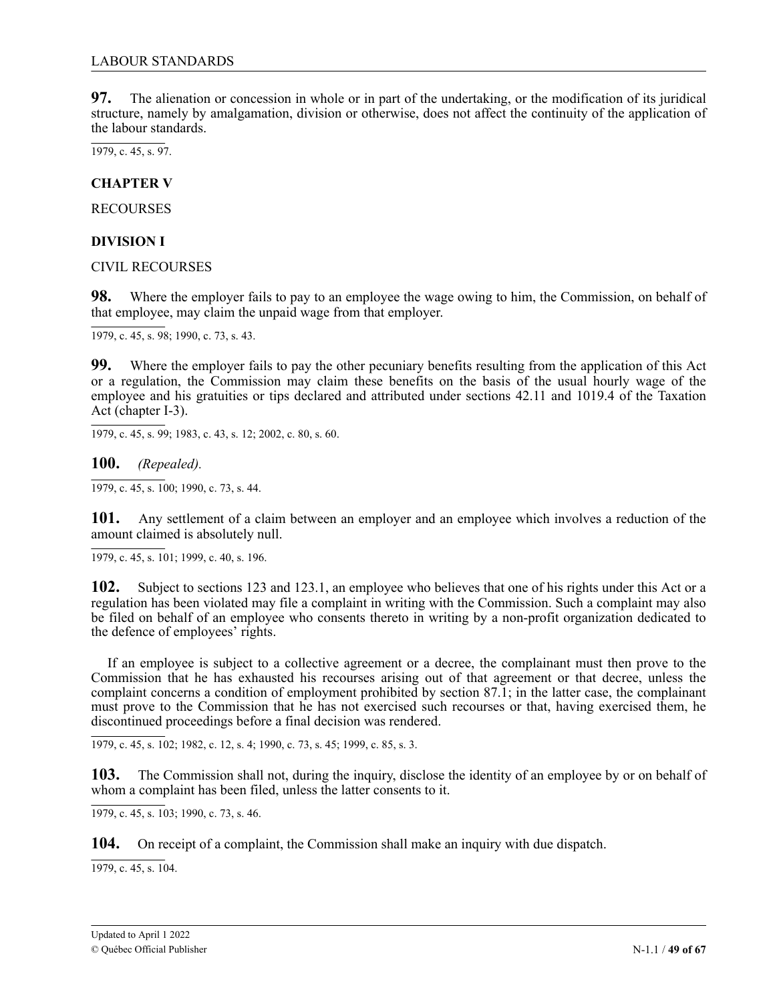<span id="page-48-0"></span>**97.** The alienation or concession in whole or in part of the undertaking, or the modification of its juridical structure, namely by amalgamation, division or otherwise, does not affect the continuity of the application of the labour standards.

1979, c. 45, s. 97.

**CHAPTER V**

RECOURSES

# **DIVISION I**

CIVIL RECOURSES

**98.** Where the employer fails to pay to an employee the wage owing to him, the Commission, on behalf of that employee, may claim the unpaid wage from that employer.

 $\overline{1979, c. 45, s. 98}$ ; 1990, c. 73, s. 43.

**99.** Where the employer fails to pay the other pecuniary benefits resulting from the application of this Act or a regulation, the Commission may claim these benefits on the basis of the usual hourly wage of the employee and his gratuities or tips declared and attributed under sections 42.11 and 1019.4 of the Taxation Act (chapter I-3).

1979, c. 45, s. 99; 1983, c. 43, s. 12; 2002, c. 80, s. 60.

**100.** *(Repealed).*

1979, c. 45, s. 100; 1990, c. 73, s. 44.

**101.** Any settlement of a claim between an employer and an employee which involves a reduction of the amount claimed is absolutely null.

1979, c. 45, s. 101; 1999, c. 40, s. 196.

**102.** Subject to sections 123 and 123.1, an employee who believes that one of his rights under this Act or a regulation has been violated may file a complaint in writing with the Commission. Such a complaint may also be filed on behalf of an employee who consents thereto in writing by a non-profit organization dedicated to the defence of employees' rights.

If an employee is subject to a collective agreement or a decree, the complainant must then prove to the Commission that he has exhausted his recourses arising out of that agreement or that decree, unless the complaint concerns a condition of employment prohibited by section 87.1; in the latter case, the complainant must prove to the Commission that he has not exercised such recourses or that, having exercised them, he discontinued proceedings before a final decision was rendered.

1979, c. 45, s. 102; 1982, c. 12, s. 4; 1990, c. 73, s. 45; 1999, c. 85, s. 3.

**103.** The Commission shall not, during the inquiry, disclose the identity of an employee by or on behalf of whom a complaint has been filed, unless the latter consents to it.

1979, c. 45, s. 103; 1990, c. 73, s. 46.

**104.** On receipt of a complaint, the Commission shall make an inquiry with due dispatch.

 $\overline{1979, c. 45, s. 104}.$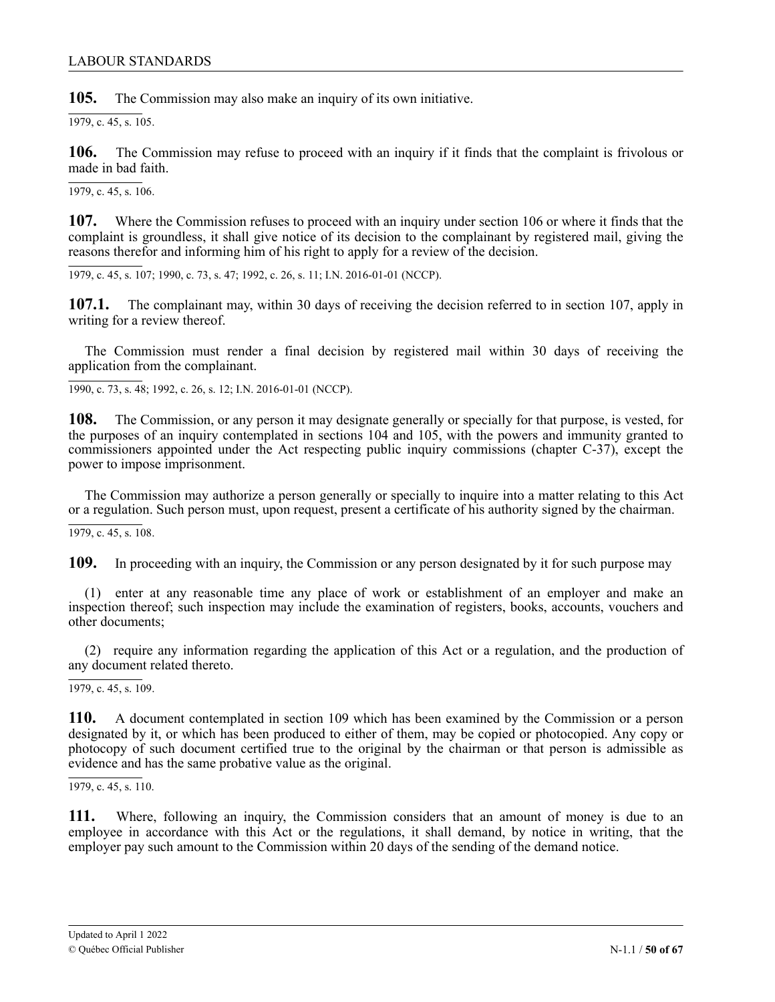### LABOUR STANDARDS

**105.** The Commission may also make an inquiry of its own initiative.

 $\overline{1979, c. 45, s. 105}.$ 

**106.** The Commission may refuse to proceed with an inquiry if it finds that the complaint is frivolous or made in bad faith.

1979, c. 45, s. 106.

**107.** Where the Commission refuses to proceed with an inquiry under section 106 or where it finds that the complaint is groundless, it shall give notice of its decision to the complainant by registered mail, giving the reasons therefor and informing him of his right to apply for a review of the decision.

1979, c. 45, s. 107; 1990, c. 73, s. 47; 1992, c. 26, s. 11; I.N. 2016-01-01 (NCCP).

**107.1.** The complainant may, within 30 days of receiving the decision referred to in section 107, apply in writing for a review thereof.

The Commission must render a final decision by registered mail within 30 days of receiving the application from the complainant.

1990, c. 73, s. 48; 1992, c. 26, s. 12; I.N. 2016-01-01 (NCCP).

**108.** The Commission, or any person it may designate generally or specially for that purpose, is vested, for the purposes of an inquiry contemplated in sections 104 and 105, with the powers and immunity granted to commissioners appointed under the Act respecting public inquiry commissions (chapter C-37), except the power to impose imprisonment.

The Commission may authorize a person generally or specially to inquire into a matter relating to this Act or a regulation. Such person must, upon request, present a certificate of his authority signed by the chairman.

1979, c. 45, s. 108.

**109.** In proceeding with an inquiry, the Commission or any person designated by it for such purpose may

(1) enter at any reasonable time any place of work or establishment of an employer and make an inspection thereof; such inspection may include the examination of registers, books, accounts, vouchers and other documents;

(2) require any information regarding the application of this Act or a regulation, and the production of any document related thereto.

1979, c. 45, s. 109.

**110.** A document contemplated in section 109 which has been examined by the Commission or a person designated by it, or which has been produced to either of them, may be copied or photocopied. Any copy or photocopy of such document certified true to the original by the chairman or that person is admissible as evidence and has the same probative value as the original.

 $\overline{1979, c. 45, s. 110}$ .

**111.** Where, following an inquiry, the Commission considers that an amount of money is due to an employee in accordance with this Act or the regulations, it shall demand, by notice in writing, that the employer pay such amount to the Commission within 20 days of the sending of the demand notice.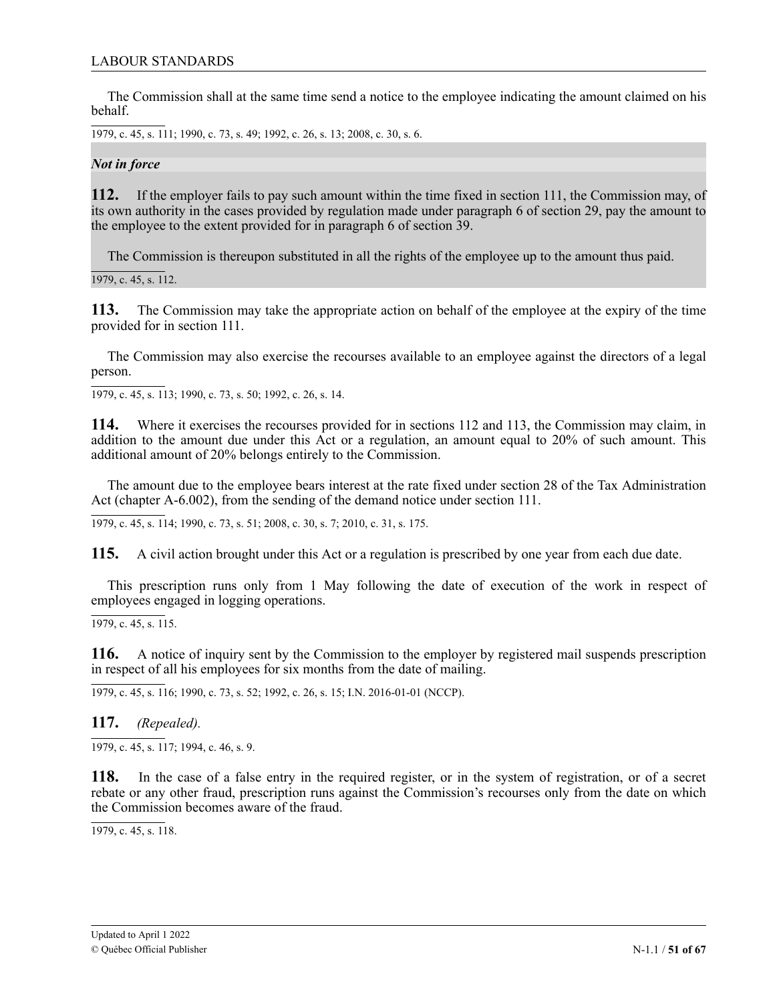The Commission shall at the same time send a notice to the employee indicating the amount claimed on his behalf.

1979, c. 45, s. 111; 1990, c. 73, s. 49; 1992, c. 26, s. 13; 2008, c. 30, s. 6.

*Not in force*

**112.** If the employer fails to pay such amount within the time fixed in section 111, the Commission may, of its own authority in the cases provided by regulation made under paragraph 6 of section 29, pay the amount to the employee to the extent provided for in paragraph 6 of section 39.

The Commission is thereupon substituted in all the rights of the employee up to the amount thus paid.

1979, c. 45, s. 112.

**113.** The Commission may take the appropriate action on behalf of the employee at the expiry of the time provided for in section 111.

The Commission may also exercise the recourses available to an employee against the directors of a legal person.

1979, c. 45, s. 113; 1990, c. 73, s. 50; 1992, c. 26, s. 14.

**114.** Where it exercises the recourses provided for in sections 112 and 113, the Commission may claim, in addition to the amount due under this Act or a regulation, an amount equal to 20% of such amount. This additional amount of 20% belongs entirely to the Commission.

The amount due to the employee bears interest at the rate fixed under section 28 of the Tax Administration Act (chapter A-6.002), from the sending of the demand notice under section 111.

1979, c. 45, s. 114; 1990, c. 73, s. 51; 2008, c. 30, s. 7; 2010, c. 31, s. 175.

**115.** A civil action brought under this Act or a regulation is prescribed by one year from each due date.

This prescription runs only from 1 May following the date of execution of the work in respect of employees engaged in logging operations.

 $\overline{1979, c. 45, s. 115}.$ 

**116.** A notice of inquiry sent by the Commission to the employer by registered mail suspends prescription in respect of all his employees for six months from the date of mailing.

1979, c. 45, s. 116; 1990, c. 73, s. 52; 1992, c. 26, s. 15; I.N. 2016-01-01 (NCCP).

**117.** *(Repealed).*

 $\overline{1979, c. 45, s. 117; 1994, c. 46, s. 9}.$ 

**118.** In the case of a false entry in the required register, or in the system of registration, or of a secret rebate or any other fraud, prescription runs against the Commission's recourses only from the date on which the Commission becomes aware of the fraud.

1979, c. 45, s. 118.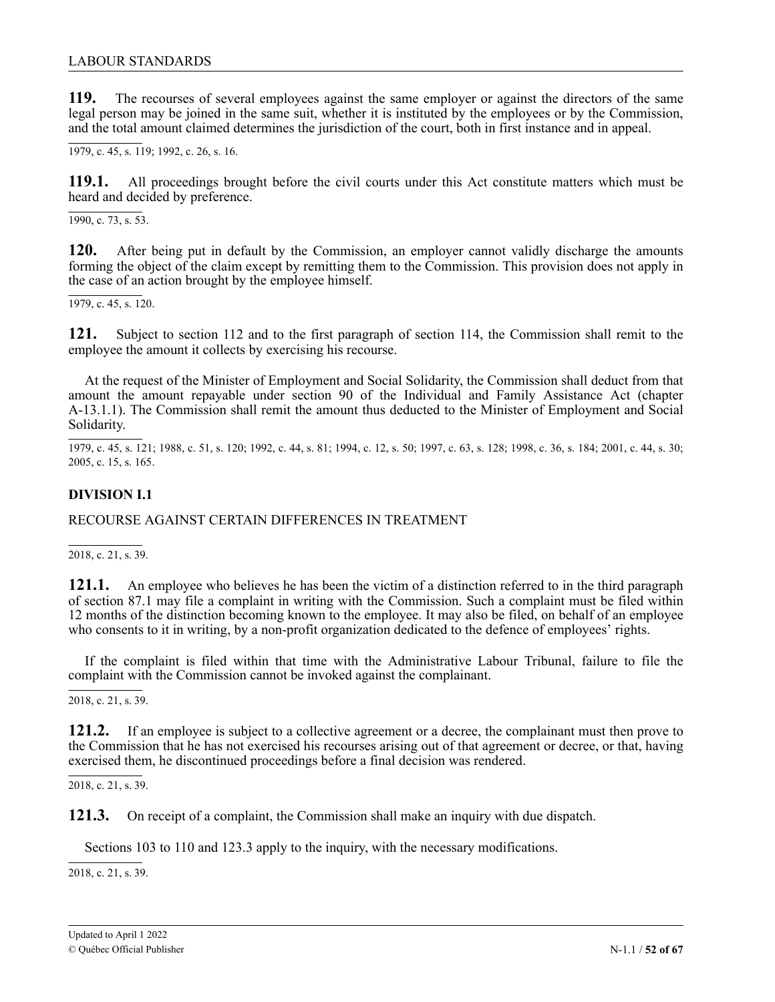<span id="page-51-0"></span>**119.** The recourses of several employees against the same employer or against the directors of the same legal person may be joined in the same suit, whether it is instituted by the employees or by the Commission, and the total amount claimed determines the jurisdiction of the court, both in first instance and in appeal.

1979, c. 45, s. 119; 1992, c. 26, s. 16.

**119.1.** All proceedings brought before the civil courts under this Act constitute matters which must be heard and decided by preference.

 $\overline{1990, c. 73, s. 53}$ .

**120.** After being put in default by the Commission, an employer cannot validly discharge the amounts forming the object of the claim except by remitting them to the Commission. This provision does not apply in the case of an action brought by the employee himself.

 $\overline{1979, c. 45, s. 120}$ .

**121.** Subject to section 112 and to the first paragraph of section 114, the Commission shall remit to the employee the amount it collects by exercising his recourse.

At the request of the Minister of Employment and Social Solidarity, the Commission shall deduct from that amount the amount repayable under section 90 of the Individual and Family Assistance Act (chapter A-13.1.1). The Commission shall remit the amount thus deducted to the Minister of Employment and Social Solidarity.

1979, c. 45, s. 121; 1988, c. 51, s. 120; 1992, c. 44, s. 81; 1994, c. 12, s. 50; 1997, c. 63, s. 128; 1998, c. 36, s. 184; 2001, c. 44, s. 30; 2005, c. 15, s. 165.

# **DIVISION I.1**

RECOURSE AGAINST CERTAIN DIFFERENCES IN TREATMENT

2018, c. 21, s. 39.

1 **121.1.** An employee who believes he has been the victim of a distinction referred to in the third paragraph of section 87.1 may file a complaint in writing with the Commission. Such a complaint must be filed within 12 months of the distinction becoming known to the employee. It may also be filed, on behalf of an employee who consents to it in writing, by a non-profit organization dedicated to the defence of employees' rights.

complaint with the Commission cannot be invoked against the complainant. If the complaint is filed within that time with the Administrative Labour Tribunal, failure to file the

2018, c. 21, s. 39.

121.2. If an employee is subject to a collective agreement or a decree, the complainant must then prove to the Commission that he has not exercised his recourses arising out of that agreement or decree, or that, having exercised them, he discontinued proceedings before a final decision was rendered.

 $\overline{a}$ 2018, c. 21, s. 39.

1 1 **121.3.** On receipt of a complaint, the Commission shall make an inquiry with due dispatch.

Sections 103 to 110 and 123.3 apply to the inquiry, with the necessary modifications.

2018, c. 21, s. 39.

c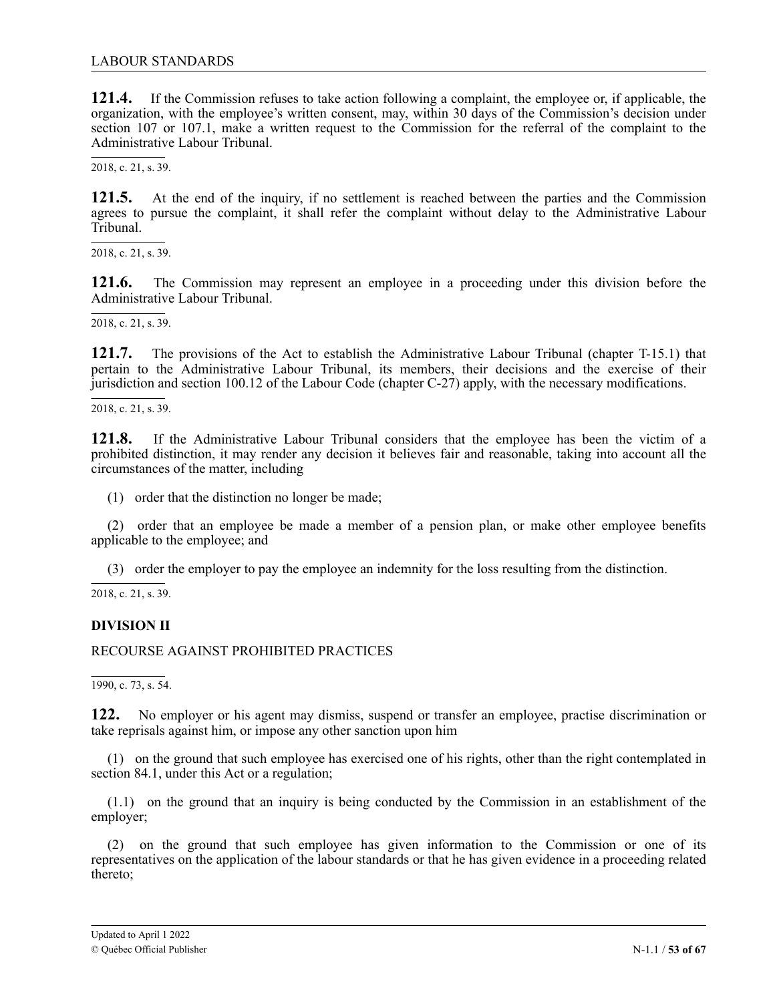<span id="page-52-0"></span>**121.4.** If the Commission refuses to take action following a complaint, the employee or, if applicable, the organization, with the employee's written consent, may, within 30 days of the Commission's decision under section 107 or 107.1, make a written request to the Commission for the referral of the complaint to the Administrative Labour Tribunal.

2018, c. 21, s. 39.

121.5. agrees to pursue the complaint, it shall refer the complaint without delay to the Administrative Labour , Tribunal. **121.5.** At the end of the inquiry, if no settlement is reached between the parties and the Commission

 $\overline{a}$ 2018, c. 21, s. 39.

1 1 Administrative Labour Tribunal. **121.6.** The Commission may represent an employee in a proceeding under this division before the

, 2018, c. 21, s. 39.

2 1 pertain to the Administrative Labour Tribunal, its members, their decisions and the exercise of their , jurisdiction and section 100.12 of the Labour Code (chapter C-27) apply, with the necessary modifications. **121.7.** The provisions of the Act to establish the Administrative Labour Tribunal (chapter T-15.1) that

 $\overline{a}$ 2018, c. 21, s. 39.

1 1 prohibited distinction, it may render any decision it believes fair and reasonable, taking into account all the , circumstances of the matter, including **121.8.** If the Administrative Labour Tribunal considers that the employee has been the victim of a

(1) order that the distinction no longer be made;

(2) order that an employee be made a member of a pension plan, or make other employee benefits applicable to the employee; and

(3) order the employer to pay the employee an indemnity for the loss resulting from the distinction.

2 2018, c. 21, s. 39.1

# 1 **DIVISION II**

, RECOURSE AGAINST PROHIBITED PRACTICES

1990, c. 73, s. 54.

122. **122.** No employer or his agent may dismiss, suspend or transfer an employee, practise discrimination or take reprisals against him, or impose any other sanction upon him

(1) on the ground that such employee has exercised one of his rights, other than the right contemplated in section 84.1, under this Act or a regulation;

(1.1) on the ground that an inquiry is being conducted by the Commission in an establishment of the employer;

(2) on the ground that such employee has given information to the Commission or one of its representatives on the application of the labour standards or that he has given evidence in a proceeding related thereto;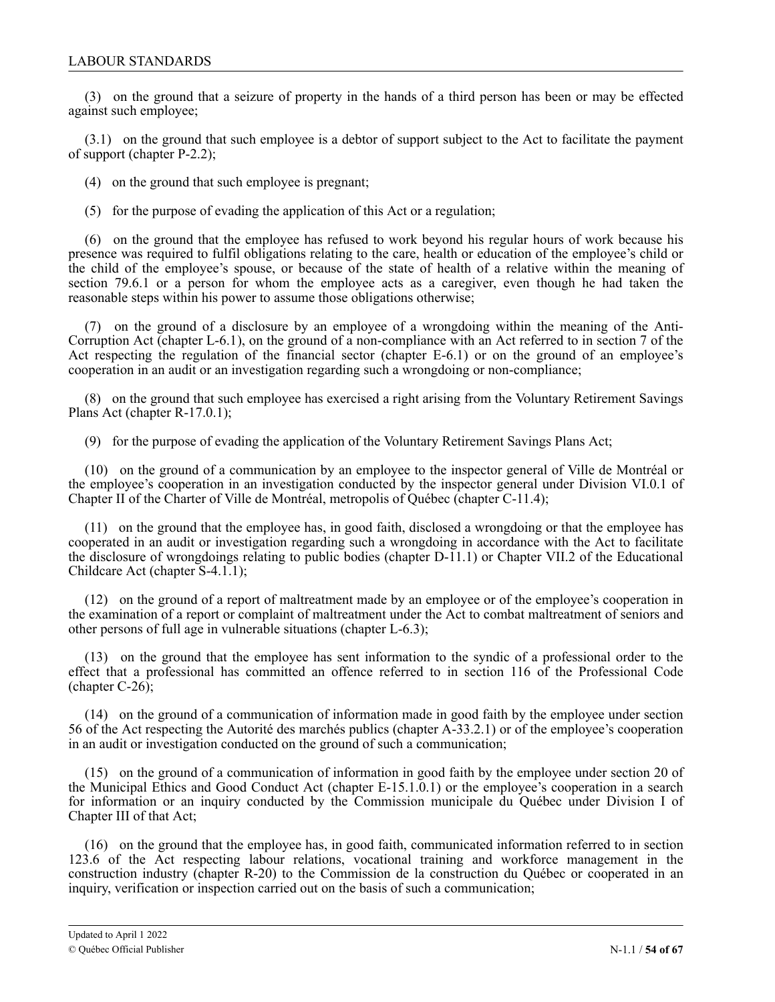(3) on the ground that a seizure of property in the hands of a third person has been or may be effected against such employee;

(3.1) on the ground that such employee is a debtor of support subject to the Act to facilitate the payment of support (chapter P-2.2);

(4) on the ground that such employee is pregnant;

(5) for the purpose of evading the application of this Act or a regulation;

(6) on the ground that the employee has refused to work beyond his regular hours of work because his presence was required to fulfil obligations relating to the care, health or education of the employee's child or the child of the employee's spouse, or because of the state of health of a relative within the meaning of section 79.6.1 or a person for whom the employee acts as a caregiver, even though he had taken the reasonable steps within his power to assume those obligations otherwise;

(7) on the ground of a disclosure by an employee of a wrongdoing within the meaning of the Anti-Corruption Act (chapter L-6.1), on the ground of a non-compliance with an Act referred to in section 7 of the Act respecting the regulation of the financial sector (chapter E-6.1) or on the ground of an employee's cooperation in an audit or an investigation regarding such a wrongdoing or non-compliance;

(8) on the ground that such employee has exercised a right arising from the Voluntary Retirement Savings Plans Act (chapter R-17.0.1);

(9) for the purpose of evading the application of the Voluntary Retirement Savings Plans Act;

(10) on the ground of a communication by an employee to the inspector general of Ville de Montréal or the employee's cooperation in an investigation conducted by the inspector general under Division VI.0.1 of Chapter II of the Charter of Ville de Montréal, metropolis of Québec (chapter C-11.4);

(11) on the ground that the employee has, in good faith, disclosed a wrongdoing or that the employee has cooperated in an audit or investigation regarding such a wrongdoing in accordance with the Act to facilitate the disclosure of wrongdoings relating to public bodies (chapter D-11.1) or Chapter VII.2 of the Educational Childcare Act (chapter S-4.1.1);

(12) on the ground of a report of maltreatment made by an employee or of the employee's cooperation in the examination of a report or complaint of maltreatment under the Act to combat maltreatment of seniors and other persons of full age in vulnerable situations (chapter L-6.3);

(13) on the ground that the employee has sent information to the syndic of a professional order to the effect that a professional has committed an offence referred to in section 116 of the Professional Code (chapter C-26);

(14) on the ground of a communication of information made in good faith by the employee under section 56 of the Act respecting the Autorité des marchés publics (chapter A-33.2.1) or of the employee's cooperation in an audit or investigation conducted on the ground of such a communication;

(15) on the ground of a communication of information in good faith by the employee under section 20 of the Municipal Ethics and Good Conduct Act (chapter E-15.1.0.1) or the employee's cooperation in a search for information or an inquiry conducted by the Commission municipale du Québec under Division I of Chapter III of that Act;

(16) on the ground that the employee has, in good faith, communicated information referred to in section 123.6 of the Act respecting labour relations, vocational training and workforce management in the construction industry (chapter R-20) to the Commission de la construction du Québec or cooperated in an inquiry, verification or inspection carried out on the basis of such a communication;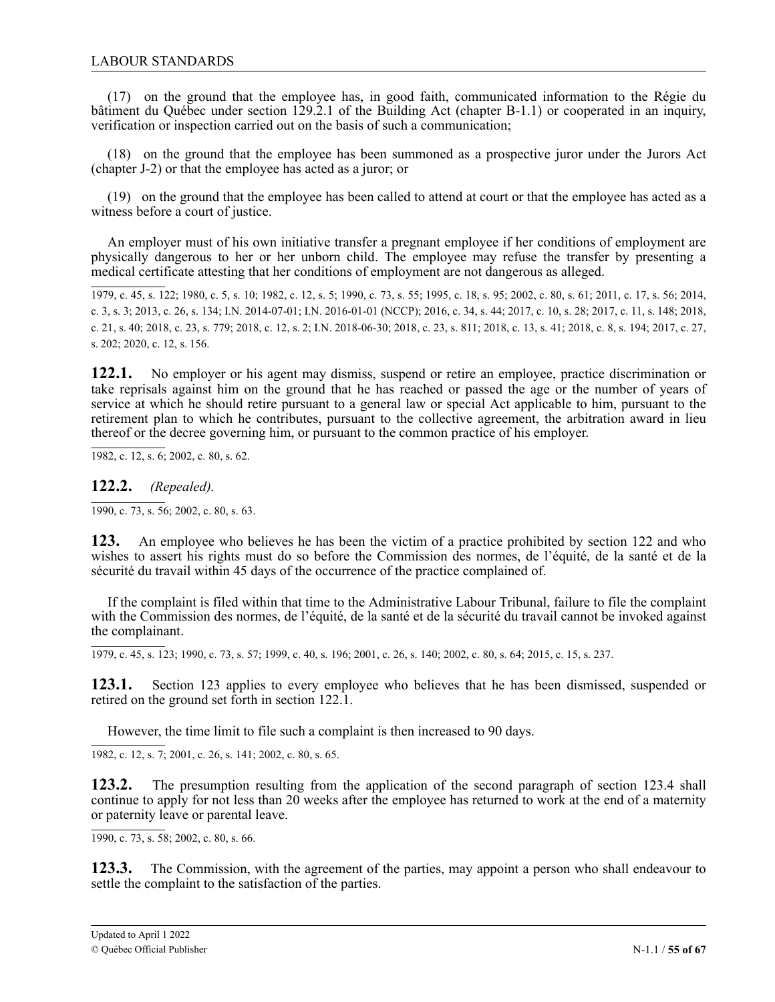(17) on the ground that the employee has, in good faith, communicated information to the Régie du bâtiment du Québec under section 129.2.1 of the Building Act (chapter B-1.1) or cooperated in an inquiry, verification or inspection carried out on the basis of such a communication;

(18) on the ground that the employee has been summoned as a prospective juror under the Jurors Act (chapter J-2) or that the employee has acted as a juror; or

(19) on the ground that the employee has been called to attend at court or that the employee has acted as a witness before a court of justice.

An employer must of his own initiative transfer a pregnant employee if her conditions of employment are physically dangerous to her or her unborn child. The employee may refuse the transfer by presenting a medical certificate attesting that her conditions of employment are not dangerous as alleged.

1979, c. 45, s. 122; 1980, c. 5, s. 10; 1982, c. 12, s. 5; 1990, c. 73, s. 55; 1995, c. 18, s. 95; 2002, c. 80, s. 61; 2011, c. 17, s. 56; 2014, c. 3, s. 3; 2013, c. 26, s. 134; I.N. 2014-07-01; I.N. 2016-01-01 (NCCP); 2016, c. 34, s. 44; 2017, c. 10, s. 28; 2017, c. 11, s. 148; 2018, c. 21, s. 40; 2018, c. 23, s. 779; 2018, c. 12, s. 2; I.N. 2018-06-30; 2018, c. 23, s. 811; 2018, c. 13, s. 41; 2018, c. 8, s. 194; 2017, c. 27, s. 202; 2020, c. 12, s. 156.

122.1. No employer or his agent may dismiss, suspend or retire an employee, practice discrimination or take reprisals against him on the ground that he has reached or passed the age or the number of years of expected at which he should retire pursuant to a general law or special Act applicable to him, pursuant to the . 1 retirement plan to which he contributes, pursuant to the collective agreement, the arbitration award in lieu thereof or the decree governing him, or pursuant to the common practice of his employer. 122.1.

 $\overline{\phantom{a}}$ 2 1982, c. 12, s. 6; 2002, c. 80, s. 62.

**122.2.** *(Repealed).*

 $1990, c. 73, s. 56$ ; 2002, c. 80, s. 63.

**123.** An employee who believes he has been the victim of a practice prohibited by section 122 and who wishes to assert his rights must do so before the Commission des normes, de l'équité, de la santé et de la sécurité du travail within 45 days of the occurrence of the practice complained of.

If the complaint is filed within that time to the Administrative Labour Tribunal, failure to file the complaint with the Commission des normes, de l'équité, de la santé et de la sécurité du travail cannot be invoked against the complainant.

1979, c. 45, s. 123; 1990, c. 73, s. 57; 1999, c. 40, s. 196; 2001, c. 26, s. 140; 2002, c. 80, s. 64; 2015, c. 15, s. 237.

**123.1.** Section 123 applies to every employee who believes that he has been dismissed, suspended or retired on the ground set forth in section 122.1.

However, the time limit to file such a complaint is then increased to 90 days.

1982, c. 12, s. 7; 2001, c. 26, s. 141; 2002, c. 80, s. 65.

**123.2.** The presumption resulting from the application of the second paragraph of section 123.4 shall continue to apply for not less than 20 weeks after the employee has returned to work at the end of a maternity or paternity leave or parental leave.

1990, c. 73, s. 58; 2002, c. 80, s. 66.

**123.3.** The Commission, with the agreement of the parties, may appoint a person who shall endeavour to settle the complaint to the satisfaction of the parties.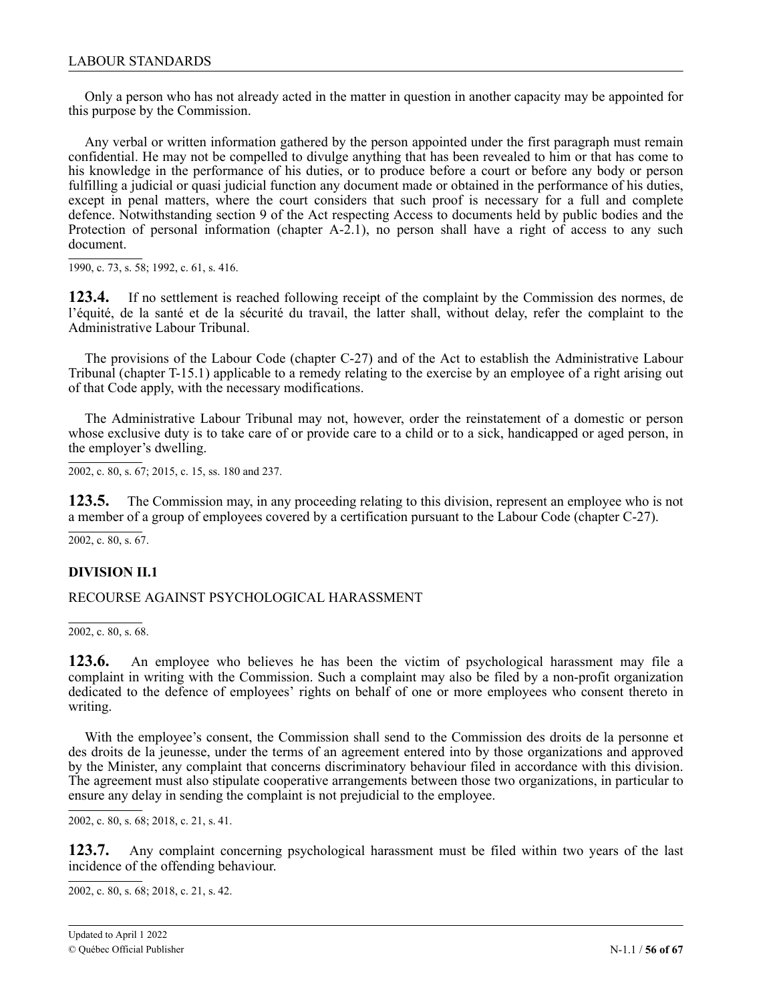<span id="page-55-0"></span>Only a person who has not already acted in the matter in question in another capacity may be appointed for this purpose by the Commission.

Any verbal or written information gathered by the person appointed under the first paragraph must remain confidential. He may not be compelled to divulge anything that has been revealed to him or that has come to his knowledge in the performance of his duties, or to produce before a court or before any body or person fulfilling a judicial or quasi judicial function any document made or obtained in the performance of his duties, except in penal matters, where the court considers that such proof is necessary for a full and complete defence. Notwithstanding section 9 of the Act respecting Access to documents held by public bodies and the Protection of personal information (chapter A-2.1), no person shall have a right of access to any such document.

1990, c. 73, s. 58; 1992, c. 61, s. 416.

**123.4.** If no settlement is reached following receipt of the complaint by the Commission des normes, de l'équité, de la santé et de la sécurité du travail, the latter shall, without delay, refer the complaint to the Administrative Labour Tribunal.

The provisions of the Labour Code (chapter C-27) and of the Act to establish the Administrative Labour Tribunal (chapter T-15.1) applicable to a remedy relating to the exercise by an employee of a right arising out of that Code apply, with the necessary modifications.

The Administrative Labour Tribunal may not, however, order the reinstatement of a domestic or person whose exclusive duty is to take care of or provide care to a child or to a sick, handicapped or aged person, in the employer's dwelling.

2002, c. 80, s. 67; 2015, c. 15, ss. 180 and 237.

**123.5.** The Commission may, in any proceeding relating to this division, represent an employee who is not a member of a group of employees covered by a certification pursuant to the Labour Code (chapter C-27).

2002, c. 80, s. 67.

### **DIVISION II.1**

RECOURSE AGAINST PSYCHOLOGICAL HARASSMENT

2002, c. 80, s. 68.

**123.6.** An employee who believes he has been the victim of psychological harassment may file a complaint in writing with the Commission. Such a complaint may also be filed by a non-profit organization dedicated to the defence of employees' rights on behalf of one or more employees who consent thereto in writing.

With the employee's consent, the Commission shall send to the Commission des droits de la personne et des droits de la jeunesse, under the terms of an agreement entered into by those organizations and approved by the Minister, any complaint that concerns discriminatory behaviour filed in accordance with this division. The agreement must also stipulate cooperative arrangements between those two organizations, in particular to ensure any delay in sending the complaint is not prejudicial to the employee.

2002, c. 80, s. 68; 2018, c. 21, s. 41.

123.7. Any complaint concerning psychological harassment must be filed within two years of the last incidence of the offending behaviour.

c 2002, c. 80, s. 68; 2 2018, c. 21, s. 42.1

2

1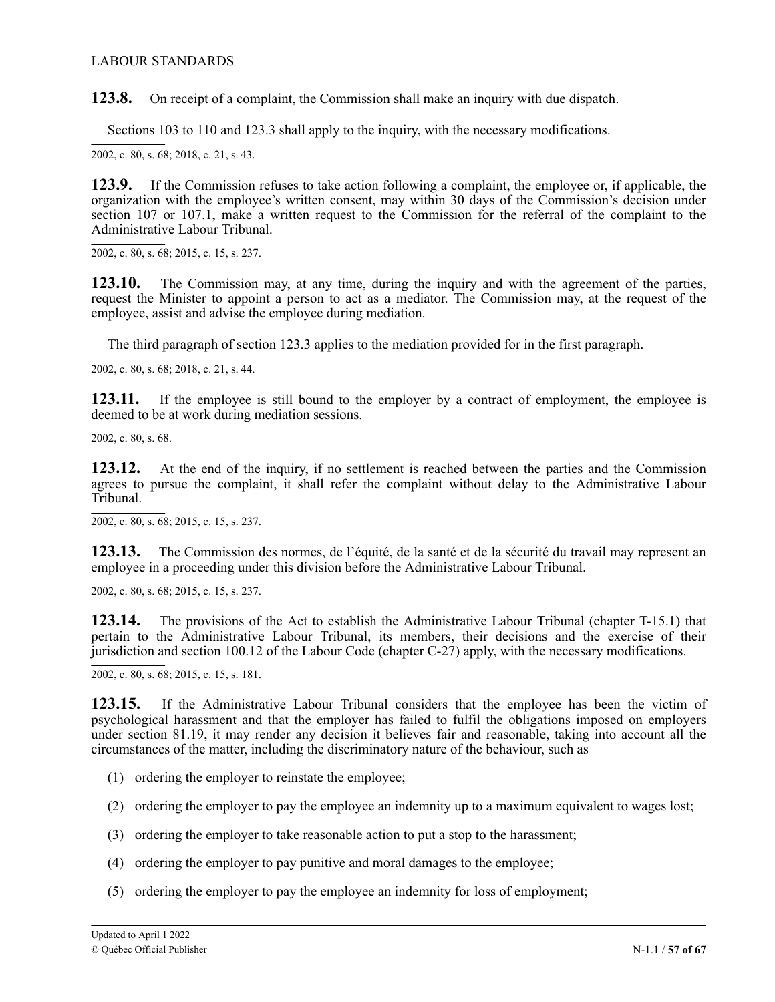**123.8.** On receipt of a complaint, the Commission shall make an inquiry with due dispatch.

Sections 103 to 110 and 123.3 shall apply to the inquiry, with the necessary modifications.

2002, c. 80, s. 68; 2 2018, c. 21, s. 43.1

1 **123.9.** If the Commission refuses to take action following a complaint, the employee or, if applicable, the organization with the employee's written consent, may within 30 days of the Commission's decision under section 107 or 107.1, make a written request to the Commission for the referral of the complaint to the Administrative Labour Tribunal.

2 2002, c. 80, s. 68; 2015, c. 15, s. 237.

**123.10.** The Commission may, at any time, during the inquiry and with the agreement of the parties, request the Minister to appoint a person to act as a mediator. The Commission may, at the request of the employee, assist and advise the employee during mediation.

The third paragraph of section 123.3 applies to the mediation provided for in the first paragraph.

2002, c. 80, s. 68; 2 2018, c. 21, s. 44.1

123.11. If the employee is still bound to the employer by a contract of employment, the employee is deemed to be at work during mediation sessions.

 $2002$ , c. 80, s. 68.

123.12. At the end of the inquiry, if no settlement is reached between the parties and the Commission agrees to pursue the complaint, it shall refer the complaint without delay to the Administrative Labour Tribunal.

2002, c. 80, s. 68; 2015, c. 15, s. 237.

**123.13.** The Commission des normes, de l'équité, de la santé et de la sécurité du travail may represent an employee in a proceeding under this division before the Administrative Labour Tribunal.

2002, c. 80, s. 68; 2015, c. 15, s. 237.

**123.14.** The provisions of the Act to establish the Administrative Labour Tribunal (chapter T-15.1) that pertain to the Administrative Labour Tribunal, its members, their decisions and the exercise of their jurisdiction and section 100.12 of the Labour Code (chapter C-27) apply, with the necessary modifications.

2002, c. 80, s. 68; 2015, c. 15, s. 181.

**123.15.** If the Administrative Labour Tribunal considers that the employee has been the victim of psychological harassment and that the employer has failed to fulfil the obligations imposed on employers under section 81.19, it may render any decision it believes fair and reasonable, taking into account all the circumstances of the matter, including the discriminatory nature of the behaviour, such as

- (1) ordering the employer to reinstate the employee;
- (2) ordering the employer to pay the employee an indemnity up to a maximum equivalent to wages lost;
- (3) ordering the employer to take reasonable action to put a stop to the harassment;
- (4) ordering the employer to pay punitive and moral damages to the employee;
- (5) ordering the employer to pay the employee an indemnity for loss of employment;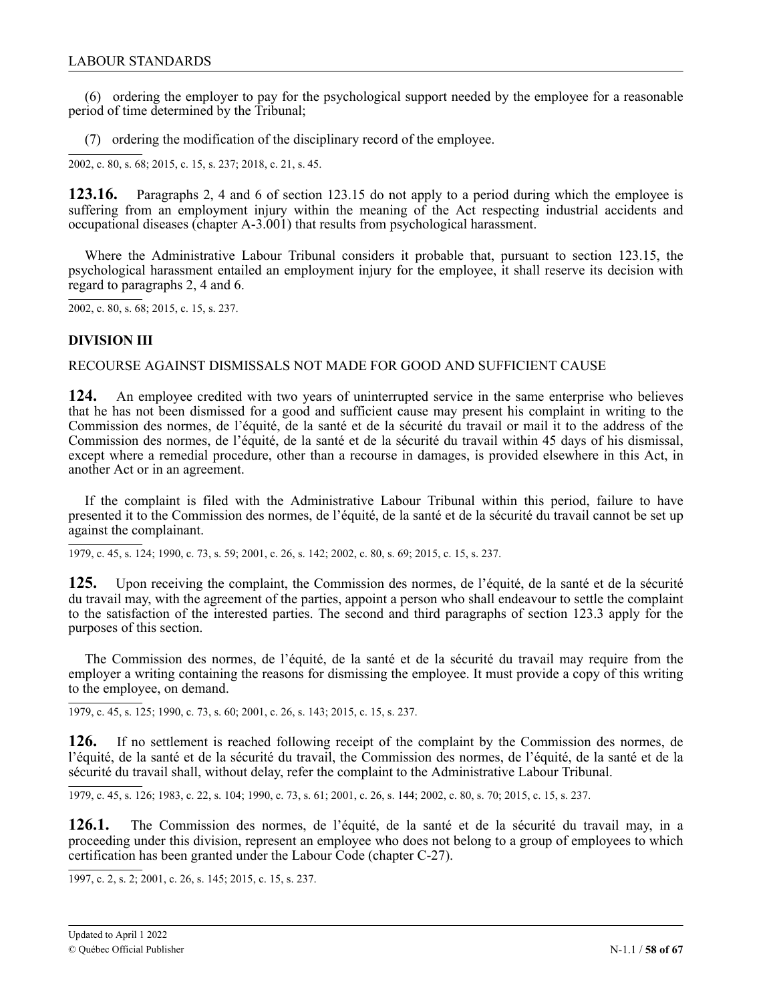<span id="page-57-0"></span>(6) ordering the employer to pay for the psychological support needed by the employee for a reasonable period of time determined by the Tribunal;

(7) ordering the modification of the disciplinary record of the employee.

2002, c. 80, s. 68; 2015, c. 15, s. 237; 2018, c. 21, s. 45.

123.16. Paragraphs 2, 4 and 6 of section 123.15 do not apply to a period during which the employee is suffering from an employment injury within the meaning of the Act respecting industrial accidents and , occupational diseases (chapter A‐3.001) that results from psychological harassment.

. Where the Administrative Labour Tribunal considers it probable that, pursuant to section 123.15, the psychological harassment entailed an employment injury for the employee, it shall reserve its decision with 1 regard to paragraphs 2, 4 and 6.

2002, c. 80, s. 68; 2015, c. 15, s. 237.

### **DIVISION III**

#### RECOURSE AGAINST DISMISSALS NOT MADE FOR GOOD AND SUFFICIENT CAUSE

**124.** An employee credited with two years of uninterrupted service in the same enterprise who believes that he has not been dismissed for a good and sufficient cause may present his complaint in writing to the Commission des normes, de l'équité, de la santé et de la sécurité du travail or mail it to the address of the Commission des normes, de l'équité, de la santé et de la sécurité du travail within 45 days of his dismissal, except where a remedial procedure, other than a recourse in damages, is provided elsewhere in this Act, in another Act or in an agreement.

If the complaint is filed with the Administrative Labour Tribunal within this period, failure to have presented it to the Commission des normes, de l'équité, de la santé et de la sécurité du travail cannot be set up against the complainant.

1979, c. 45, s. 124; 1990, c. 73, s. 59; 2001, c. 26, s. 142; 2002, c. 80, s. 69; 2015, c. 15, s. 237.

**125.** Upon receiving the complaint, the Commission des normes, de l'équité, de la santé et de la sécurité du travail may, with the agreement of the parties, appoint a person who shall endeavour to settle the complaint to the satisfaction of the interested parties. The second and third paragraphs of section 123.3 apply for the purposes of this section.

The Commission des normes, de l'équité, de la santé et de la sécurité du travail may require from the employer a writing containing the reasons for dismissing the employee. It must provide a copy of this writing to the employee, on demand.

1979, c. 45, s. 125; 1990, c. 73, s. 60; 2001, c. 26, s. 143; 2015, c. 15, s. 237.

**126.** If no settlement is reached following receipt of the complaint by the Commission des normes, de l'équité, de la santé et de la sécurité du travail, the Commission des normes, de l'équité, de la santé et de la sécurité du travail shall, without delay, refer the complaint to the Administrative Labour Tribunal.

1979, c. 45, s. 126; 1983, c. 22, s. 104; 1990, c. 73, s. 61; 2001, c. 26, s. 144; 2002, c. 80, s. 70; 2015, c. 15, s. 237.

**126.1.** The Commission des normes, de l'équité, de la santé et de la sécurité du travail may, in a proceeding under this division, represent an employee who does not belong to a group of employees to which certification has been granted under the Labour Code (chapter C-27).

1997, c. 2, s. 2; 2001, c. 26, s. 145; 2015, c. 15, s. 237.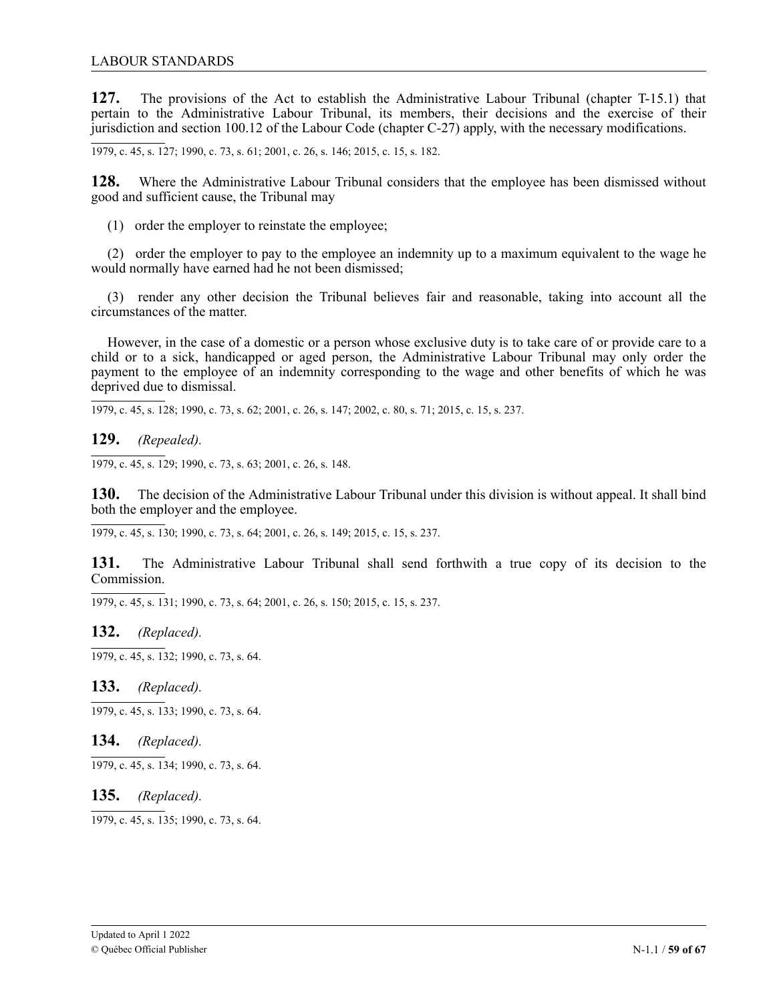**127.** The provisions of the Act to establish the Administrative Labour Tribunal (chapter T-15.1) that pertain to the Administrative Labour Tribunal, its members, their decisions and the exercise of their jurisdiction and section 100.12 of the Labour Code (chapter C-27) apply, with the necessary modifications.

1979, c. 45, s. 127; 1990, c. 73, s. 61; 2001, c. 26, s. 146; 2015, c. 15, s. 182.

**128.** Where the Administrative Labour Tribunal considers that the employee has been dismissed without good and sufficient cause, the Tribunal may

(1) order the employer to reinstate the employee;

(2) order the employer to pay to the employee an indemnity up to a maximum equivalent to the wage he would normally have earned had he not been dismissed;

(3) render any other decision the Tribunal believes fair and reasonable, taking into account all the circumstances of the matter.

However, in the case of a domestic or a person whose exclusive duty is to take care of or provide care to a child or to a sick, handicapped or aged person, the Administrative Labour Tribunal may only order the payment to the employee of an indemnity corresponding to the wage and other benefits of which he was deprived due to dismissal.

1979, c. 45, s. 128; 1990, c. 73, s. 62; 2001, c. 26, s. 147; 2002, c. 80, s. 71; 2015, c. 15, s. 237.

**129.** *(Repealed).*

1979, c. 45, s. 129; 1990, c. 73, s. 63; 2001, c. 26, s. 148.

**130.** The decision of the Administrative Labour Tribunal under this division is without appeal. It shall bind both the employer and the employee.

1979, c. 45, s. 130; 1990, c. 73, s. 64; 2001, c. 26, s. 149; 2015, c. 15, s. 237.

**131.** The Administrative Labour Tribunal shall send forthwith a true copy of its decision to the Commission.

1979, c. 45, s. 131; 1990, c. 73, s. 64; 2001, c. 26, s. 150; 2015, c. 15, s. 237.

### **132.** *(Replaced).*

1979, c. 45, s. 132; 1990, c. 73, s. 64.

# **133.** *(Replaced).*

 $\overline{1979, c. 45, s. 133}$ ; 1990, c. 73, s. 64.

### **134.** *(Replaced).*

1979, c. 45, s. 134; 1990, c. 73, s. 64.

### **135.** *(Replaced).*

1979, c. 45, s. 135; 1990, c. 73, s. 64.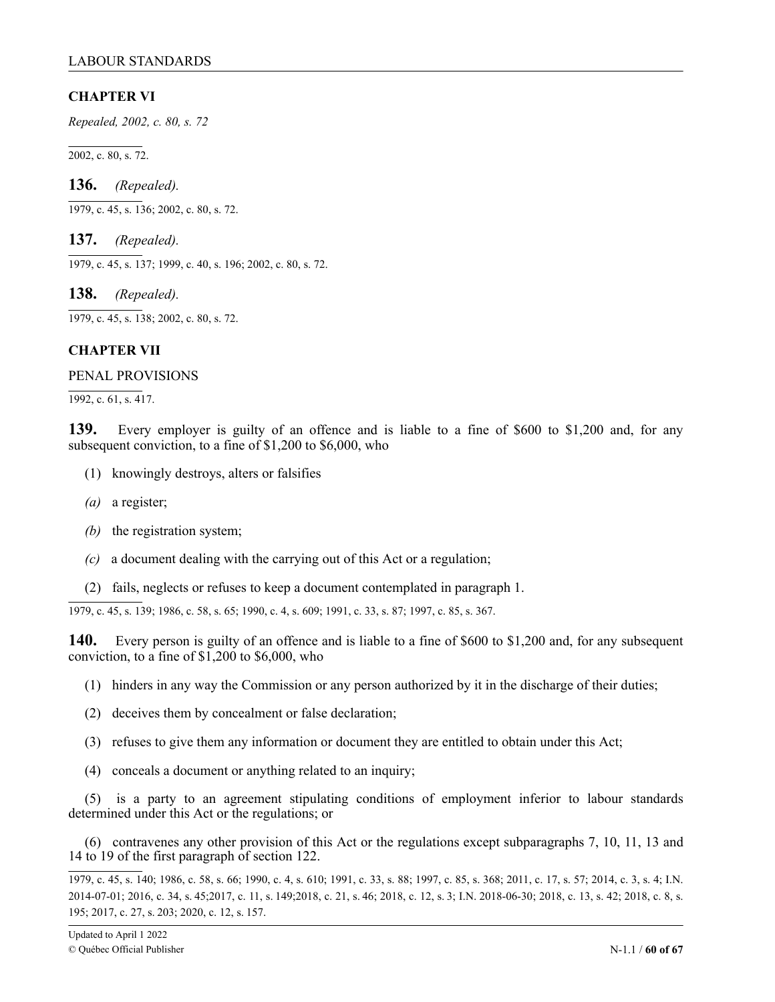# <span id="page-59-0"></span>**CHAPTER VI**

*Repealed, 2002, c. 80, s. 72*

2002, c. 80, s. 72.

**136.** *(Repealed).*

1979, c. 45, s. 136; 2002, c. 80, s. 72.

**137.** *(Repealed).*

1979, c. 45, s. 137; 1999, c. 40, s. 196; 2002, c. 80, s. 72.

**138.** *(Repealed).*

1979, c. 45, s. 138; 2002, c. 80, s. 72.

# **CHAPTER VII**

### PENAL PROVISIONS

 $\overline{1992, c. 61, s. 417}.$ 

**139.** Every employer is guilty of an offence and is liable to a fine of \$600 to \$1,200 and, for any subsequent conviction, to a fine of \$1,200 to \$6,000, who

- (1) knowingly destroys, alters or falsifies
- *(a)* a register;
- *(b)* the registration system;
- *(c)* a document dealing with the carrying out of this Act or a regulation;
- (2) fails, neglects or refuses to keep a document contemplated in paragraph 1.

-

1979, c. 45, s. 139; 1986, c. 58, s. 65; 1990, c. 4, s. 609; 1991, c. 33, s. 87; 1997, c. 85, s. 367.

**140.** Every person is guilty of an offence and is liable to a fine of \$600 to \$1,200 and, for any subsequent conviction, to a fine of \$1,200 to \$6,000, who

- (1) hinders in any way the Commission or any person authorized by it in the discharge of their duties;
- (2) deceives them by concealment or false declaration;
- (3) refuses to give them any information or document they are entitled to obtain under this Act;
- (4) conceals a document or anything related to an inquiry;

(5) is a party to an agreement stipulating conditions of employment inferior to labour standards determined under this Act or the regulations; or

(6) contravenes any other provision of this Act or the regulations except subparagraphs 7, 10, 11, 13 and 14 to 19 of the first paragraph of section 122.

1979, c. 45, s. 140; 1986, c. 58, s. 66; 1990, c. 4, s. 610; 1991, c. 33, s. 88; 1997, c. 85, s. 368; 2011, c. 17, s. 57; 2014, c. 3, s. 4; I.N. 2014-07-01; 2016, c. 34, s. 45;2017, c. 11, s. 149;2018, c. 21, s. 46; 2018, c. 12, s. 3; I.N. 2018-06-30; 2018, c. 13, s. 42; 2018, c. 8, s. 195; 2017, c. 27, s. 203; 2020, c. 12, s. 157.

-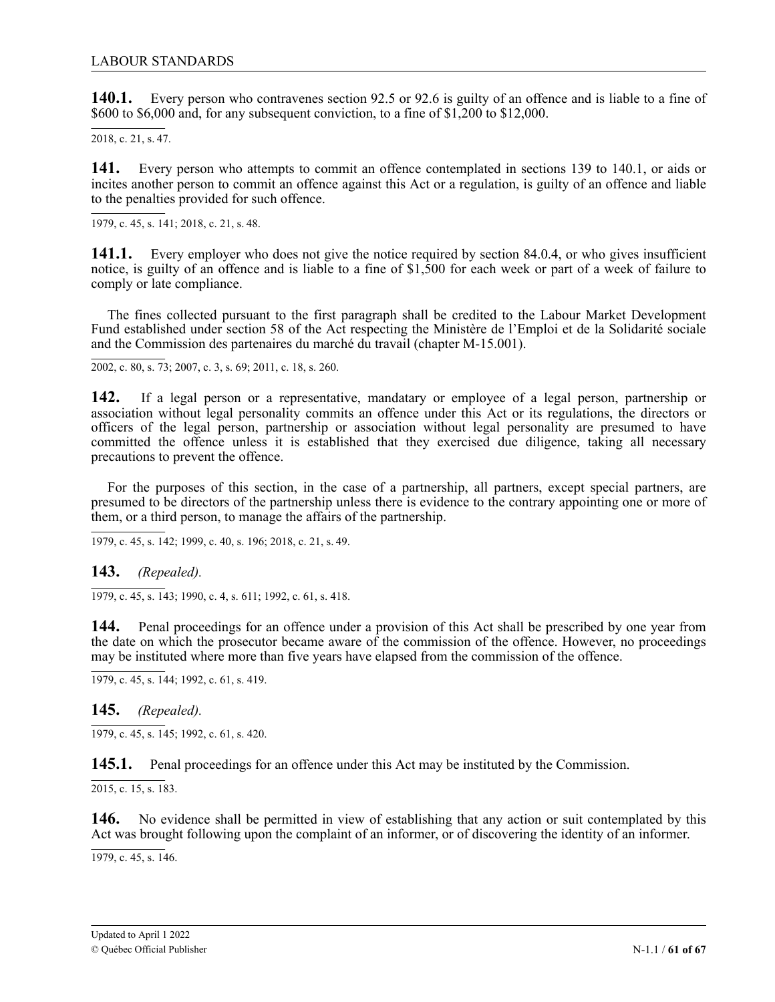**140.1.** Every person who contravenes section 92.5 or 92.6 is guilty of an offence and is liable to a fine of \$600 to \$6,000 and, for any subsequent conviction, to a fine of \$1,200 to \$12,000.

2018, c. 21, s. 47.

141. incites another person to commit an offence against this Act or a regulation, is guilty of an offence and liable to the penalties provided for such offence. Every person who attempts to commit an offence contemplated in sections 139 to 140.1, or aids or

c . 1979, c. 45, s. 141; 2 2018, c. 21, s. 48.1

141.1. Every employer who does not give the notice required by section 84.0.4, or who gives insufficient notice, is guilty of an offence and is liable to a fine of \$1,500 for each week or part of a week of failure to comply or late compliance.

. The fines collected pursuant to the first paragraph shall be credited to the Labour Market Development Fund established under section 58 of the Act respecting the Ministère de l'Emploi et de la Solidarité sociale and the Commission des partenaires du marché du travail (chapter M-15.001).

2002, c. 80, s. 73; 2007, c. 3, s. 69; 2011, c. 18, s. 260.

**142.** If a legal person or a representative, mandatary or employee of a legal person, partnership or association without legal personality commits an offence under this Act or its regulations, the directors or officers of the legal person, partnership or association without legal personality are presumed to have committed the offence unless it is established that they exercised due diligence, taking all necessary precautions to prevent the offence.

For the purposes of this section, in the case of a partnership, all partners, except special partners, are presumed to be directors of the partnership unless there is evidence to the contrary appointing one or more of them, or a third person, to manage the affairs of the partnership.

1979, c. 45, s. 142; 1999, c. 40, s. 196; 2018, c. 21, s. 49.

**143.** *(Repealed).*

, 1979, c. 45, s. 143; 1990, c. 4, s. 611; 1992, c. 61, s. 418.

144. Penal proceedings for an offence under a provision of this Act shall be prescribed by one year from 2 the date on which the prosecutor became aware of the commission of the offence. However, no proceedings may be instituted where more than five years have elapsed from the commission of the offence.

1979, c. 45, s. 144; 1992, c. 61, s. 419.

**145.** *(Repealed).*

 $\overline{1979, c. 45, s. 145}$ ; 1992, c. 61, s. 420.

**145.1.** Penal proceedings for an offence under this Act may be instituted by the Commission.

 $\overline{2015, c. 15, s. 183}$ .

**146.** No evidence shall be permitted in view of establishing that any action or suit contemplated by this Act was brought following upon the complaint of an informer, or of discovering the identity of an informer.

1979, c. 45, s. 146.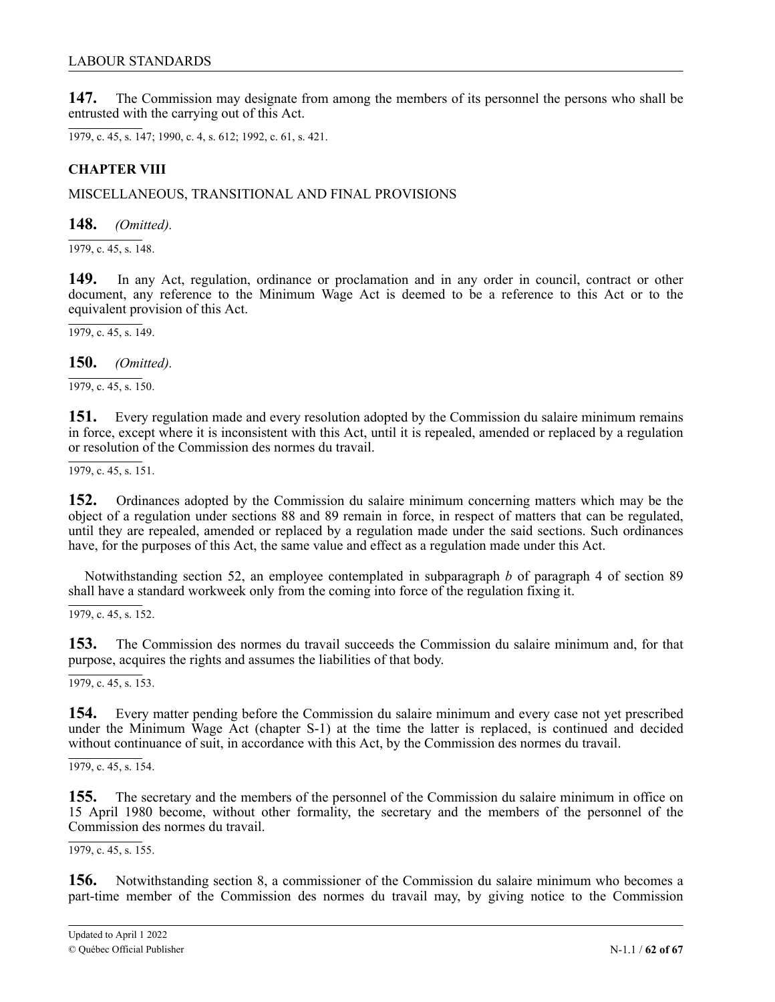<span id="page-61-0"></span>**147.** The Commission may designate from among the members of its personnel the persons who shall be entrusted with the carrying out of this Act.

1979, c. 45, s. 147; 1990, c. 4, s. 612; 1992, c. 61, s. 421.

# **CHAPTER VIII**

MISCELLANEOUS, TRANSITIONAL AND FINAL PROVISIONS

**148.** *(Omitted).*

 $\overline{1979, c. 45, s. 148}.$ 

**149.** In any Act, regulation, ordinance or proclamation and in any order in council, contract or other document, any reference to the Minimum Wage Act is deemed to be a reference to this Act or to the equivalent provision of this Act.

 $\overline{1979, c. 45, s. 149}.$ 

**150.** *(Omitted).*

1979, c. 45, s. 150.

**151.** Every regulation made and every resolution adopted by the Commission du salaire minimum remains in force, except where it is inconsistent with this Act, until it is repealed, amended or replaced by a regulation or resolution of the Commission des normes du travail.

1979, c. 45, s. 151.

**152.** Ordinances adopted by the Commission du salaire minimum concerning matters which may be the object of a regulation under sections 88 and 89 remain in force, in respect of matters that can be regulated, until they are repealed, amended or replaced by a regulation made under the said sections. Such ordinances have, for the purposes of this Act, the same value and effect as a regulation made under this Act.

Notwithstanding section 52, an employee contemplated in subparagraph *b* of paragraph 4 of section 89 shall have a standard workweek only from the coming into force of the regulation fixing it.

 $\overline{1979, c. 45, s. 152}.$ 

**153.** The Commission des normes du travail succeeds the Commission du salaire minimum and, for that purpose, acquires the rights and assumes the liabilities of that body.

 $\overline{1979, c. 45, s. 153}$ .

**154.** Every matter pending before the Commission du salaire minimum and every case not yet prescribed under the Minimum Wage Act (chapter S-1) at the time the latter is replaced, is continued and decided without continuance of suit, in accordance with this Act, by the Commission des normes du travail.

 $\overline{1979, c. 45, s. 154}.$ 

**155.** The secretary and the members of the personnel of the Commission du salaire minimum in office on 15 April 1980 become, without other formality, the secretary and the members of the personnel of the Commission des normes du travail.

 $\overline{1979, c. 45, s. 155}.$ 

**156.** Notwithstanding section 8, a commissioner of the Commission du salaire minimum who becomes a part-time member of the Commission des normes du travail may, by giving notice to the Commission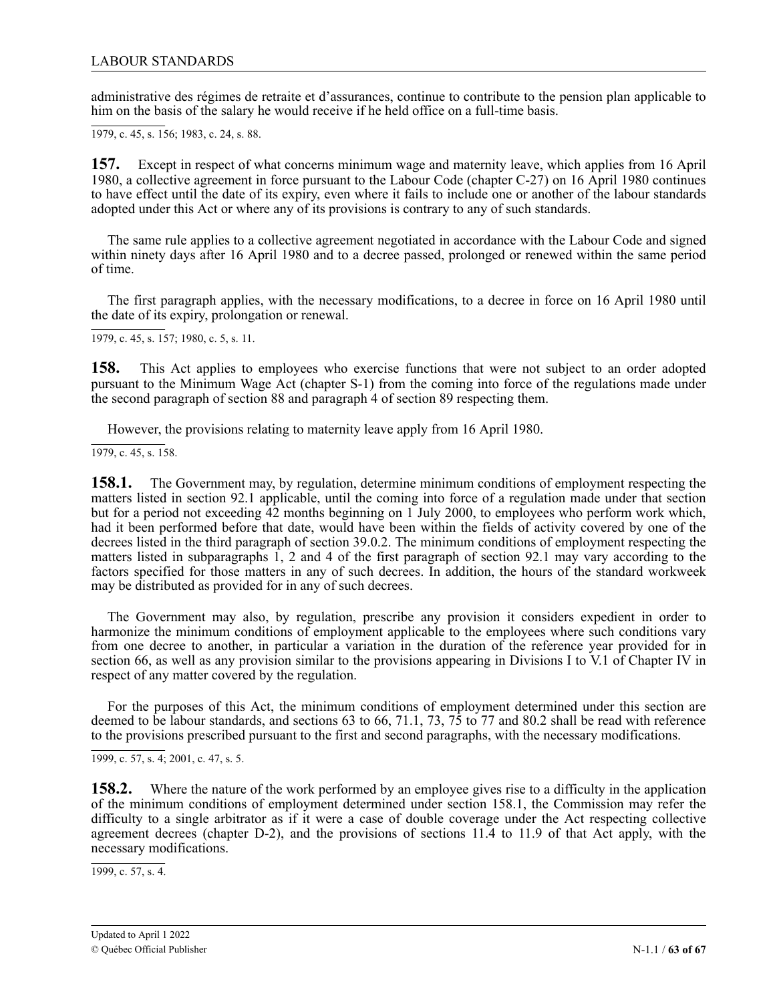administrative des régimes de retraite et d'assurances, continue to contribute to the pension plan applicable to him on the basis of the salary he would receive if he held office on a full-time basis.

1979, c. 45, s. 156; 1983, c. 24, s. 88.

**157.** Except in respect of what concerns minimum wage and maternity leave, which applies from 16 April 1980, a collective agreement in force pursuant to the Labour Code (chapter C-27) on 16 April 1980 continues to have effect until the date of its expiry, even where it fails to include one or another of the labour standards adopted under this Act or where any of its provisions is contrary to any of such standards.

The same rule applies to a collective agreement negotiated in accordance with the Labour Code and signed within ninety days after 16 April 1980 and to a decree passed, prolonged or renewed within the same period of time.

The first paragraph applies, with the necessary modifications, to a decree in force on 16 April 1980 until the date of its expiry, prolongation or renewal.

1979, c. 45, s. 157; 1980, c. 5, s. 11.

**158.** This Act applies to employees who exercise functions that were not subject to an order adopted pursuant to the Minimum Wage Act (chapter S-1) from the coming into force of the regulations made under the second paragraph of section 88 and paragraph 4 of section 89 respecting them.

However, the provisions relating to maternity leave apply from 16 April 1980.

 $\overline{1979, c. 45, s. 158}.$ 

**158.1.** The Government may, by regulation, determine minimum conditions of employment respecting the matters listed in section 92.1 applicable, until the coming into force of a regulation made under that section but for a period not exceeding 42 months beginning on 1 July 2000, to employees who perform work which, had it been performed before that date, would have been within the fields of activity covered by one of the decrees listed in the third paragraph of section 39.0.2. The minimum conditions of employment respecting the matters listed in subparagraphs 1, 2 and 4 of the first paragraph of section 92.1 may vary according to the factors specified for those matters in any of such decrees. In addition, the hours of the standard workweek may be distributed as provided for in any of such decrees.

The Government may also, by regulation, prescribe any provision it considers expedient in order to harmonize the minimum conditions of employment applicable to the employees where such conditions vary from one decree to another, in particular a variation in the duration of the reference year provided for in section 66, as well as any provision similar to the provisions appearing in Divisions I to V.1 of Chapter IV in respect of any matter covered by the regulation.

For the purposes of this Act, the minimum conditions of employment determined under this section are deemed to be labour standards, and sections 63 to 66, 71.1, 73, 75 to 77 and 80.2 shall be read with reference to the provisions prescribed pursuant to the first and second paragraphs, with the necessary modifications.

1999, c. 57, s. 4; 2001, c. 47, s. 5.

**158.2.** Where the nature of the work performed by an employee gives rise to a difficulty in the application of the minimum conditions of employment determined under section 158.1, the Commission may refer the difficulty to a single arbitrator as if it were a case of double coverage under the Act respecting collective agreement decrees (chapter D-2), and the provisions of sections 11.4 to 11.9 of that Act apply, with the necessary modifications.

1999, c. 57, s. 4.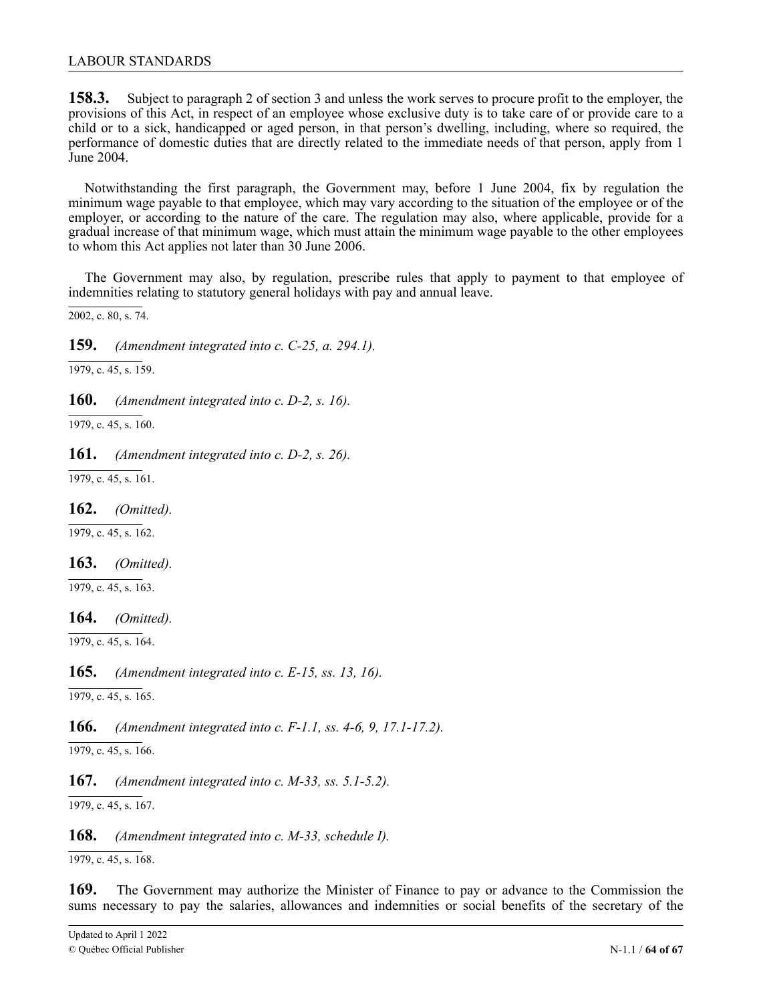### LABOUR STANDARDS

**158.3.** Subject to paragraph 2 of section 3 and unless the work serves to procure profit to the employer, the provisions of this Act, in respect of an employee whose exclusive duty is to take care of or provide care to a child or to a sick, handicapped or aged person, in that person's dwelling, including, where so required, the performance of domestic duties that are directly related to the immediate needs of that person, apply from 1 June 2004.

Notwithstanding the first paragraph, the Government may, before 1 June 2004, fix by regulation the minimum wage payable to that employee, which may vary according to the situation of the employee or of the employer, or according to the nature of the care. The regulation may also, where applicable, provide for a gradual increase of that minimum wage, which must attain the minimum wage payable to the other employees to whom this Act applies not later than 30 June 2006.

The Government may also, by regulation, prescribe rules that apply to payment to that employee of indemnities relating to statutory general holidays with pay and annual leave.

2002, c. 80, s. 74.

**159.** *(Amendment integrated into c. C-25, a. 294.1).*

1979, c. 45, s. 159.

**160.** *(Amendment integrated into c. D-2, s. 16).*

1979, c. 45, s. 160.

**161.** *(Amendment integrated into c. D-2, s. 26).*

1979, c. 45, s. 161.

**162.** *(Omitted).*

 $\overline{1979, c. 45, s. 162}$ .

**163.** *(Omitted).*

 $\overline{1979, c. 45, s. 163}$ .

**164.** *(Omitted).*

1979, c. 45, s. 164.

**165.** *(Amendment integrated into c. E-15, ss. 13, 16).*

 $\overline{1979, c. 45, s. 165}.$ 

**166.** *(Amendment integrated into c. F-1.1, ss. 4-6, 9, 17.1-17.2).*

 $\overline{1979, c. 45, s. 166}.$ 

**167.** *(Amendment integrated into c. M-33, ss. 5.1-5.2).*

1979, c. 45, s. 167.

**168.** *(Amendment integrated into c. M-33, schedule I).*

1979, c. 45, s. 168.

**169.** The Government may authorize the Minister of Finance to pay or advance to the Commission the sums necessary to pay the salaries, allowances and indemnities or social benefits of the secretary of the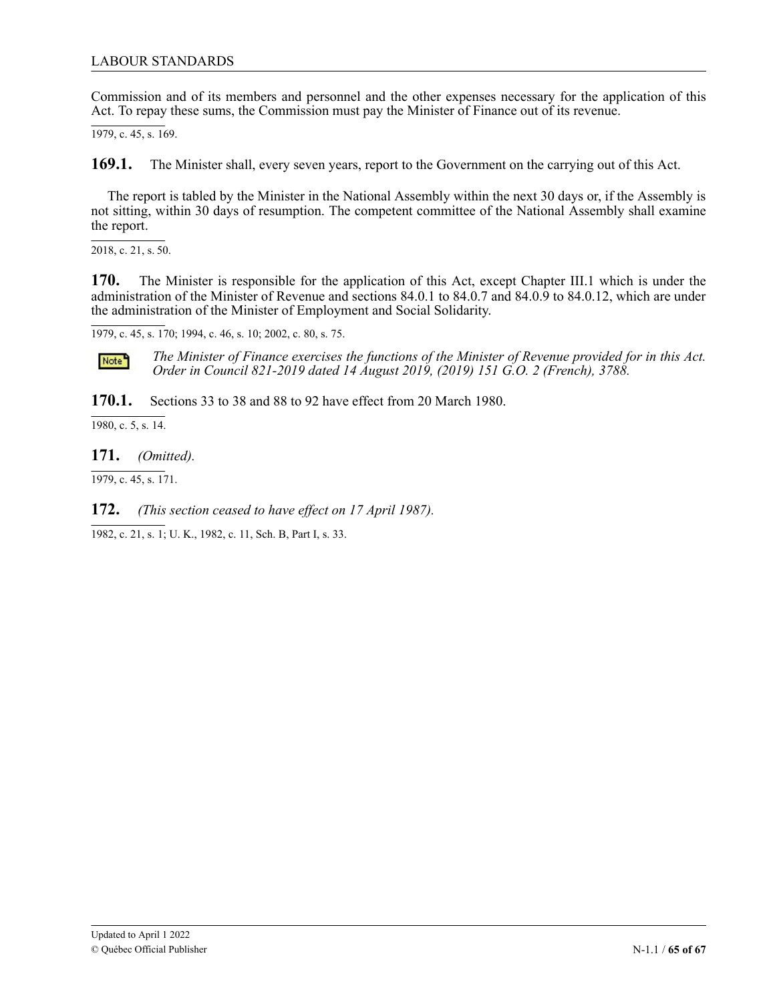### LABOUR STANDARDS

Commission and of its members and personnel and the other expenses necessary for the application of this Act. To repay these sums, the Commission must pay the Minister of Finance out of its revenue.

1979, c. 45, s. 169.

**169.1.** The Minister shall, every seven years, report to the Government on the carrying out of this Act.

The report is tabled by the Minister in the National Assembly within the next 30 days or, if the Assembly is not sitting, within 30 days of resumption. The competent committee of the National Assembly shall examine the report.

2018, c. 21, s. 50.

 $170.$ administration of the Minister of Revenue and sections 84.0.1 to 84.0.7 and 84.0.9 to 84.0.12, which are under the administration of the Minister of Employment and Social Solidarity. The Minister is responsible for the application of this Act, except Chapter III.1 which is under the

 $\overline{a}$ . 1979, c. 45, s. 170; 1994, c. 46, s. 10; 2002, c. 80, s. 75.

*The Minister of Finance exercises the functions of the Minister of Revenue provided for in this Act. Order in Council 821-2019 dated 14 August 2019, (2019) 151 G.O. 2 (French), 3788.*

**170.1.** Sections 33 to 38 and 88 to 92 have effect from 20 March 1980.

 $1980$ , c. 5, s. 14.

**171.** *(Omitted).*

1979, c. 45, s. 171.

**172.** *(This section ceased to have effect on 17 April 1987).*

1982, c. 21, s. 1; U. K., 1982, c. 11, Sch. B, Part I, s. 33.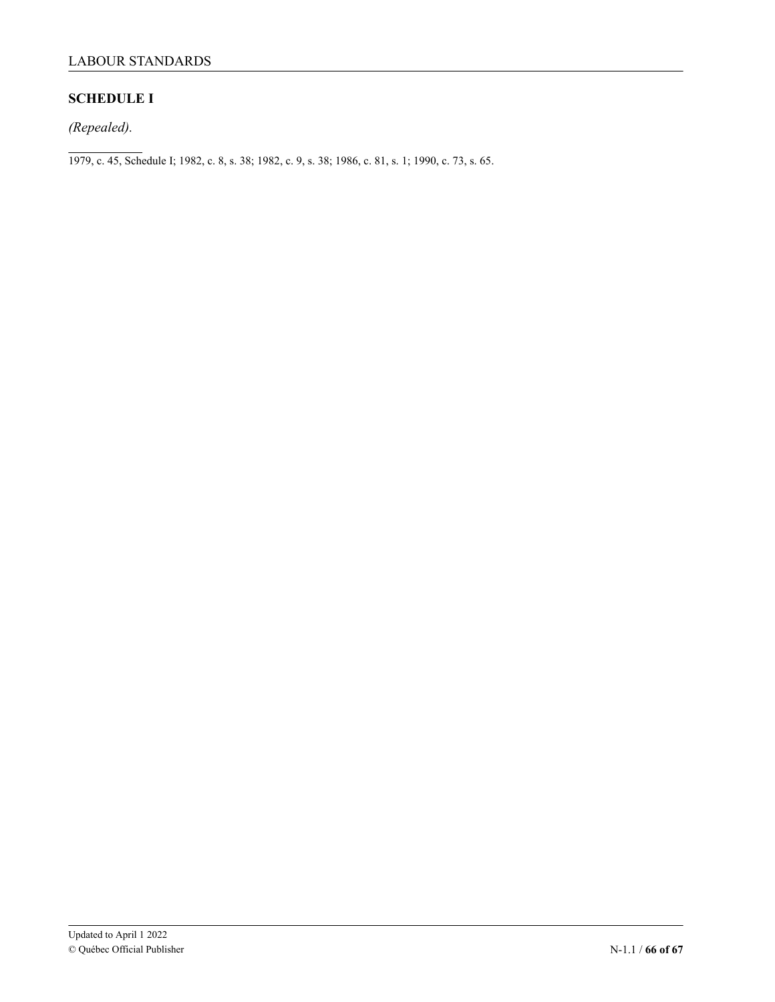# **SCHEDULE I**

*(Repealed).*

1979, c. 45, Schedule I; 1982, c. 8, s. 38; 1982, c. 9, s. 38; 1986, c. 81, s. 1; 1990, c. 73, s. 65.